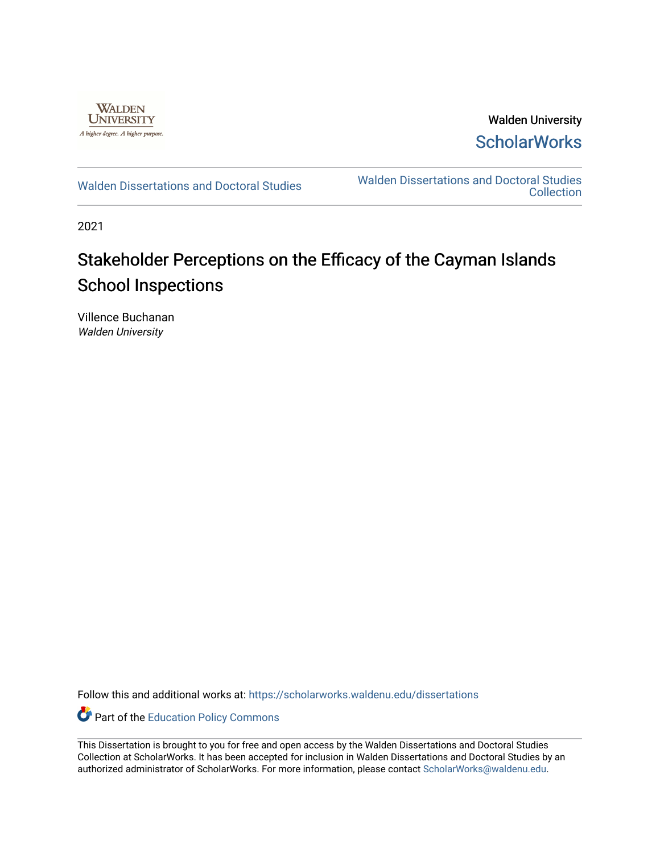

Walden University **ScholarWorks** 

[Walden Dissertations and Doctoral Studies](https://scholarworks.waldenu.edu/dissertations) Walden Dissertations and Doctoral Studies **Collection** 

2021

# Stakeholder Perceptions on the Efficacy of the Cayman Islands School Inspections

Villence Buchanan Walden University

Follow this and additional works at: [https://scholarworks.waldenu.edu/dissertations](https://scholarworks.waldenu.edu/dissertations?utm_source=scholarworks.waldenu.edu%2Fdissertations%2F10892&utm_medium=PDF&utm_campaign=PDFCoverPages)

Part of the [Education Policy Commons](http://network.bepress.com/hgg/discipline/1026?utm_source=scholarworks.waldenu.edu%2Fdissertations%2F10892&utm_medium=PDF&utm_campaign=PDFCoverPages)

This Dissertation is brought to you for free and open access by the Walden Dissertations and Doctoral Studies Collection at ScholarWorks. It has been accepted for inclusion in Walden Dissertations and Doctoral Studies by an authorized administrator of ScholarWorks. For more information, please contact [ScholarWorks@waldenu.edu](mailto:ScholarWorks@waldenu.edu).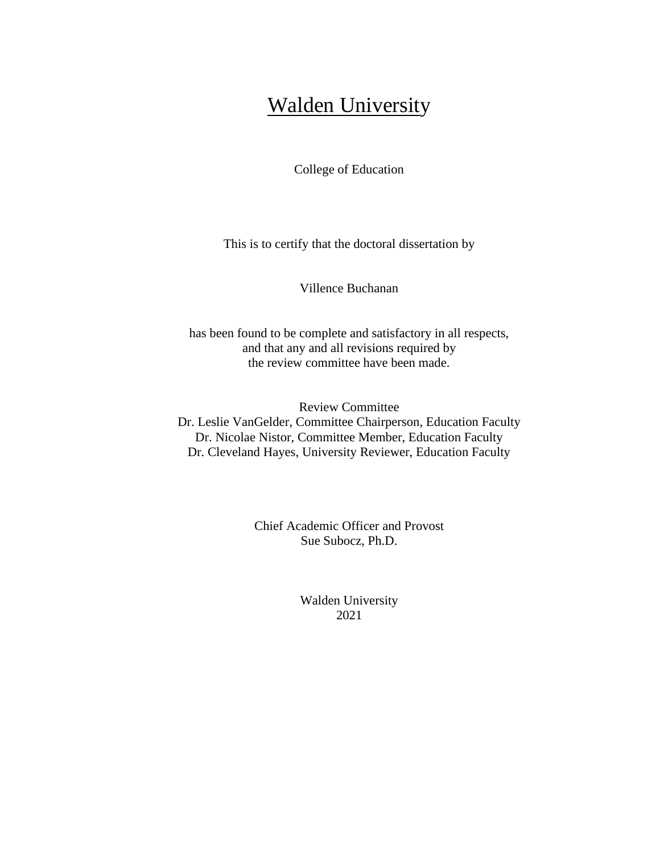# Walden University

College of Education

This is to certify that the doctoral dissertation by

Villence Buchanan

has been found to be complete and satisfactory in all respects, and that any and all revisions required by the review committee have been made.

Review Committee Dr. Leslie VanGelder, Committee Chairperson, Education Faculty Dr. Nicolae Nistor, Committee Member, Education Faculty Dr. Cleveland Hayes, University Reviewer, Education Faculty

> Chief Academic Officer and Provost Sue Subocz, Ph.D.

> > Walden University 2021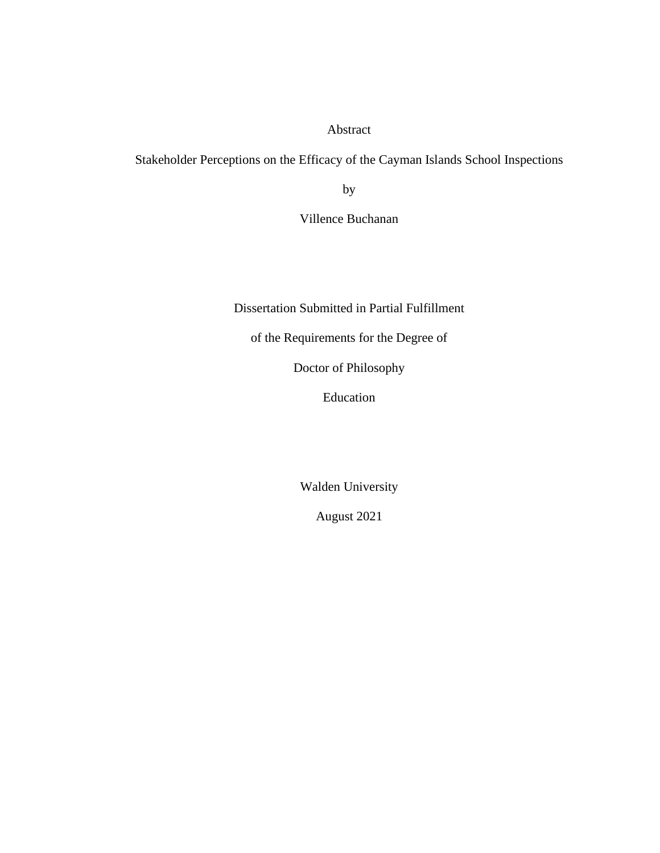Abstract

Stakeholder Perceptions on the Efficacy of the Cayman Islands School Inspections

by

Villence Buchanan

Dissertation Submitted in Partial Fulfillment

of the Requirements for the Degree of

Doctor of Philosophy

Education

Walden University

August 2021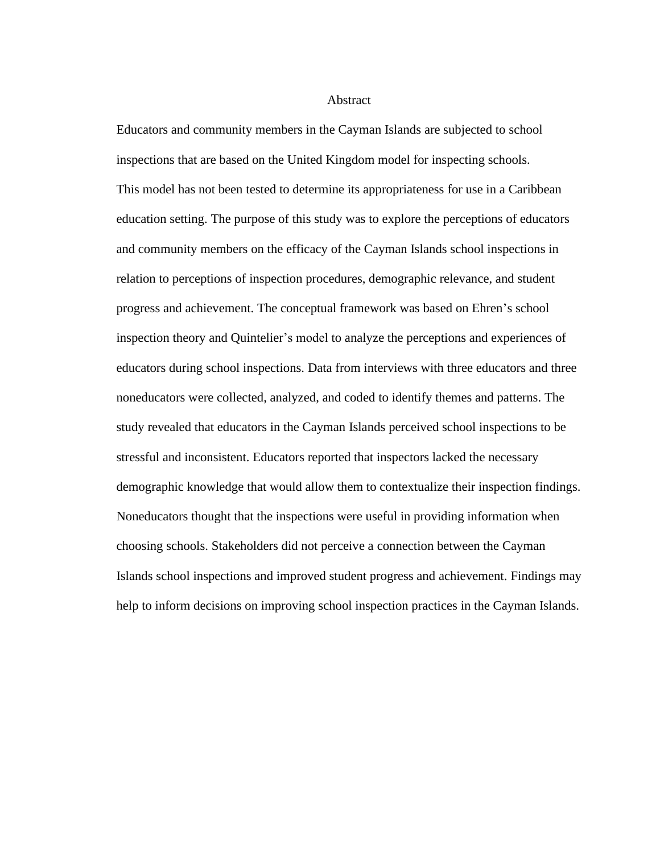Abstract

Educators and community members in the Cayman Islands are subjected to school inspections that are based on the United Kingdom model for inspecting schools. This model has not been tested to determine its appropriateness for use in a Caribbean education setting. The purpose of this study was to explore the perceptions of educators and community members on the efficacy of the Cayman Islands school inspections in relation to perceptions of inspection procedures, demographic relevance, and student progress and achievement. The conceptual framework was based on Ehren's school inspection theory and Quintelier's model to analyze the perceptions and experiences of educators during school inspections. Data from interviews with three educators and three noneducators were collected, analyzed, and coded to identify themes and patterns. The study revealed that educators in the Cayman Islands perceived school inspections to be stressful and inconsistent. Educators reported that inspectors lacked the necessary demographic knowledge that would allow them to contextualize their inspection findings. Noneducators thought that the inspections were useful in providing information when choosing schools. Stakeholders did not perceive a connection between the Cayman Islands school inspections and improved student progress and achievement. Findings may help to inform decisions on improving school inspection practices in the Cayman Islands.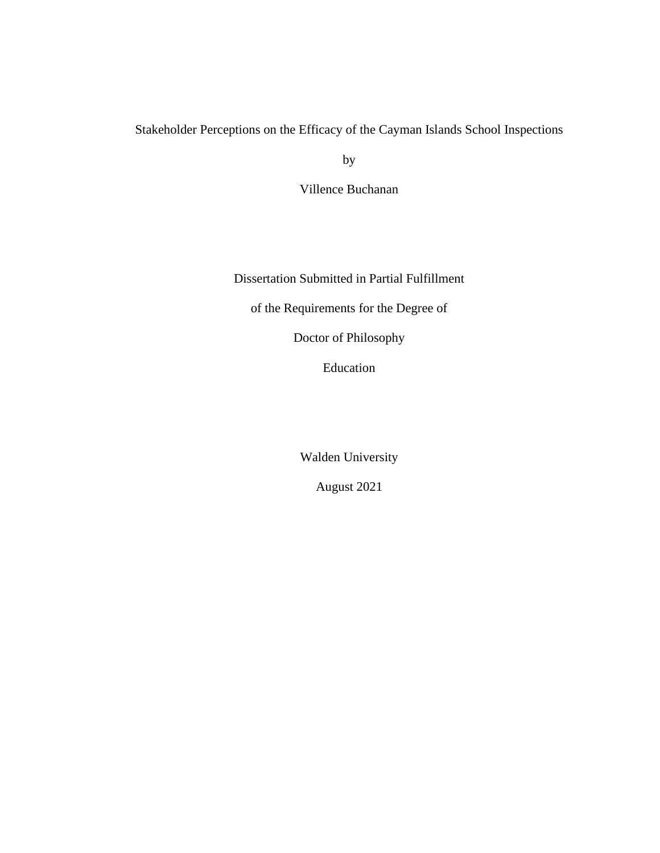# Stakeholder Perceptions on the Efficacy of the Cayman Islands School Inspections

by

Villence Buchanan

Dissertation Submitted in Partial Fulfillment

of the Requirements for the Degree of

Doctor of Philosophy

Education

Walden University

August 2021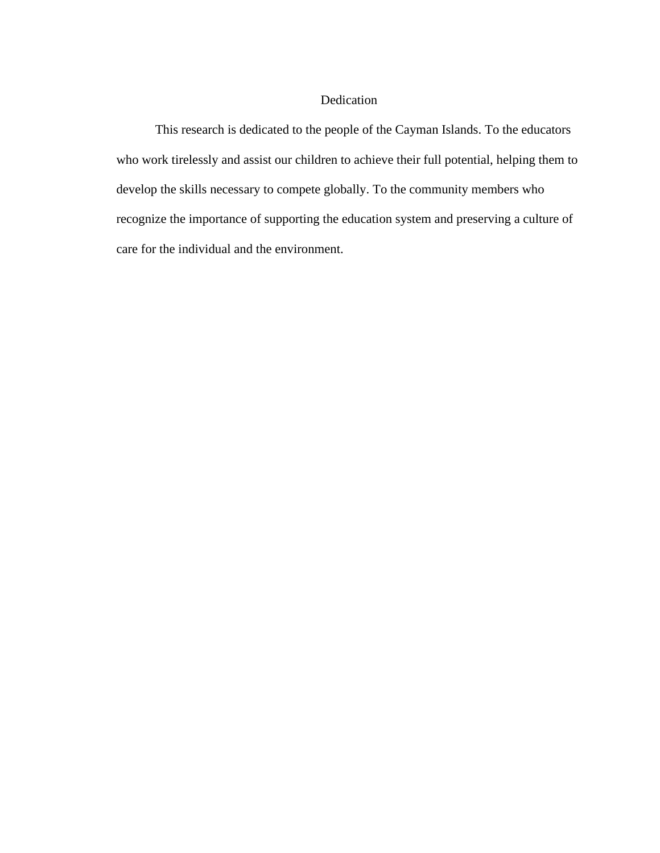# Dedication

This research is dedicated to the people of the Cayman Islands. To the educators who work tirelessly and assist our children to achieve their full potential, helping them to develop the skills necessary to compete globally. To the community members who recognize the importance of supporting the education system and preserving a culture of care for the individual and the environment.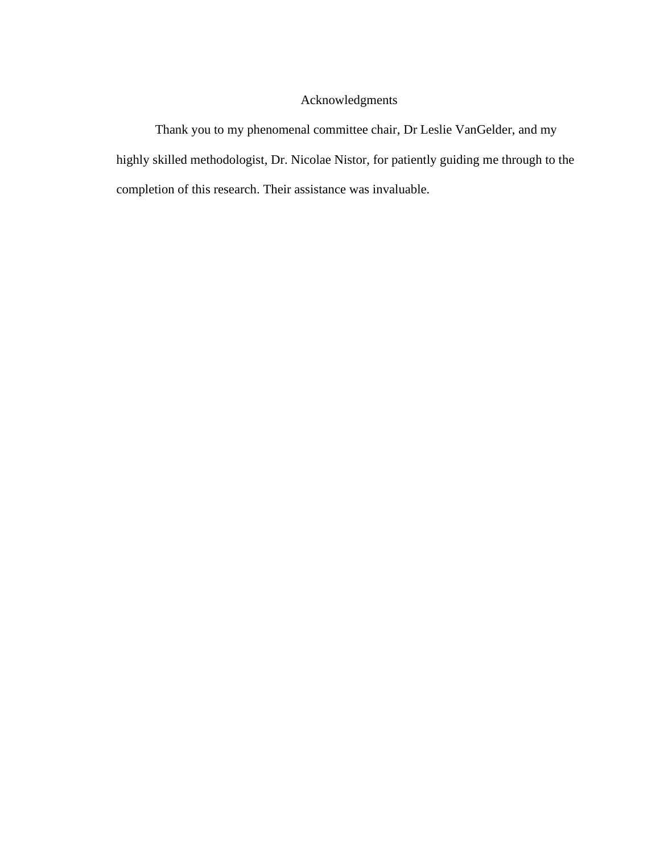# Acknowledgments

Thank you to my phenomenal committee chair, Dr Leslie VanGelder, and my highly skilled methodologist, Dr. Nicolae Nistor, for patiently guiding me through to the completion of this research. Their assistance was invaluable.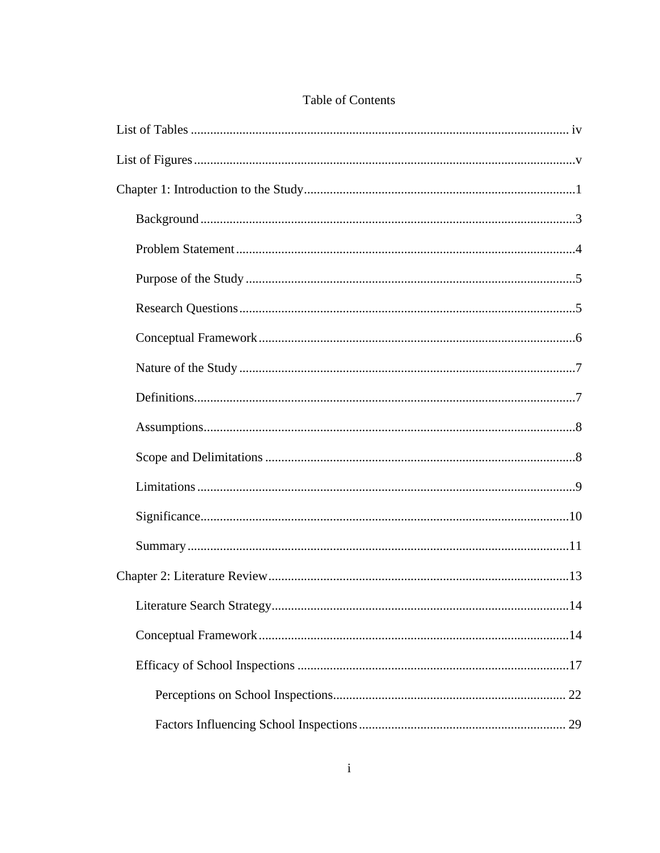# Table of Contents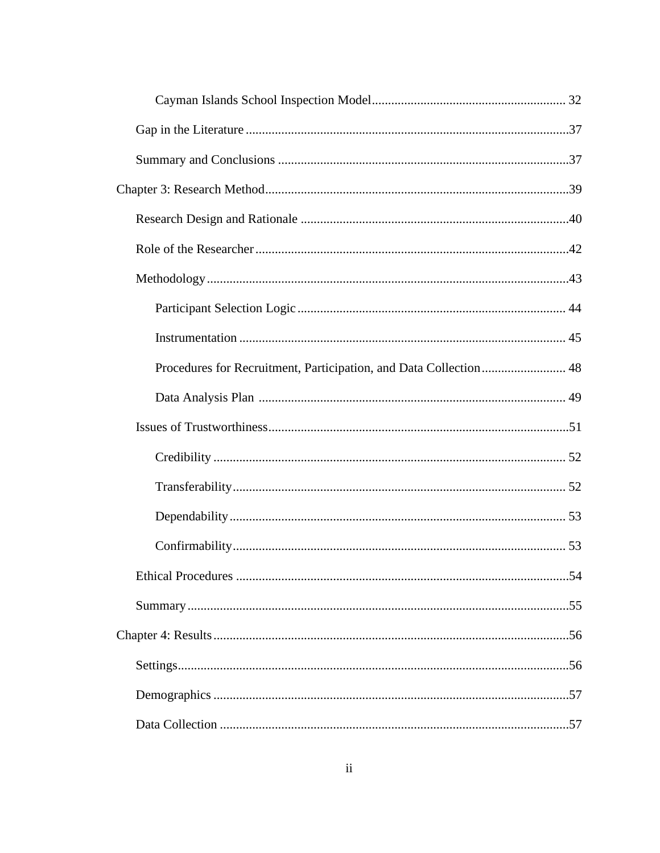| Procedures for Recruitment, Participation, and Data Collection  48 |  |
|--------------------------------------------------------------------|--|
|                                                                    |  |
|                                                                    |  |
|                                                                    |  |
|                                                                    |  |
|                                                                    |  |
|                                                                    |  |
|                                                                    |  |
|                                                                    |  |
|                                                                    |  |
|                                                                    |  |
|                                                                    |  |
|                                                                    |  |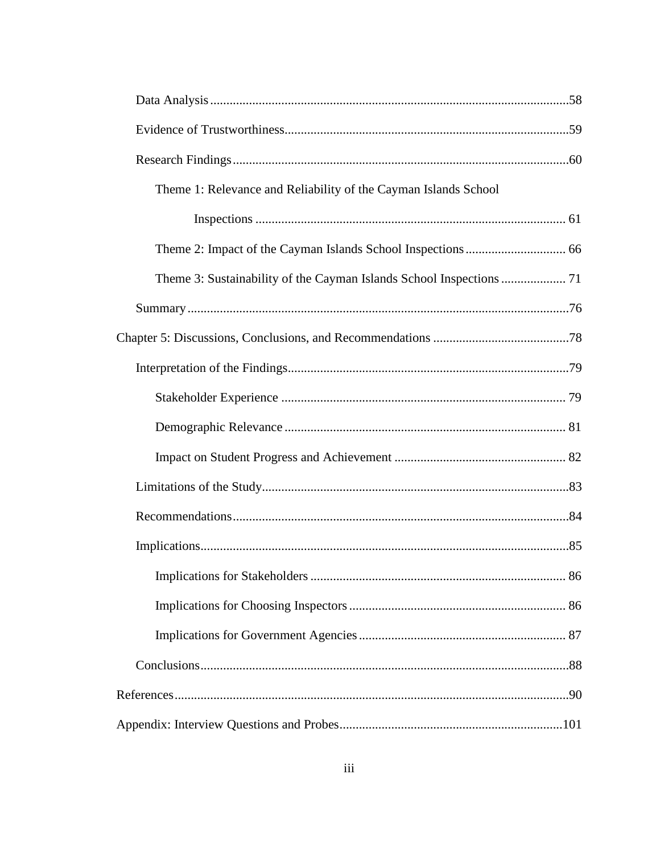| Theme 1: Relevance and Reliability of the Cayman Islands School |  |
|-----------------------------------------------------------------|--|
|                                                                 |  |
|                                                                 |  |
|                                                                 |  |
|                                                                 |  |
|                                                                 |  |
|                                                                 |  |
|                                                                 |  |
|                                                                 |  |
|                                                                 |  |
|                                                                 |  |
|                                                                 |  |
|                                                                 |  |
|                                                                 |  |
|                                                                 |  |
|                                                                 |  |
|                                                                 |  |
|                                                                 |  |
|                                                                 |  |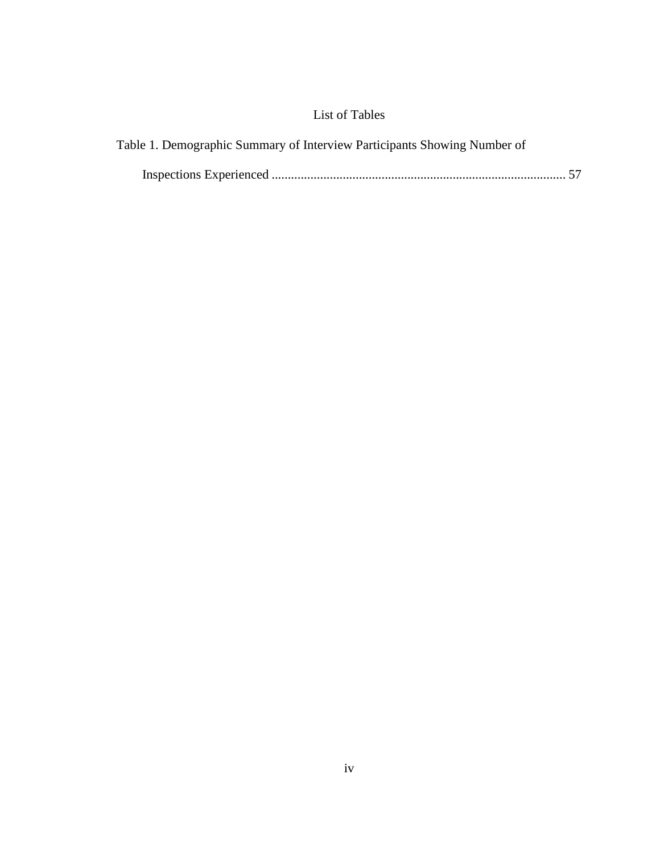# List of Tables

<span id="page-10-0"></span>

| Table 1. Demographic Summary of Interview Participants Showing Number of |  |
|--------------------------------------------------------------------------|--|
|                                                                          |  |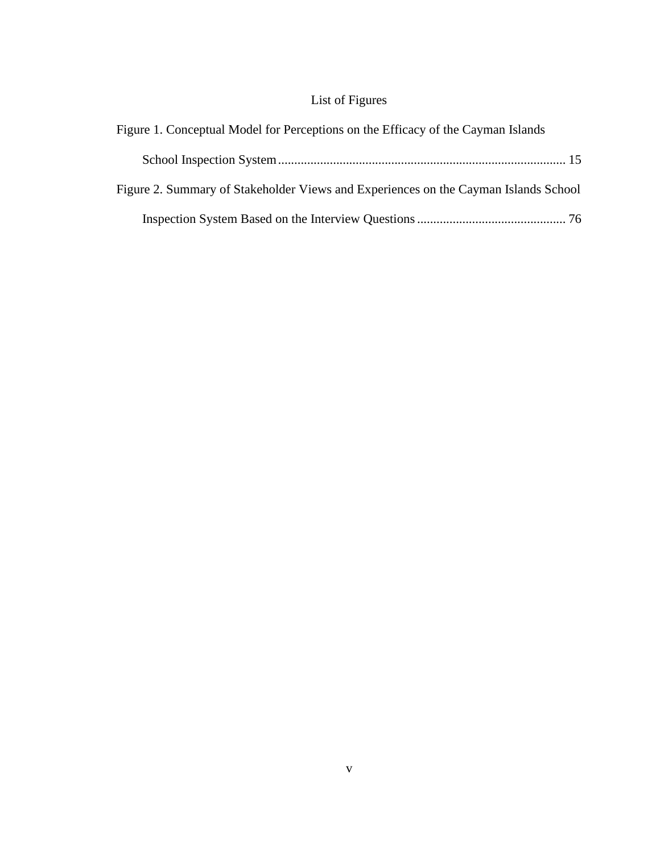# List of Figures

<span id="page-11-0"></span>

| Figure 1. Conceptual Model for Perceptions on the Efficacy of the Cayman Islands    |  |
|-------------------------------------------------------------------------------------|--|
|                                                                                     |  |
| Figure 2. Summary of Stakeholder Views and Experiences on the Cayman Islands School |  |
|                                                                                     |  |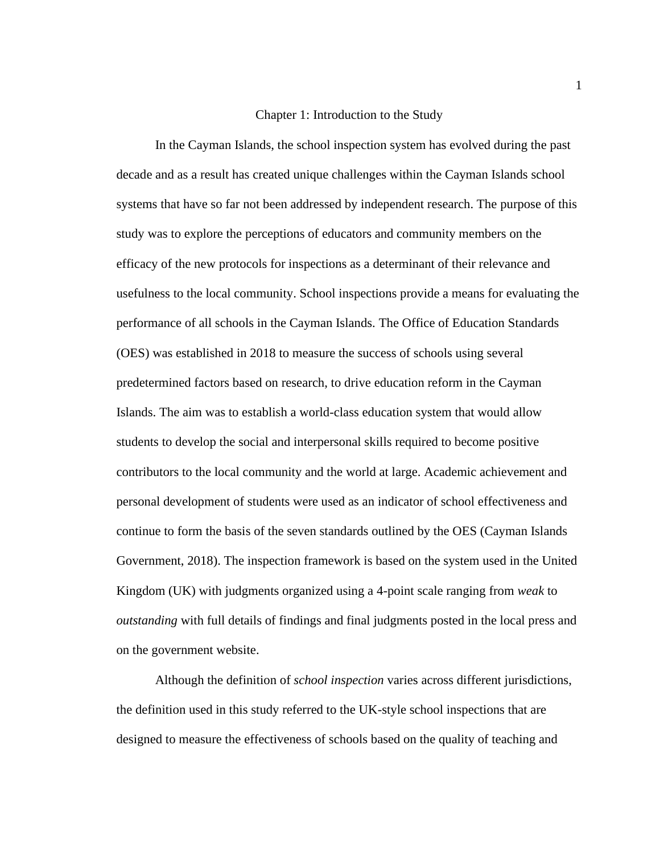# Chapter 1: Introduction to the Study

<span id="page-12-0"></span>In the Cayman Islands, the school inspection system has evolved during the past decade and as a result has created unique challenges within the Cayman Islands school systems that have so far not been addressed by independent research. The purpose of this study was to explore the perceptions of educators and community members on the efficacy of the new protocols for inspections as a determinant of their relevance and usefulness to the local community. School inspections provide a means for evaluating the performance of all schools in the Cayman Islands. The Office of Education Standards (OES) was established in 2018 to measure the success of schools using several predetermined factors based on research, to drive education reform in the Cayman Islands. The aim was to establish a world-class education system that would allow students to develop the social and interpersonal skills required to become positive contributors to the local community and the world at large. Academic achievement and personal development of students were used as an indicator of school effectiveness and continue to form the basis of the seven standards outlined by the OES (Cayman Islands Government, 2018). The inspection framework is based on the system used in the United Kingdom (UK) with judgments organized using a 4-point scale ranging from *weak* to *outstanding* with full details of findings and final judgments posted in the local press and on the government website.

Although the definition of *school inspection* varies across different jurisdictions, the definition used in this study referred to the UK-style school inspections that are designed to measure the effectiveness of schools based on the quality of teaching and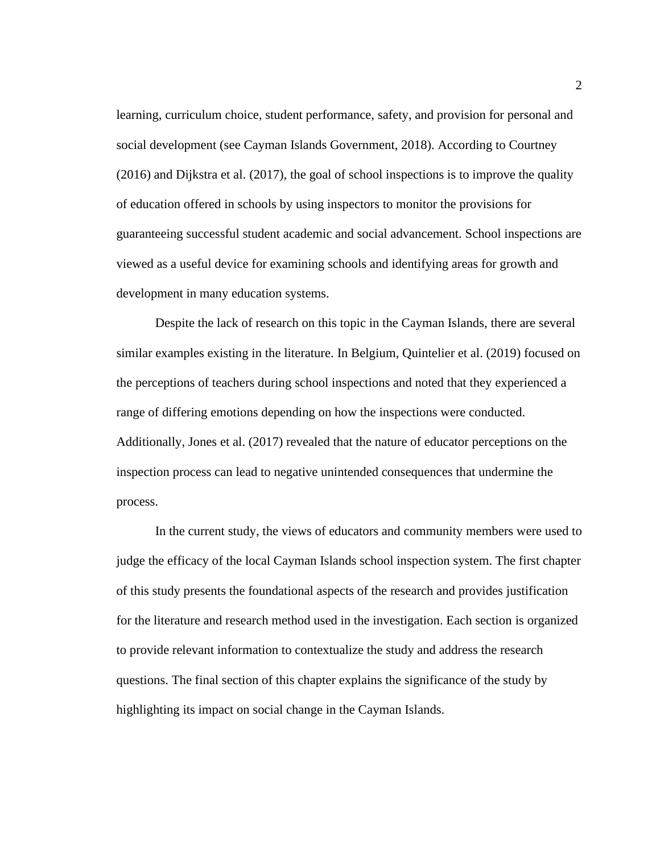learning, curriculum choice, student performance, safety, and provision for personal and social development (see Cayman Islands Government, 2018). According to Courtney (2016) and Dijkstra et al. (2017), the goal of school inspections is to improve the quality of education offered in schools by using inspectors to monitor the provisions for guaranteeing successful student academic and social advancement. School inspections are viewed as a useful device for examining schools and identifying areas for growth and development in many education systems.

Despite the lack of research on this topic in the Cayman Islands, there are several similar examples existing in the literature. In Belgium, Quintelier et al. (2019) focused on the perceptions of teachers during school inspections and noted that they experienced a range of differing emotions depending on how the inspections were conducted. Additionally, Jones et al. (2017) revealed that the nature of educator perceptions on the inspection process can lead to negative unintended consequences that undermine the process.

In the current study, the views of educators and community members were used to judge the efficacy of the local Cayman Islands school inspection system. The first chapter of this study presents the foundational aspects of the research and provides justification for the literature and research method used in the investigation. Each section is organized to provide relevant information to contextualize the study and address the research questions. The final section of this chapter explains the significance of the study by highlighting its impact on social change in the Cayman Islands.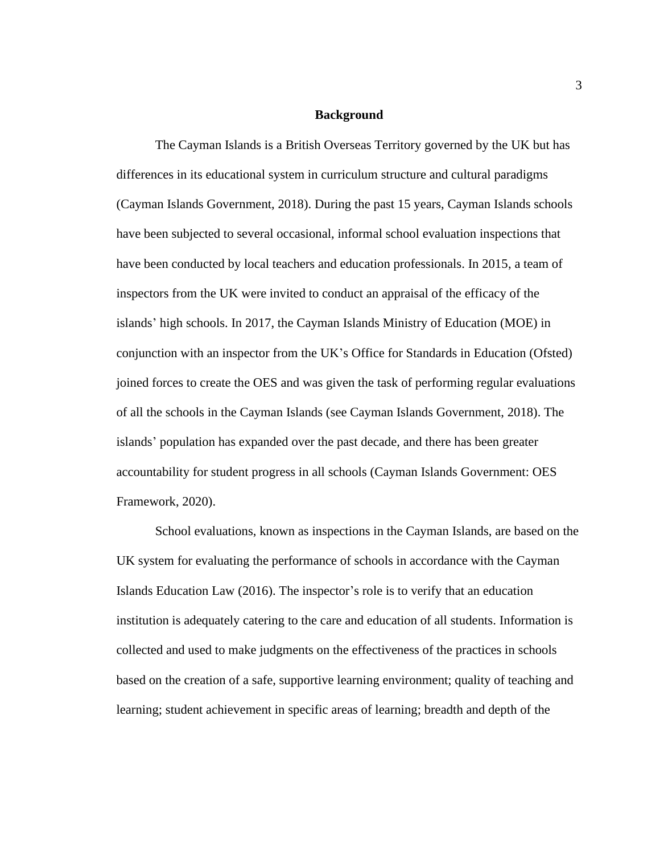### **Background**

<span id="page-14-0"></span>The Cayman Islands is a British Overseas Territory governed by the UK but has differences in its educational system in curriculum structure and cultural paradigms (Cayman Islands Government, 2018). During the past 15 years, Cayman Islands schools have been subjected to several occasional, informal school evaluation inspections that have been conducted by local teachers and education professionals. In 2015, a team of inspectors from the UK were invited to conduct an appraisal of the efficacy of the islands' high schools. In 2017, the Cayman Islands Ministry of Education (MOE) in conjunction with an inspector from the UK's Office for Standards in Education (Ofsted) joined forces to create the OES and was given the task of performing regular evaluations of all the schools in the Cayman Islands (see Cayman Islands Government, 2018). The islands' population has expanded over the past decade, and there has been greater accountability for student progress in all schools (Cayman Islands Government: OES Framework, 2020).

School evaluations, known as inspections in the Cayman Islands, are based on the UK system for evaluating the performance of schools in accordance with the Cayman Islands Education Law (2016). The inspector's role is to verify that an education institution is adequately catering to the care and education of all students. Information is collected and used to make judgments on the effectiveness of the practices in schools based on the creation of a safe, supportive learning environment; quality of teaching and learning; student achievement in specific areas of learning; breadth and depth of the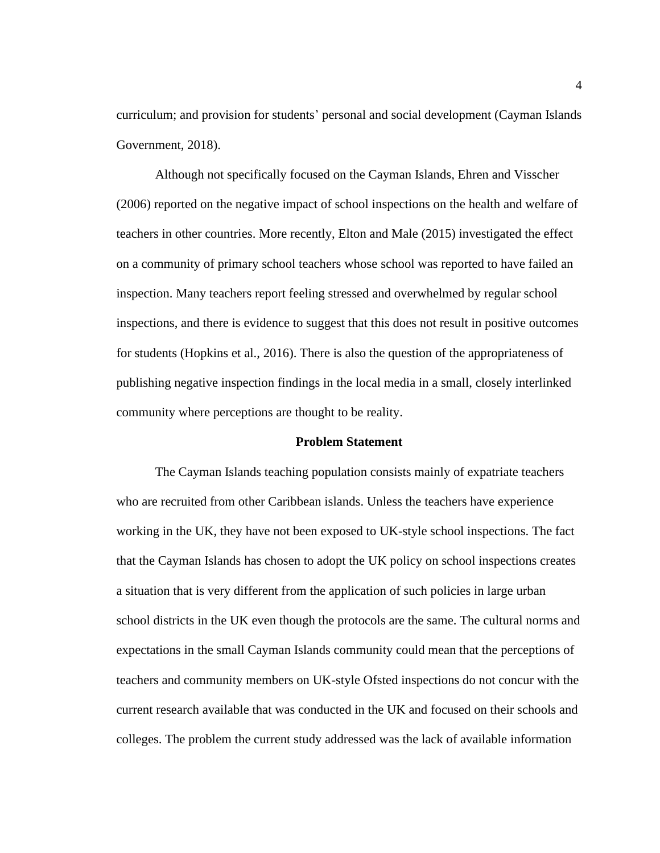curriculum; and provision for students' personal and social development (Cayman Islands Government, 2018).

Although not specifically focused on the Cayman Islands, Ehren and Visscher (2006) reported on the negative impact of school inspections on the health and welfare of teachers in other countries. More recently, Elton and Male (2015) investigated the effect on a community of primary school teachers whose school was reported to have failed an inspection. Many teachers report feeling stressed and overwhelmed by regular school inspections, and there is evidence to suggest that this does not result in positive outcomes for students (Hopkins et al., 2016). There is also the question of the appropriateness of publishing negative inspection findings in the local media in a small, closely interlinked community where perceptions are thought to be reality.

#### **Problem Statement**

<span id="page-15-0"></span>The Cayman Islands teaching population consists mainly of expatriate teachers who are recruited from other Caribbean islands. Unless the teachers have experience working in the UK, they have not been exposed to UK-style school inspections. The fact that the Cayman Islands has chosen to adopt the UK policy on school inspections creates a situation that is very different from the application of such policies in large urban school districts in the UK even though the protocols are the same. The cultural norms and expectations in the small Cayman Islands community could mean that the perceptions of teachers and community members on UK-style Ofsted inspections do not concur with the current research available that was conducted in the UK and focused on their schools and colleges. The problem the current study addressed was the lack of available information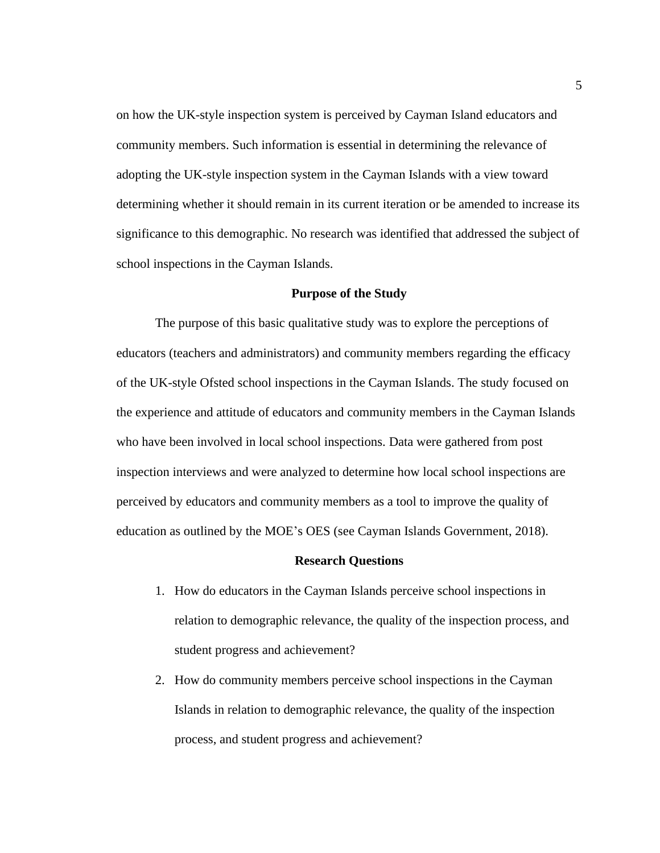on how the UK-style inspection system is perceived by Cayman Island educators and community members. Such information is essential in determining the relevance of adopting the UK-style inspection system in the Cayman Islands with a view toward determining whether it should remain in its current iteration or be amended to increase its significance to this demographic. No research was identified that addressed the subject of school inspections in the Cayman Islands.

## **Purpose of the Study**

<span id="page-16-0"></span>The purpose of this basic qualitative study was to explore the perceptions of educators (teachers and administrators) and community members regarding the efficacy of the UK-style Ofsted school inspections in the Cayman Islands. The study focused on the experience and attitude of educators and community members in the Cayman Islands who have been involved in local school inspections. Data were gathered from post inspection interviews and were analyzed to determine how local school inspections are perceived by educators and community members as a tool to improve the quality of education as outlined by the MOE's OES (see Cayman Islands Government, 2018).

#### **Research Questions**

- <span id="page-16-1"></span>1. How do educators in the Cayman Islands perceive school inspections in relation to demographic relevance, the quality of the inspection process, and student progress and achievement?
- 2. How do community members perceive school inspections in the Cayman Islands in relation to demographic relevance, the quality of the inspection process, and student progress and achievement?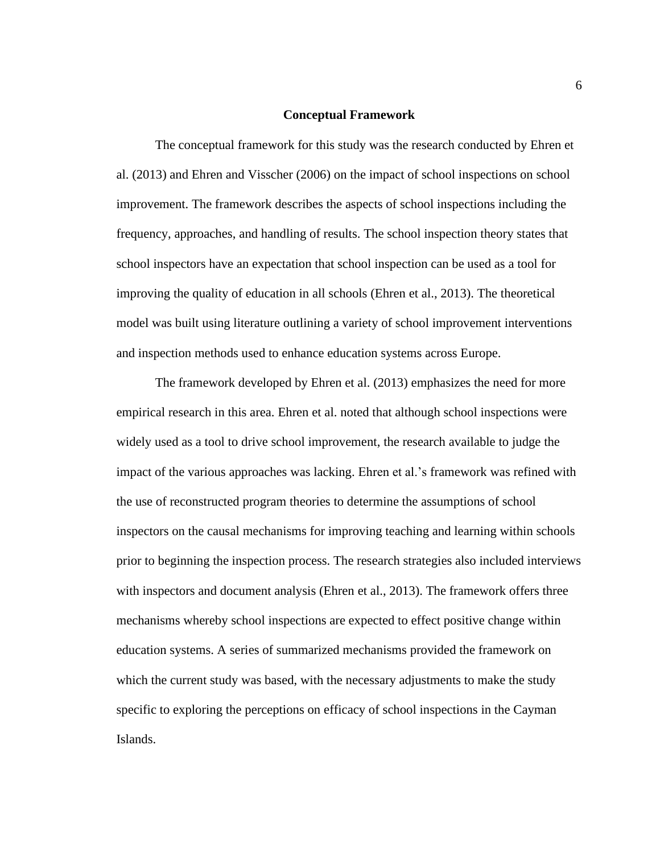#### **Conceptual Framework**

<span id="page-17-0"></span>The conceptual framework for this study was the research conducted by Ehren et al. (2013) and Ehren and Visscher (2006) on the impact of school inspections on school improvement. The framework describes the aspects of school inspections including the frequency, approaches, and handling of results. The school inspection theory states that school inspectors have an expectation that school inspection can be used as a tool for improving the quality of education in all schools (Ehren et al., 2013). The theoretical model was built using literature outlining a variety of school improvement interventions and inspection methods used to enhance education systems across Europe.

The framework developed by Ehren et al. (2013) emphasizes the need for more empirical research in this area. Ehren et al. noted that although school inspections were widely used as a tool to drive school improvement, the research available to judge the impact of the various approaches was lacking. Ehren et al.'s framework was refined with the use of reconstructed program theories to determine the assumptions of school inspectors on the causal mechanisms for improving teaching and learning within schools prior to beginning the inspection process. The research strategies also included interviews with inspectors and document analysis (Ehren et al., 2013). The framework offers three mechanisms whereby school inspections are expected to effect positive change within education systems. A series of summarized mechanisms provided the framework on which the current study was based, with the necessary adjustments to make the study specific to exploring the perceptions on efficacy of school inspections in the Cayman Islands.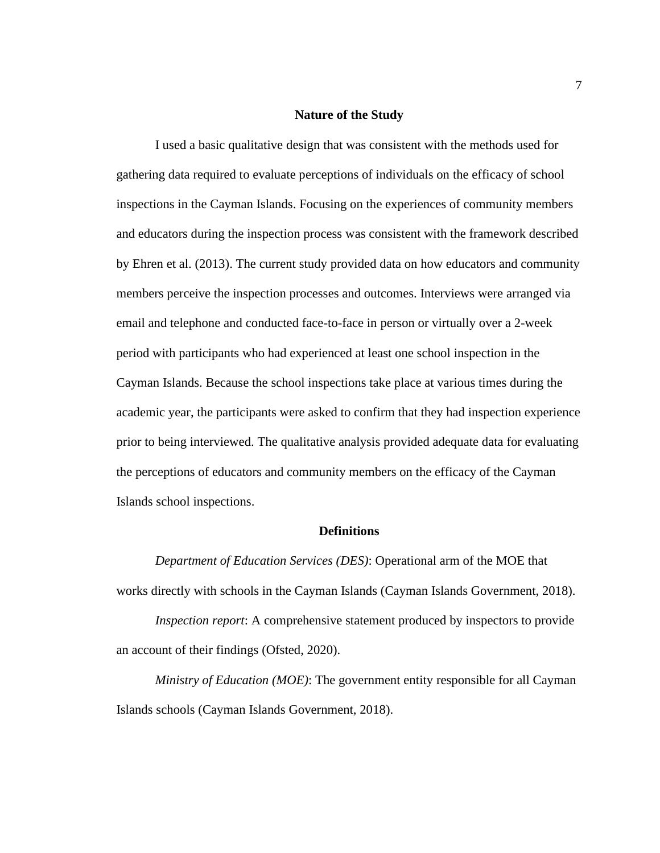# **Nature of the Study**

<span id="page-18-0"></span>I used a basic qualitative design that was consistent with the methods used for gathering data required to evaluate perceptions of individuals on the efficacy of school inspections in the Cayman Islands. Focusing on the experiences of community members and educators during the inspection process was consistent with the framework described by Ehren et al. (2013). The current study provided data on how educators and community members perceive the inspection processes and outcomes. Interviews were arranged via email and telephone and conducted face-to-face in person or virtually over a 2-week period with participants who had experienced at least one school inspection in the Cayman Islands. Because the school inspections take place at various times during the academic year, the participants were asked to confirm that they had inspection experience prior to being interviewed. The qualitative analysis provided adequate data for evaluating the perceptions of educators and community members on the efficacy of the Cayman Islands school inspections.

## **Definitions**

<span id="page-18-1"></span>*Department of Education Services (DES)*: Operational arm of the MOE that works directly with schools in the Cayman Islands (Cayman Islands Government, 2018).

*Inspection report*: A comprehensive statement produced by inspectors to provide an account of their findings (Ofsted, 2020).

*Ministry of Education (MOE)*: The government entity responsible for all Cayman Islands schools (Cayman Islands Government, 2018).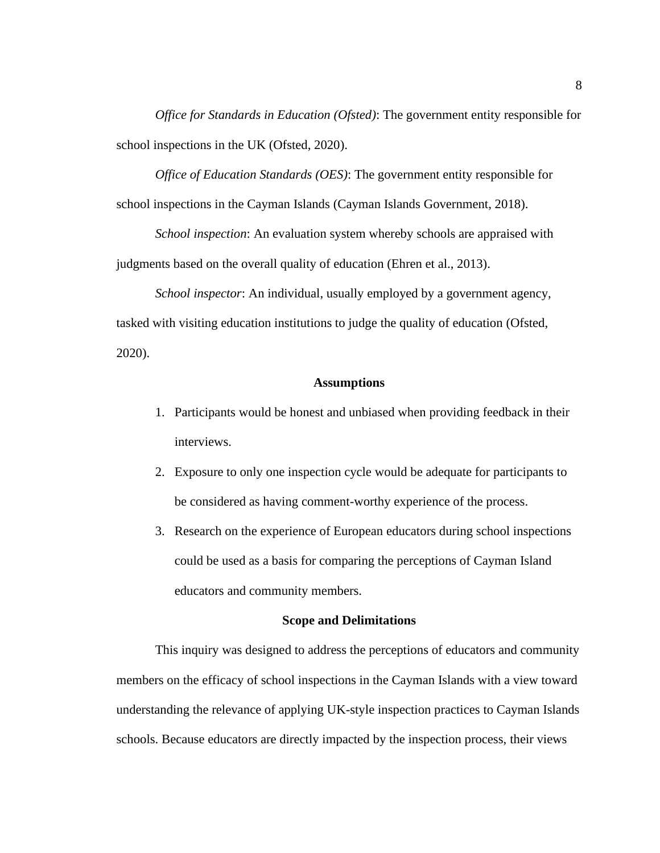*Office for Standards in Education (Ofsted)*: The government entity responsible for school inspections in the UK (Ofsted, 2020).

*Office of Education Standards (OES)*: The government entity responsible for school inspections in the Cayman Islands (Cayman Islands Government, 2018).

*School inspection*: An evaluation system whereby schools are appraised with judgments based on the overall quality of education (Ehren et al., 2013).

*School inspector*: An individual, usually employed by a government agency, tasked with visiting education institutions to judge the quality of education (Ofsted, 2020).

# **Assumptions**

- <span id="page-19-0"></span>1. Participants would be honest and unbiased when providing feedback in their interviews.
- 2. Exposure to only one inspection cycle would be adequate for participants to be considered as having comment-worthy experience of the process.
- 3. Research on the experience of European educators during school inspections could be used as a basis for comparing the perceptions of Cayman Island educators and community members.

#### **Scope and Delimitations**

<span id="page-19-1"></span>This inquiry was designed to address the perceptions of educators and community members on the efficacy of school inspections in the Cayman Islands with a view toward understanding the relevance of applying UK-style inspection practices to Cayman Islands schools. Because educators are directly impacted by the inspection process, their views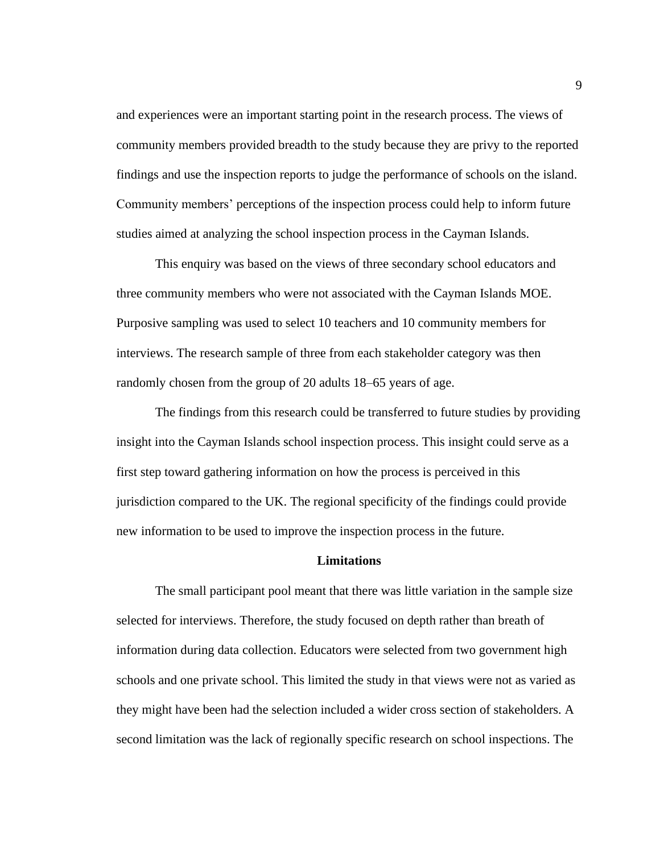and experiences were an important starting point in the research process. The views of community members provided breadth to the study because they are privy to the reported findings and use the inspection reports to judge the performance of schools on the island. Community members' perceptions of the inspection process could help to inform future studies aimed at analyzing the school inspection process in the Cayman Islands.

This enquiry was based on the views of three secondary school educators and three community members who were not associated with the Cayman Islands MOE. Purposive sampling was used to select 10 teachers and 10 community members for interviews. The research sample of three from each stakeholder category was then randomly chosen from the group of 20 adults 18–65 years of age.

The findings from this research could be transferred to future studies by providing insight into the Cayman Islands school inspection process. This insight could serve as a first step toward gathering information on how the process is perceived in this jurisdiction compared to the UK. The regional specificity of the findings could provide new information to be used to improve the inspection process in the future.

#### **Limitations**

<span id="page-20-0"></span>The small participant pool meant that there was little variation in the sample size selected for interviews. Therefore, the study focused on depth rather than breath of information during data collection. Educators were selected from two government high schools and one private school. This limited the study in that views were not as varied as they might have been had the selection included a wider cross section of stakeholders. A second limitation was the lack of regionally specific research on school inspections. The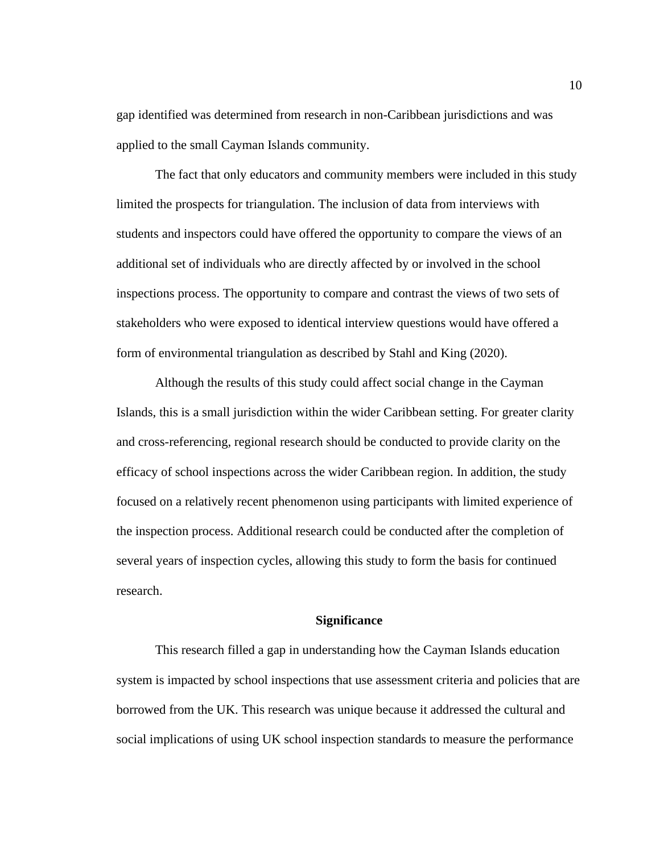gap identified was determined from research in non-Caribbean jurisdictions and was applied to the small Cayman Islands community.

The fact that only educators and community members were included in this study limited the prospects for triangulation. The inclusion of data from interviews with students and inspectors could have offered the opportunity to compare the views of an additional set of individuals who are directly affected by or involved in the school inspections process. The opportunity to compare and contrast the views of two sets of stakeholders who were exposed to identical interview questions would have offered a form of environmental triangulation as described by Stahl and King (2020).

Although the results of this study could affect social change in the Cayman Islands, this is a small jurisdiction within the wider Caribbean setting. For greater clarity and cross-referencing, regional research should be conducted to provide clarity on the efficacy of school inspections across the wider Caribbean region. In addition, the study focused on a relatively recent phenomenon using participants with limited experience of the inspection process. Additional research could be conducted after the completion of several years of inspection cycles, allowing this study to form the basis for continued research.

#### **Significance**

<span id="page-21-0"></span>This research filled a gap in understanding how the Cayman Islands education system is impacted by school inspections that use assessment criteria and policies that are borrowed from the UK. This research was unique because it addressed the cultural and social implications of using UK school inspection standards to measure the performance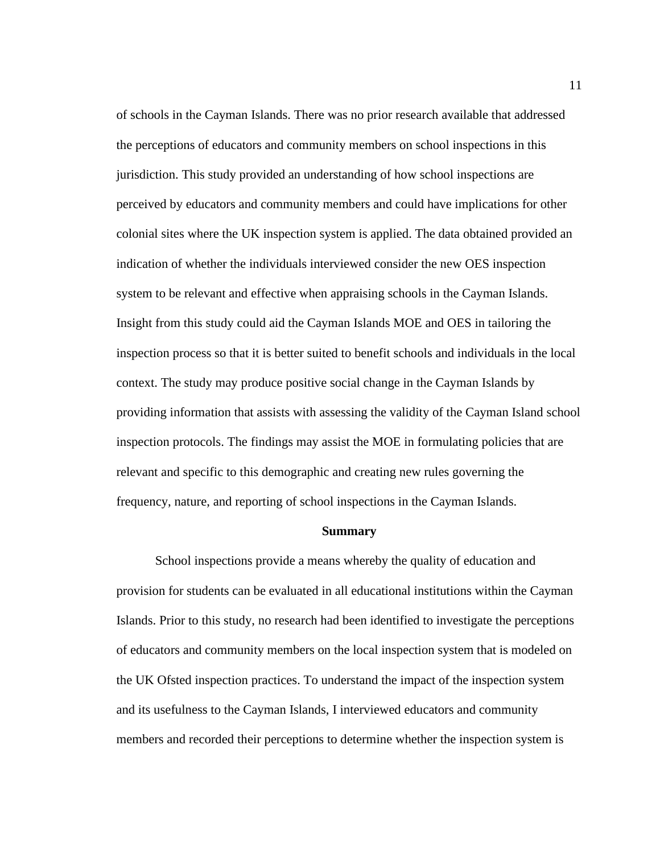of schools in the Cayman Islands. There was no prior research available that addressed the perceptions of educators and community members on school inspections in this jurisdiction. This study provided an understanding of how school inspections are perceived by educators and community members and could have implications for other colonial sites where the UK inspection system is applied. The data obtained provided an indication of whether the individuals interviewed consider the new OES inspection system to be relevant and effective when appraising schools in the Cayman Islands. Insight from this study could aid the Cayman Islands MOE and OES in tailoring the inspection process so that it is better suited to benefit schools and individuals in the local context. The study may produce positive social change in the Cayman Islands by providing information that assists with assessing the validity of the Cayman Island school inspection protocols. The findings may assist the MOE in formulating policies that are relevant and specific to this demographic and creating new rules governing the frequency, nature, and reporting of school inspections in the Cayman Islands.

#### **Summary**

<span id="page-22-0"></span>School inspections provide a means whereby the quality of education and provision for students can be evaluated in all educational institutions within the Cayman Islands. Prior to this study, no research had been identified to investigate the perceptions of educators and community members on the local inspection system that is modeled on the UK Ofsted inspection practices. To understand the impact of the inspection system and its usefulness to the Cayman Islands, I interviewed educators and community members and recorded their perceptions to determine whether the inspection system is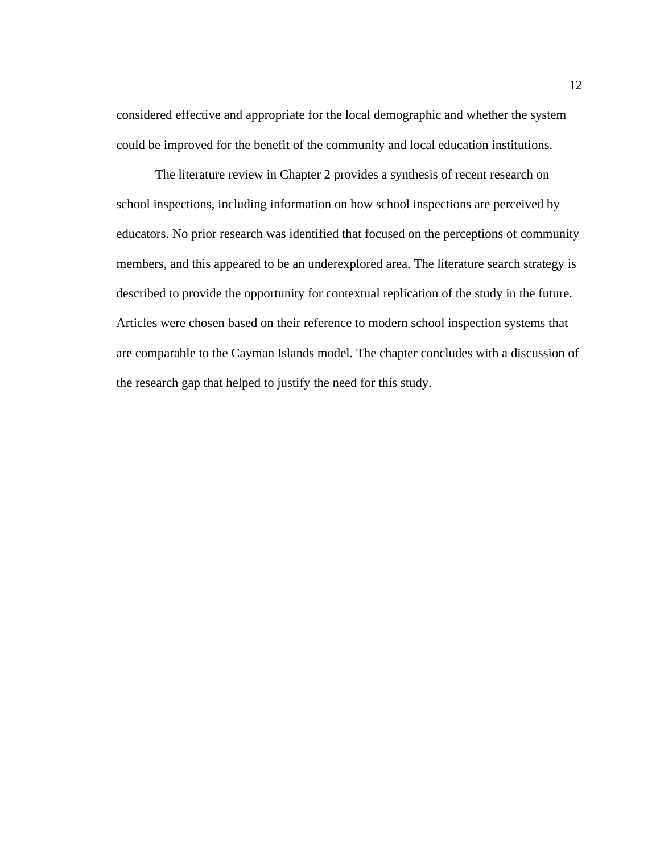considered effective and appropriate for the local demographic and whether the system could be improved for the benefit of the community and local education institutions.

The literature review in Chapter 2 provides a synthesis of recent research on school inspections, including information on how school inspections are perceived by educators. No prior research was identified that focused on the perceptions of community members, and this appeared to be an underexplored area. The literature search strategy is described to provide the opportunity for contextual replication of the study in the future. Articles were chosen based on their reference to modern school inspection systems that are comparable to the Cayman Islands model. The chapter concludes with a discussion of the research gap that helped to justify the need for this study.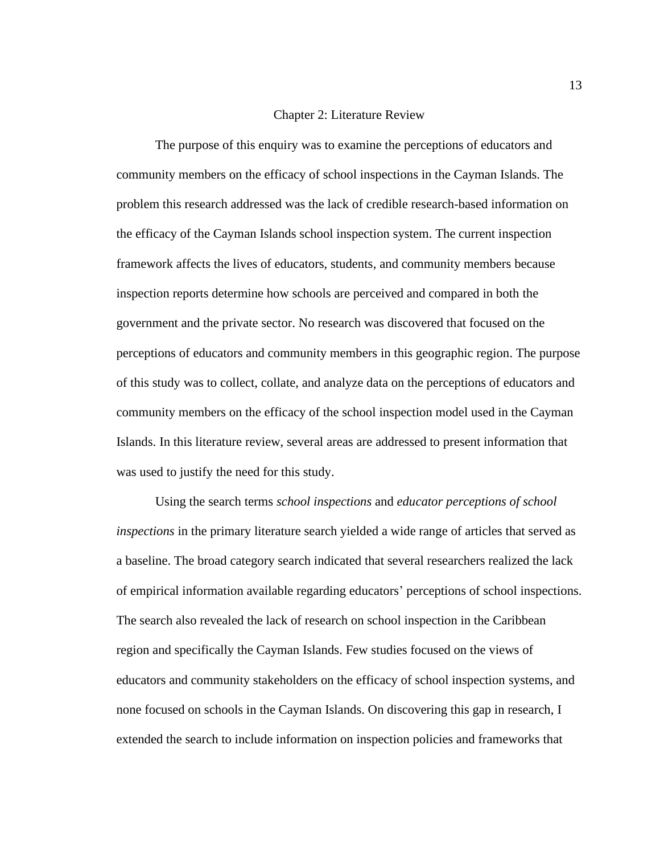# Chapter 2: Literature Review

<span id="page-24-0"></span>The purpose of this enquiry was to examine the perceptions of educators and community members on the efficacy of school inspections in the Cayman Islands. The problem this research addressed was the lack of credible research-based information on the efficacy of the Cayman Islands school inspection system. The current inspection framework affects the lives of educators, students, and community members because inspection reports determine how schools are perceived and compared in both the government and the private sector. No research was discovered that focused on the perceptions of educators and community members in this geographic region. The purpose of this study was to collect, collate, and analyze data on the perceptions of educators and community members on the efficacy of the school inspection model used in the Cayman Islands. In this literature review, several areas are addressed to present information that was used to justify the need for this study.

Using the search terms *school inspections* and *educator perceptions of school inspections* in the primary literature search yielded a wide range of articles that served as a baseline. The broad category search indicated that several researchers realized the lack of empirical information available regarding educators' perceptions of school inspections. The search also revealed the lack of research on school inspection in the Caribbean region and specifically the Cayman Islands. Few studies focused on the views of educators and community stakeholders on the efficacy of school inspection systems, and none focused on schools in the Cayman Islands. On discovering this gap in research, I extended the search to include information on inspection policies and frameworks that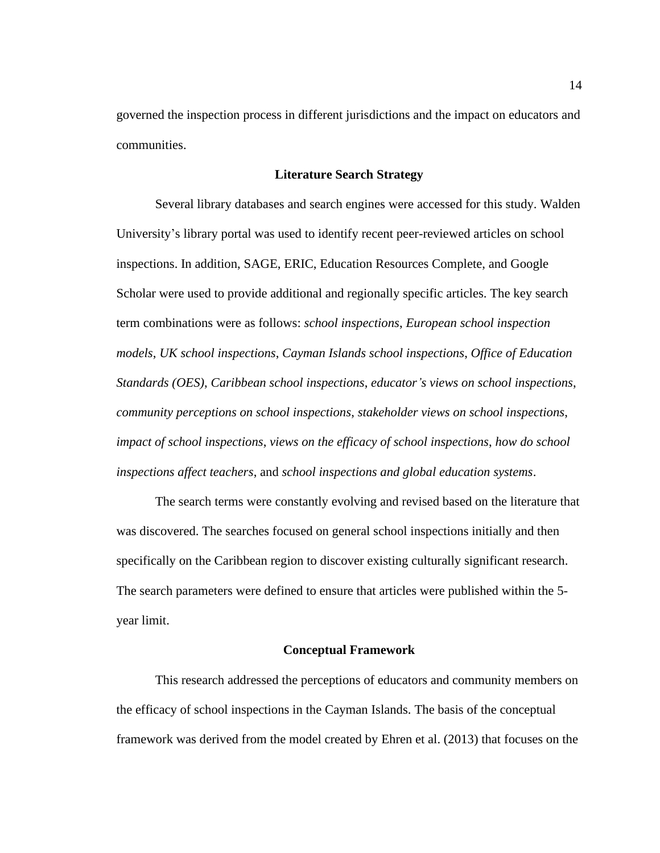governed the inspection process in different jurisdictions and the impact on educators and communities.

# **Literature Search Strategy**

<span id="page-25-0"></span>Several library databases and search engines were accessed for this study. Walden University's library portal was used to identify recent peer-reviewed articles on school inspections. In addition, SAGE, ERIC, Education Resources Complete, and Google Scholar were used to provide additional and regionally specific articles. The key search term combinations were as follows: *school inspections*, *European school inspection models*, *UK school inspections*, *Cayman Islands school inspections*, *Office of Education Standards (OES)*, *Caribbean school inspections*, *educator's views on school inspections*, *community perceptions on school inspections*, *stakeholder views on school inspections*, *impact of school inspections*, *views on the efficacy of school inspections*, *how do school inspections affect teachers*, and *school inspections and global education systems*.

The search terms were constantly evolving and revised based on the literature that was discovered. The searches focused on general school inspections initially and then specifically on the Caribbean region to discover existing culturally significant research. The search parameters were defined to ensure that articles were published within the 5 year limit.

#### **Conceptual Framework**

<span id="page-25-1"></span>This research addressed the perceptions of educators and community members on the efficacy of school inspections in the Cayman Islands. The basis of the conceptual framework was derived from the model created by Ehren et al. (2013) that focuses on the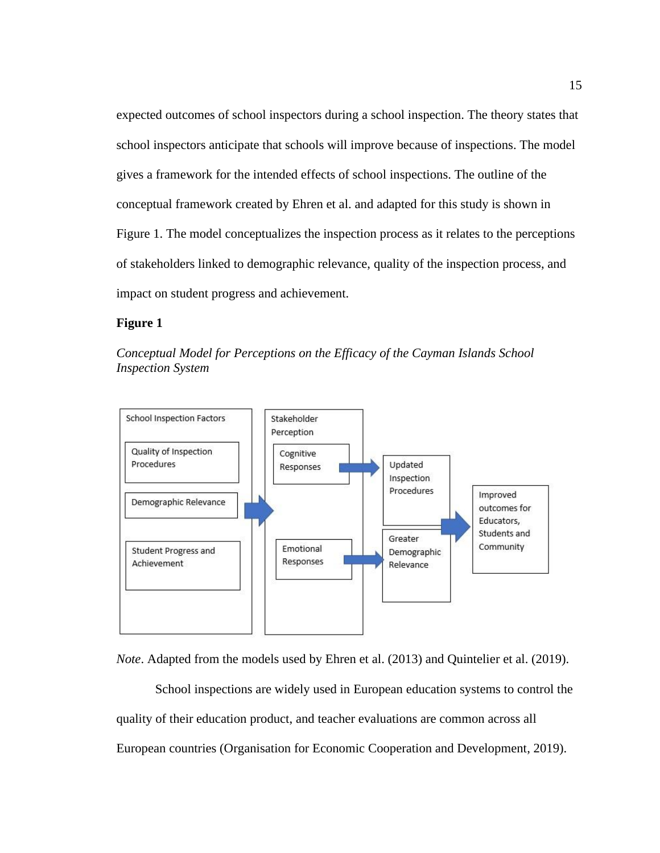expected outcomes of school inspectors during a school inspection. The theory states that school inspectors anticipate that schools will improve because of inspections. The model gives a framework for the intended effects of school inspections. The outline of the conceptual framework created by Ehren et al. and adapted for this study is shown in Figure 1. The model conceptualizes the inspection process as it relates to the perceptions of stakeholders linked to demographic relevance, quality of the inspection process, and impact on student progress and achievement.

# <span id="page-26-0"></span>**Figure 1**





*Note*. Adapted from the models used by Ehren et al. (2013) and Quintelier et al. (2019).

School inspections are widely used in European education systems to control the quality of their education product, and teacher evaluations are common across all European countries (Organisation for Economic Cooperation and Development, 2019).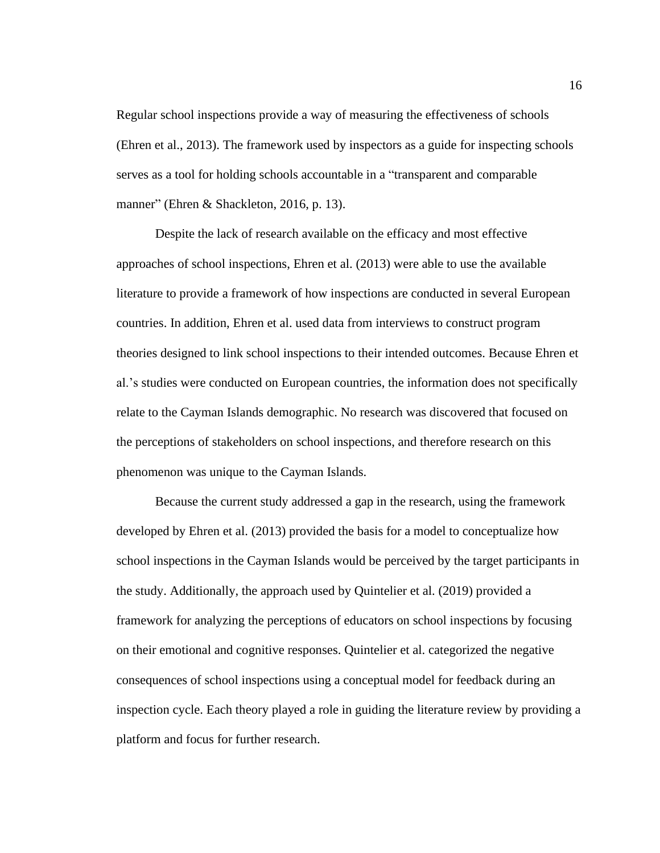Regular school inspections provide a way of measuring the effectiveness of schools (Ehren et al., 2013). The framework used by inspectors as a guide for inspecting schools serves as a tool for holding schools accountable in a "transparent and comparable manner" (Ehren & Shackleton, 2016, p. 13).

Despite the lack of research available on the efficacy and most effective approaches of school inspections, Ehren et al. (2013) were able to use the available literature to provide a framework of how inspections are conducted in several European countries. In addition, Ehren et al. used data from interviews to construct program theories designed to link school inspections to their intended outcomes. Because Ehren et al.'s studies were conducted on European countries, the information does not specifically relate to the Cayman Islands demographic. No research was discovered that focused on the perceptions of stakeholders on school inspections, and therefore research on this phenomenon was unique to the Cayman Islands.

Because the current study addressed a gap in the research, using the framework developed by Ehren et al. (2013) provided the basis for a model to conceptualize how school inspections in the Cayman Islands would be perceived by the target participants in the study. Additionally, the approach used by Quintelier et al. (2019) provided a framework for analyzing the perceptions of educators on school inspections by focusing on their emotional and cognitive responses. Quintelier et al. categorized the negative consequences of school inspections using a conceptual model for feedback during an inspection cycle. Each theory played a role in guiding the literature review by providing a platform and focus for further research.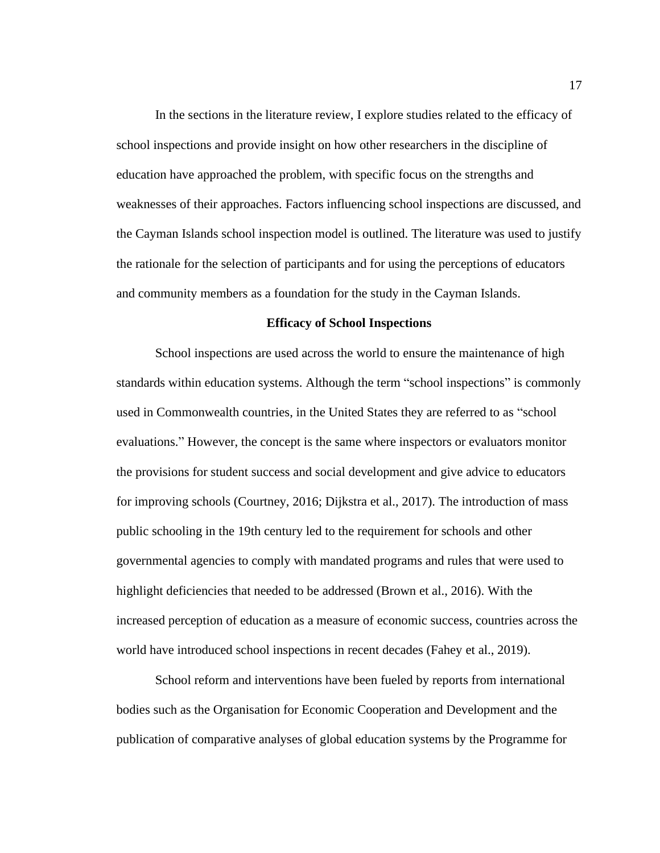In the sections in the literature review, I explore studies related to the efficacy of school inspections and provide insight on how other researchers in the discipline of education have approached the problem, with specific focus on the strengths and weaknesses of their approaches. Factors influencing school inspections are discussed, and the Cayman Islands school inspection model is outlined. The literature was used to justify the rationale for the selection of participants and for using the perceptions of educators and community members as a foundation for the study in the Cayman Islands.

#### **Efficacy of School Inspections**

<span id="page-28-0"></span>School inspections are used across the world to ensure the maintenance of high standards within education systems. Although the term "school inspections" is commonly used in Commonwealth countries, in the United States they are referred to as "school evaluations." However, the concept is the same where inspectors or evaluators monitor the provisions for student success and social development and give advice to educators for improving schools (Courtney, 2016; Dijkstra et al., 2017). The introduction of mass public schooling in the 19th century led to the requirement for schools and other governmental agencies to comply with mandated programs and rules that were used to highlight deficiencies that needed to be addressed (Brown et al., 2016). With the increased perception of education as a measure of economic success, countries across the world have introduced school inspections in recent decades (Fahey et al., 2019).

School reform and interventions have been fueled by reports from international bodies such as the Organisation for Economic Cooperation and Development and the publication of comparative analyses of global education systems by the Programme for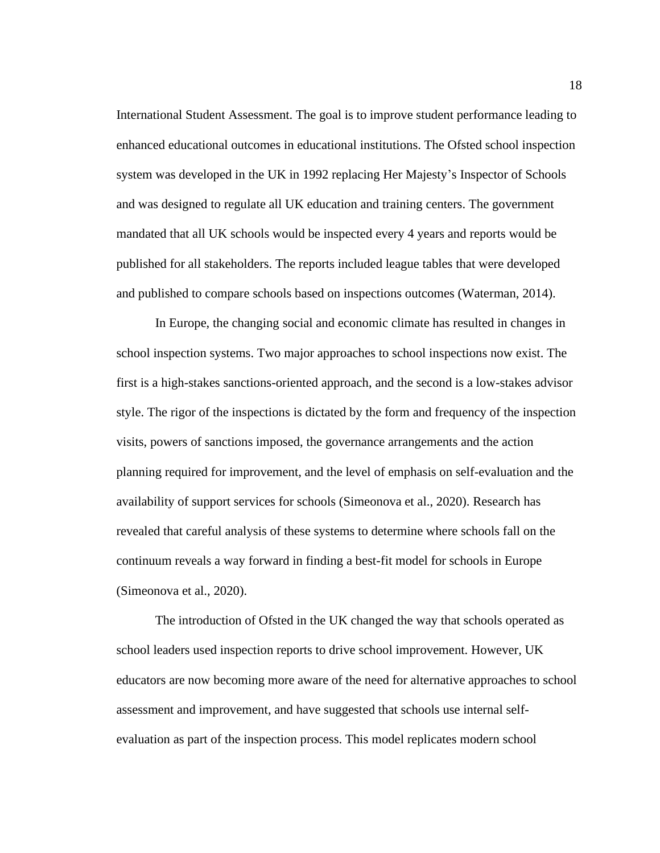International Student Assessment. The goal is to improve student performance leading to enhanced educational outcomes in educational institutions. The Ofsted school inspection system was developed in the UK in 1992 replacing Her Majesty's Inspector of Schools and was designed to regulate all UK education and training centers. The government mandated that all UK schools would be inspected every 4 years and reports would be published for all stakeholders. The reports included league tables that were developed and published to compare schools based on inspections outcomes (Waterman, 2014).

In Europe, the changing social and economic climate has resulted in changes in school inspection systems. Two major approaches to school inspections now exist. The first is a high-stakes sanctions-oriented approach, and the second is a low-stakes advisor style. The rigor of the inspections is dictated by the form and frequency of the inspection visits, powers of sanctions imposed, the governance arrangements and the action planning required for improvement, and the level of emphasis on self-evaluation and the availability of support services for schools (Simeonova et al., 2020). Research has revealed that careful analysis of these systems to determine where schools fall on the continuum reveals a way forward in finding a best-fit model for schools in Europe (Simeonova et al., 2020).

The introduction of Ofsted in the UK changed the way that schools operated as school leaders used inspection reports to drive school improvement. However, UK educators are now becoming more aware of the need for alternative approaches to school assessment and improvement, and have suggested that schools use internal selfevaluation as part of the inspection process. This model replicates modern school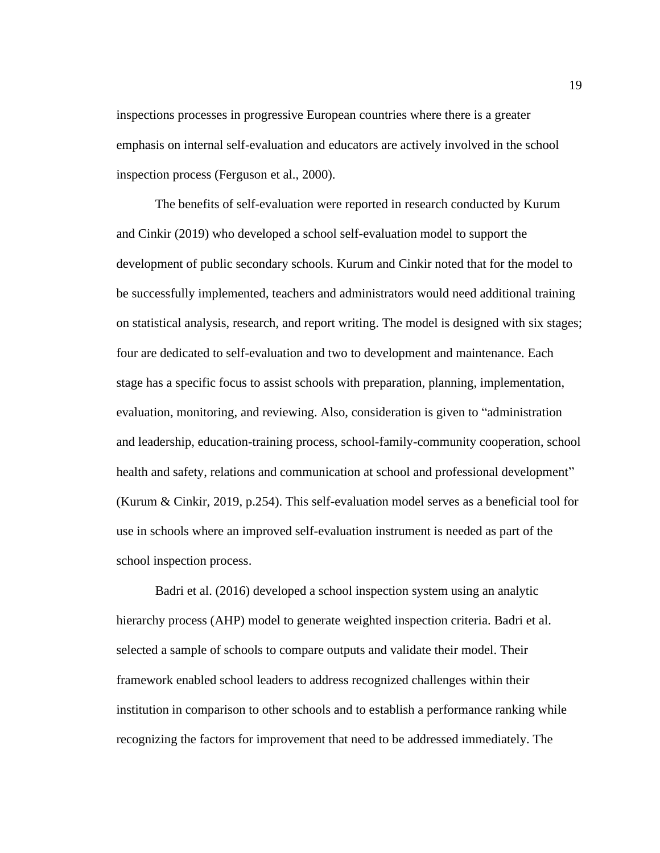inspections processes in progressive European countries where there is a greater emphasis on internal self-evaluation and educators are actively involved in the school inspection process (Ferguson et al., 2000).

The benefits of self-evaluation were reported in research conducted by Kurum and Cinkir (2019) who developed a school self-evaluation model to support the development of public secondary schools. Kurum and Cinkir noted that for the model to be successfully implemented, teachers and administrators would need additional training on statistical analysis, research, and report writing. The model is designed with six stages; four are dedicated to self-evaluation and two to development and maintenance. Each stage has a specific focus to assist schools with preparation, planning, implementation, evaluation, monitoring, and reviewing. Also, consideration is given to "administration and leadership, education-training process, school-family-community cooperation, school health and safety, relations and communication at school and professional development" (Kurum & Cinkir, 2019, p.254). This self-evaluation model serves as a beneficial tool for use in schools where an improved self-evaluation instrument is needed as part of the school inspection process.

Badri et al. (2016) developed a school inspection system using an analytic hierarchy process (AHP) model to generate weighted inspection criteria. Badri et al. selected a sample of schools to compare outputs and validate their model. Their framework enabled school leaders to address recognized challenges within their institution in comparison to other schools and to establish a performance ranking while recognizing the factors for improvement that need to be addressed immediately. The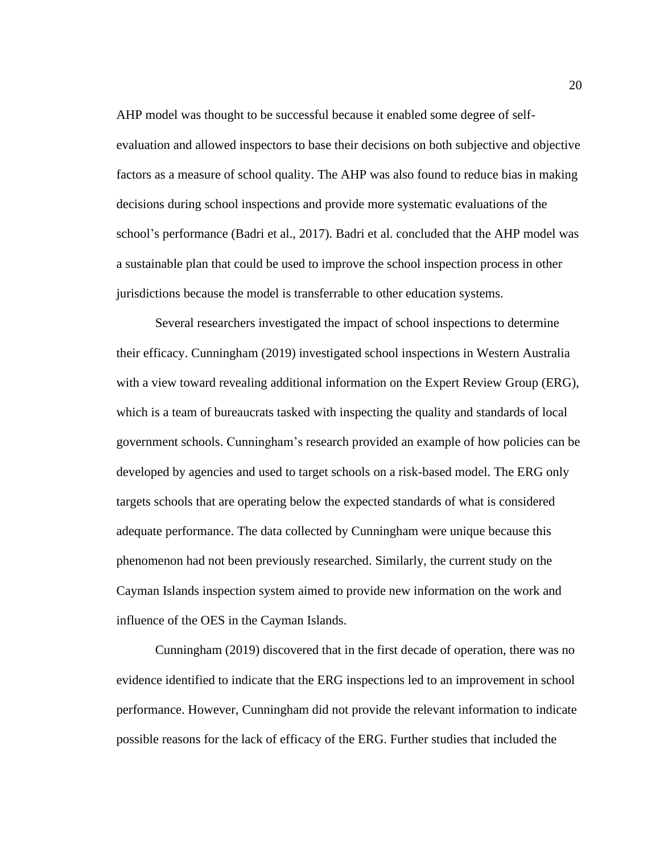AHP model was thought to be successful because it enabled some degree of selfevaluation and allowed inspectors to base their decisions on both subjective and objective factors as a measure of school quality. The AHP was also found to reduce bias in making decisions during school inspections and provide more systematic evaluations of the school's performance (Badri et al., 2017). Badri et al. concluded that the AHP model was a sustainable plan that could be used to improve the school inspection process in other jurisdictions because the model is transferrable to other education systems.

Several researchers investigated the impact of school inspections to determine their efficacy. Cunningham (2019) investigated school inspections in Western Australia with a view toward revealing additional information on the Expert Review Group (ERG), which is a team of bureaucrats tasked with inspecting the quality and standards of local government schools. Cunningham's research provided an example of how policies can be developed by agencies and used to target schools on a risk-based model. The ERG only targets schools that are operating below the expected standards of what is considered adequate performance. The data collected by Cunningham were unique because this phenomenon had not been previously researched. Similarly, the current study on the Cayman Islands inspection system aimed to provide new information on the work and influence of the OES in the Cayman Islands.

Cunningham (2019) discovered that in the first decade of operation, there was no evidence identified to indicate that the ERG inspections led to an improvement in school performance. However, Cunningham did not provide the relevant information to indicate possible reasons for the lack of efficacy of the ERG. Further studies that included the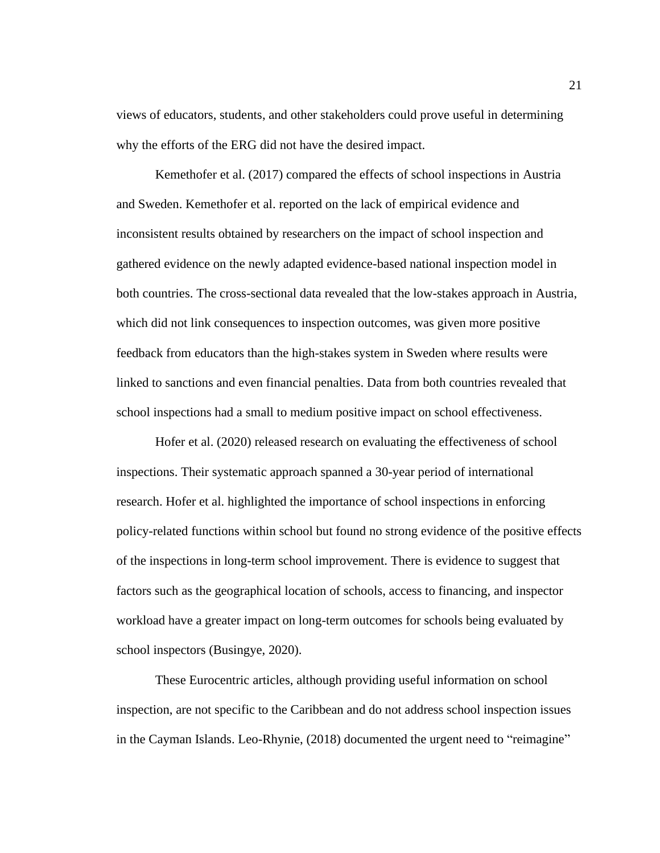views of educators, students, and other stakeholders could prove useful in determining why the efforts of the ERG did not have the desired impact.

Kemethofer et al. (2017) compared the effects of school inspections in Austria and Sweden. Kemethofer et al. reported on the lack of empirical evidence and inconsistent results obtained by researchers on the impact of school inspection and gathered evidence on the newly adapted evidence-based national inspection model in both countries. The cross-sectional data revealed that the low-stakes approach in Austria, which did not link consequences to inspection outcomes, was given more positive feedback from educators than the high-stakes system in Sweden where results were linked to sanctions and even financial penalties. Data from both countries revealed that school inspections had a small to medium positive impact on school effectiveness.

Hofer et al. (2020) released research on evaluating the effectiveness of school inspections. Their systematic approach spanned a 30-year period of international research. Hofer et al. highlighted the importance of school inspections in enforcing policy-related functions within school but found no strong evidence of the positive effects of the inspections in long-term school improvement. There is evidence to suggest that factors such as the geographical location of schools, access to financing, and inspector workload have a greater impact on long-term outcomes for schools being evaluated by school inspectors (Busingye, 2020).

These Eurocentric articles, although providing useful information on school inspection, are not specific to the Caribbean and do not address school inspection issues in the Cayman Islands. Leo-Rhynie, (2018) documented the urgent need to "reimagine"

21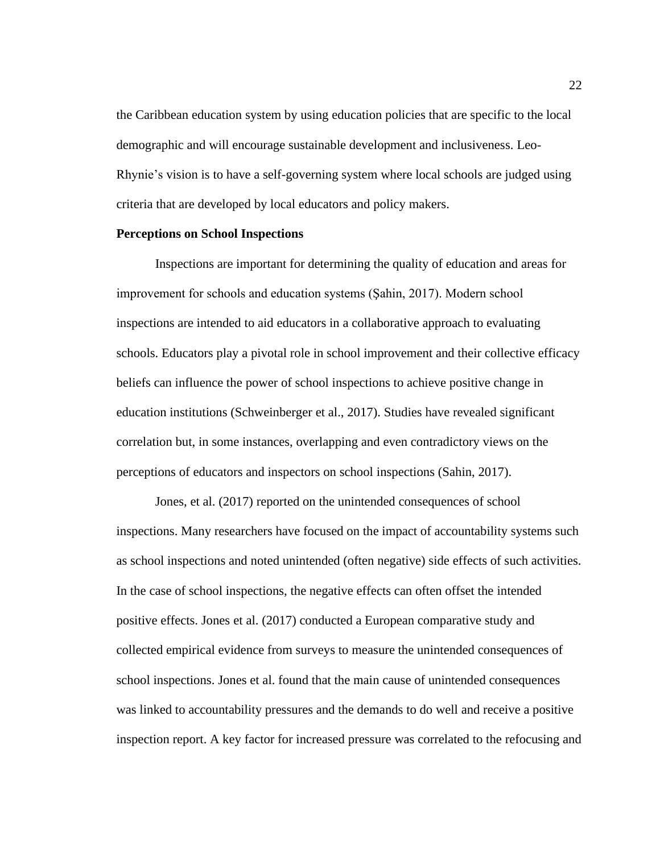the Caribbean education system by using education policies that are specific to the local demographic and will encourage sustainable development and inclusiveness. Leo-Rhynie's vision is to have a self-governing system where local schools are judged using criteria that are developed by local educators and policy makers.

## <span id="page-33-0"></span>**Perceptions on School Inspections**

Inspections are important for determining the quality of education and areas for improvement for schools and education systems (Şahin, 2017). Modern school inspections are intended to aid educators in a collaborative approach to evaluating schools. Educators play a pivotal role in school improvement and their collective efficacy beliefs can influence the power of school inspections to achieve positive change in education institutions (Schweinberger et al., 2017). Studies have revealed significant correlation but, in some instances, overlapping and even contradictory views on the perceptions of educators and inspectors on school inspections (Sahin, 2017).

Jones, et al. (2017) reported on the unintended consequences of school inspections. Many researchers have focused on the impact of accountability systems such as school inspections and noted unintended (often negative) side effects of such activities. In the case of school inspections, the negative effects can often offset the intended positive effects. Jones et al. (2017) conducted a European comparative study and collected empirical evidence from surveys to measure the unintended consequences of school inspections. Jones et al. found that the main cause of unintended consequences was linked to accountability pressures and the demands to do well and receive a positive inspection report. A key factor for increased pressure was correlated to the refocusing and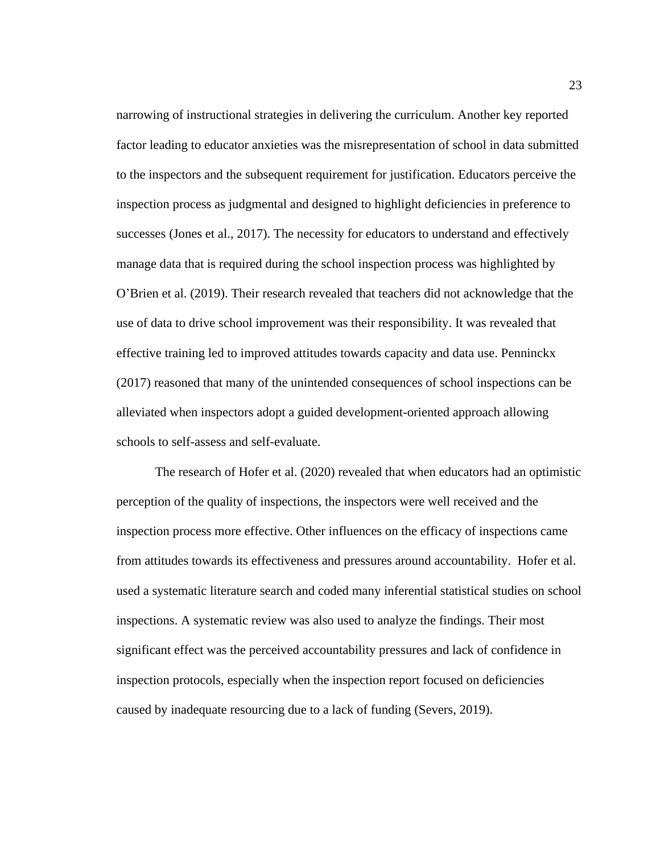narrowing of instructional strategies in delivering the curriculum. Another key reported factor leading to educator anxieties was the misrepresentation of school in data submitted to the inspectors and the subsequent requirement for justification. Educators perceive the inspection process as judgmental and designed to highlight deficiencies in preference to successes (Jones et al., 2017). The necessity for educators to understand and effectively manage data that is required during the school inspection process was highlighted by O'Brien et al. (2019). Their research revealed that teachers did not acknowledge that the use of data to drive school improvement was their responsibility. It was revealed that effective training led to improved attitudes towards capacity and data use. Penninckx (2017) reasoned that many of the unintended consequences of school inspections can be alleviated when inspectors adopt a guided development-oriented approach allowing schools to self-assess and self-evaluate.

The research of Hofer et al. (2020) revealed that when educators had an optimistic perception of the quality of inspections, the inspectors were well received and the inspection process more effective. Other influences on the efficacy of inspections came from attitudes towards its effectiveness and pressures around accountability. Hofer et al. used a systematic literature search and coded many inferential statistical studies on school inspections. A systematic review was also used to analyze the findings. Their most significant effect was the perceived accountability pressures and lack of confidence in inspection protocols, especially when the inspection report focused on deficiencies caused by inadequate resourcing due to a lack of funding (Severs, 2019).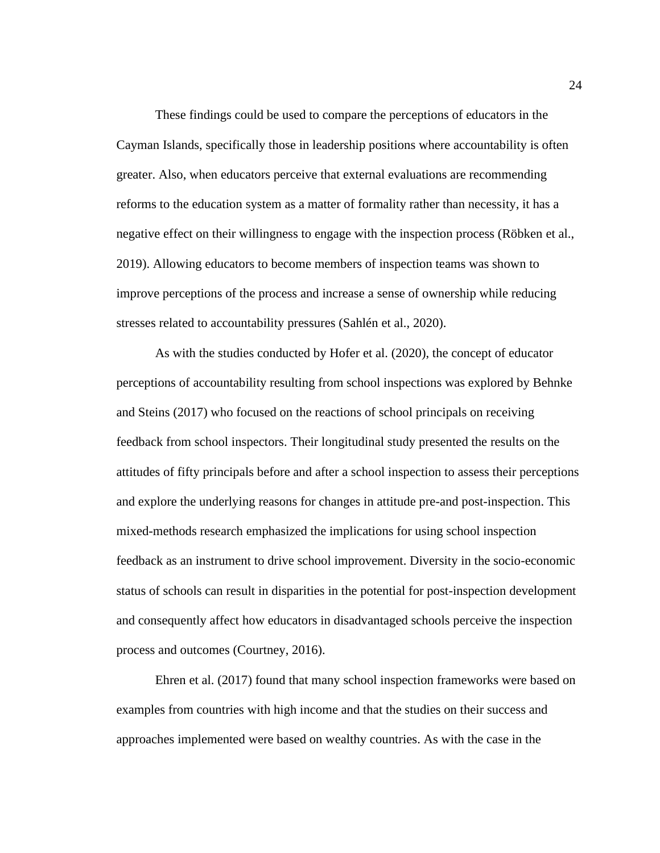These findings could be used to compare the perceptions of educators in the Cayman Islands, specifically those in leadership positions where accountability is often greater. Also, when educators perceive that external evaluations are recommending reforms to the education system as a matter of formality rather than necessity, it has a negative effect on their willingness to engage with the inspection process (Röbken et al., 2019). Allowing educators to become members of inspection teams was shown to improve perceptions of the process and increase a sense of ownership while reducing stresses related to accountability pressures (Sahlén et al., 2020).

As with the studies conducted by Hofer et al. (2020), the concept of educator perceptions of accountability resulting from school inspections was explored by Behnke and Steins (2017) who focused on the reactions of school principals on receiving feedback from school inspectors. Their longitudinal study presented the results on the attitudes of fifty principals before and after a school inspection to assess their perceptions and explore the underlying reasons for changes in attitude pre-and post-inspection. This mixed-methods research emphasized the implications for using school inspection feedback as an instrument to drive school improvement. Diversity in the socio-economic status of schools can result in disparities in the potential for post-inspection development and consequently affect how educators in disadvantaged schools perceive the inspection process and outcomes (Courtney, 2016).

Ehren et al. (2017) found that many school inspection frameworks were based on examples from countries with high income and that the studies on their success and approaches implemented were based on wealthy countries. As with the case in the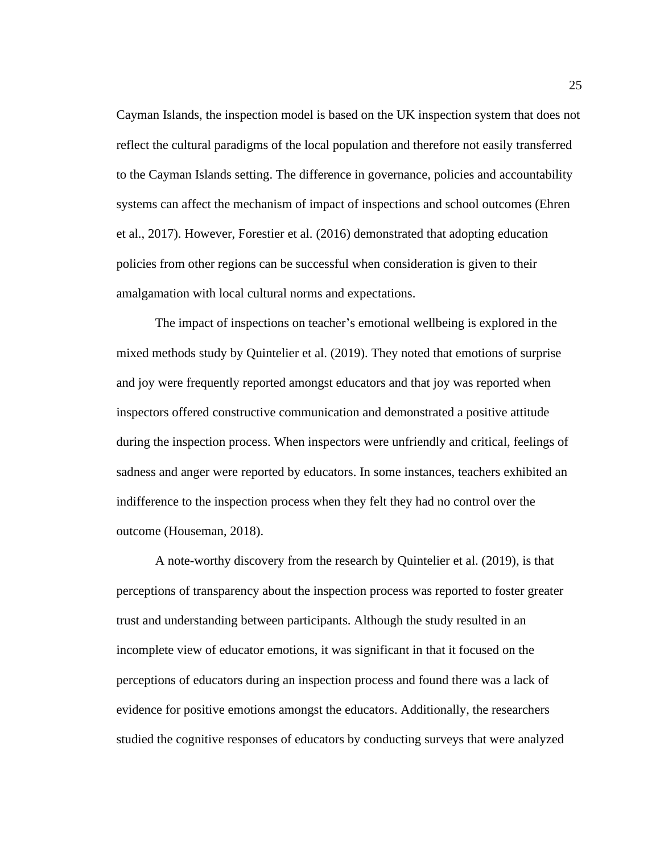Cayman Islands, the inspection model is based on the UK inspection system that does not reflect the cultural paradigms of the local population and therefore not easily transferred to the Cayman Islands setting. The difference in governance, policies and accountability systems can affect the mechanism of impact of inspections and school outcomes (Ehren et al., 2017). However, Forestier et al. (2016) demonstrated that adopting education policies from other regions can be successful when consideration is given to their amalgamation with local cultural norms and expectations.

The impact of inspections on teacher's emotional wellbeing is explored in the mixed methods study by Quintelier et al. (2019). They noted that emotions of surprise and joy were frequently reported amongst educators and that joy was reported when inspectors offered constructive communication and demonstrated a positive attitude during the inspection process. When inspectors were unfriendly and critical, feelings of sadness and anger were reported by educators. In some instances, teachers exhibited an indifference to the inspection process when they felt they had no control over the outcome (Houseman, 2018).

A note-worthy discovery from the research by Quintelier et al. (2019), is that perceptions of transparency about the inspection process was reported to foster greater trust and understanding between participants. Although the study resulted in an incomplete view of educator emotions, it was significant in that it focused on the perceptions of educators during an inspection process and found there was a lack of evidence for positive emotions amongst the educators. Additionally, the researchers studied the cognitive responses of educators by conducting surveys that were analyzed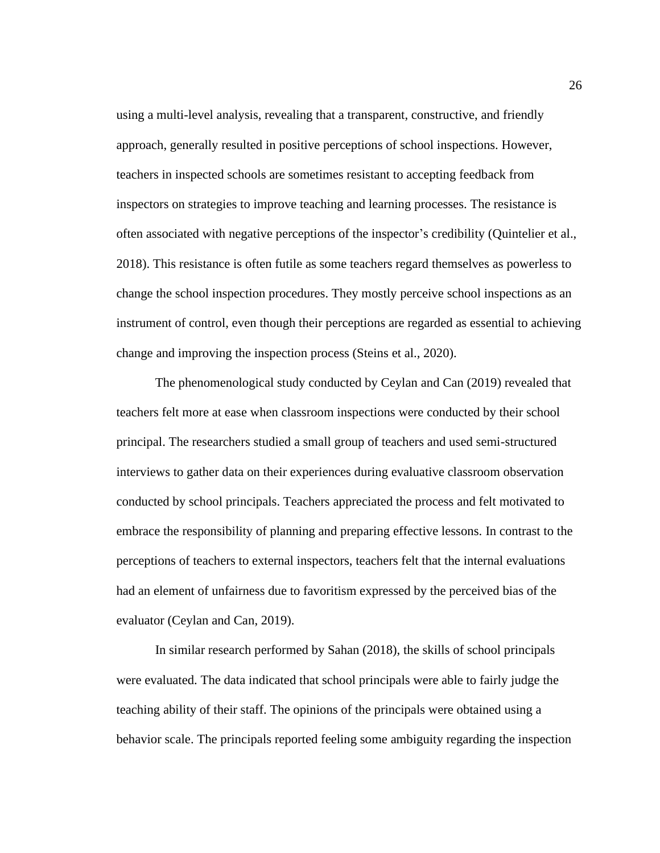using a multi-level analysis, revealing that a transparent, constructive, and friendly approach, generally resulted in positive perceptions of school inspections. However, teachers in inspected schools are sometimes resistant to accepting feedback from inspectors on strategies to improve teaching and learning processes. The resistance is often associated with negative perceptions of the inspector's credibility (Quintelier et al., 2018). This resistance is often futile as some teachers regard themselves as powerless to change the school inspection procedures. They mostly perceive school inspections as an instrument of control, even though their perceptions are regarded as essential to achieving change and improving the inspection process (Steins et al., 2020).

The phenomenological study conducted by Ceylan and Can (2019) revealed that teachers felt more at ease when classroom inspections were conducted by their school principal. The researchers studied a small group of teachers and used semi-structured interviews to gather data on their experiences during evaluative classroom observation conducted by school principals. Teachers appreciated the process and felt motivated to embrace the responsibility of planning and preparing effective lessons. In contrast to the perceptions of teachers to external inspectors, teachers felt that the internal evaluations had an element of unfairness due to favoritism expressed by the perceived bias of the evaluator (Ceylan and Can, 2019).

In similar research performed by Sahan (2018), the skills of school principals were evaluated. The data indicated that school principals were able to fairly judge the teaching ability of their staff. The opinions of the principals were obtained using a behavior scale. The principals reported feeling some ambiguity regarding the inspection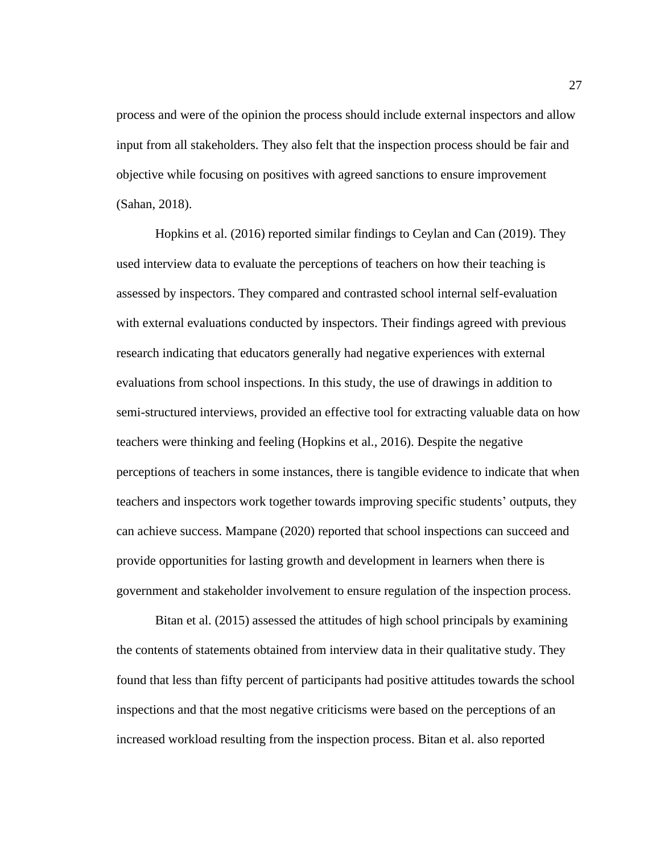process and were of the opinion the process should include external inspectors and allow input from all stakeholders. They also felt that the inspection process should be fair and objective while focusing on positives with agreed sanctions to ensure improvement (Sahan, 2018).

Hopkins et al. (2016) reported similar findings to Ceylan and Can (2019). They used interview data to evaluate the perceptions of teachers on how their teaching is assessed by inspectors. They compared and contrasted school internal self-evaluation with external evaluations conducted by inspectors. Their findings agreed with previous research indicating that educators generally had negative experiences with external evaluations from school inspections. In this study, the use of drawings in addition to semi-structured interviews, provided an effective tool for extracting valuable data on how teachers were thinking and feeling (Hopkins et al., 2016). Despite the negative perceptions of teachers in some instances, there is tangible evidence to indicate that when teachers and inspectors work together towards improving specific students' outputs, they can achieve success. Mampane (2020) reported that school inspections can succeed and provide opportunities for lasting growth and development in learners when there is government and stakeholder involvement to ensure regulation of the inspection process.

Bitan et al. (2015) assessed the attitudes of high school principals by examining the contents of statements obtained from interview data in their qualitative study. They found that less than fifty percent of participants had positive attitudes towards the school inspections and that the most negative criticisms were based on the perceptions of an increased workload resulting from the inspection process. Bitan et al. also reported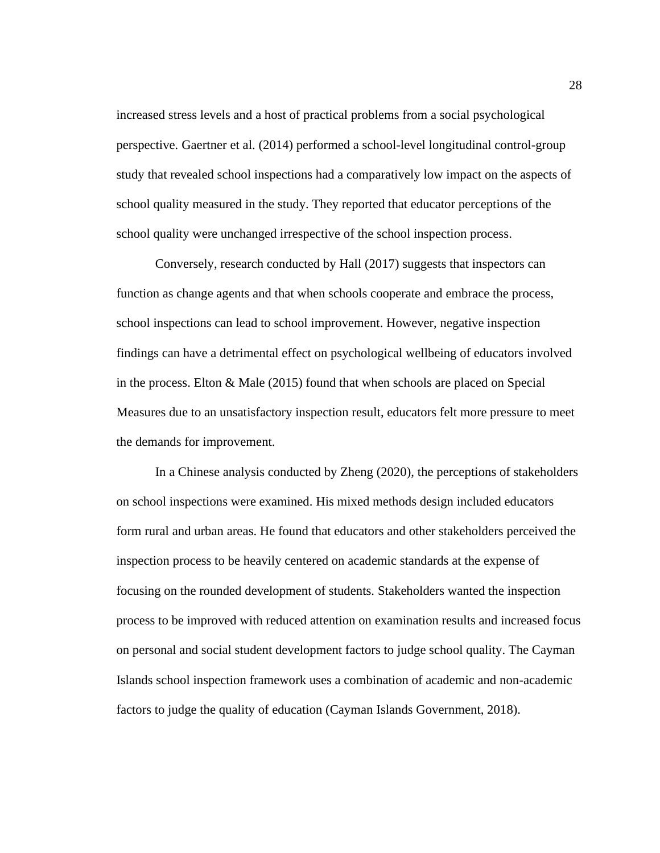increased stress levels and a host of practical problems from a social psychological perspective. Gaertner et al. (2014) performed a school-level longitudinal control-group study that revealed school inspections had a comparatively low impact on the aspects of school quality measured in the study. They reported that educator perceptions of the school quality were unchanged irrespective of the school inspection process.

Conversely, research conducted by Hall (2017) suggests that inspectors can function as change agents and that when schools cooperate and embrace the process, school inspections can lead to school improvement. However, negative inspection findings can have a detrimental effect on psychological wellbeing of educators involved in the process. Elton & Male (2015) found that when schools are placed on Special Measures due to an unsatisfactory inspection result, educators felt more pressure to meet the demands for improvement.

In a Chinese analysis conducted by Zheng (2020), the perceptions of stakeholders on school inspections were examined. His mixed methods design included educators form rural and urban areas. He found that educators and other stakeholders perceived the inspection process to be heavily centered on academic standards at the expense of focusing on the rounded development of students. Stakeholders wanted the inspection process to be improved with reduced attention on examination results and increased focus on personal and social student development factors to judge school quality. The Cayman Islands school inspection framework uses a combination of academic and non-academic factors to judge the quality of education (Cayman Islands Government, 2018).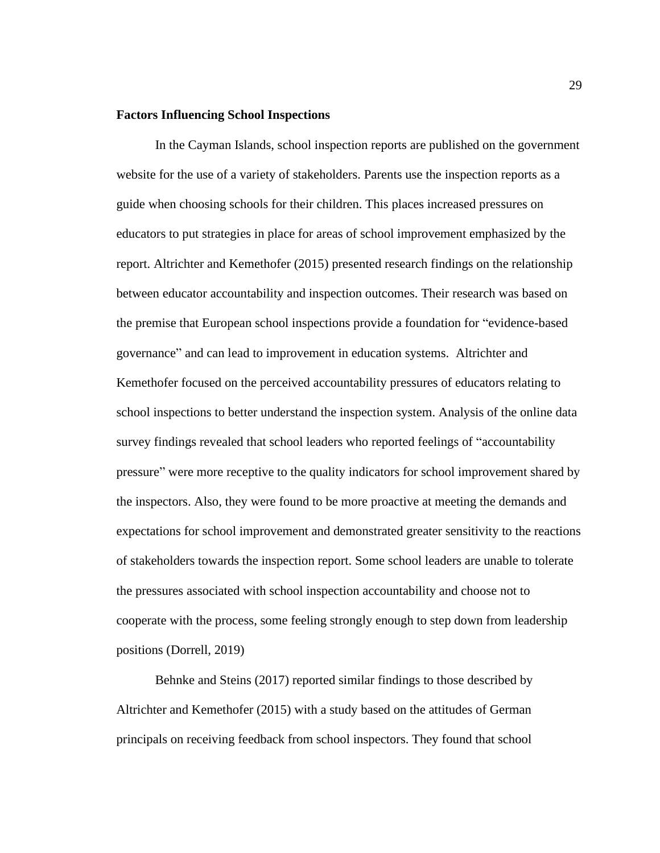## **Factors Influencing School Inspections**

In the Cayman Islands, school inspection reports are published on the government website for the use of a variety of stakeholders. Parents use the inspection reports as a guide when choosing schools for their children. This places increased pressures on educators to put strategies in place for areas of school improvement emphasized by the report. Altrichter and Kemethofer (2015) presented research findings on the relationship between educator accountability and inspection outcomes. Their research was based on the premise that European school inspections provide a foundation for "evidence-based governance" and can lead to improvement in education systems. Altrichter and Kemethofer focused on the perceived accountability pressures of educators relating to school inspections to better understand the inspection system. Analysis of the online data survey findings revealed that school leaders who reported feelings of "accountability pressure" were more receptive to the quality indicators for school improvement shared by the inspectors. Also, they were found to be more proactive at meeting the demands and expectations for school improvement and demonstrated greater sensitivity to the reactions of stakeholders towards the inspection report. Some school leaders are unable to tolerate the pressures associated with school inspection accountability and choose not to cooperate with the process, some feeling strongly enough to step down from leadership positions (Dorrell, 2019)

Behnke and Steins (2017) reported similar findings to those described by Altrichter and Kemethofer (2015) with a study based on the attitudes of German principals on receiving feedback from school inspectors. They found that school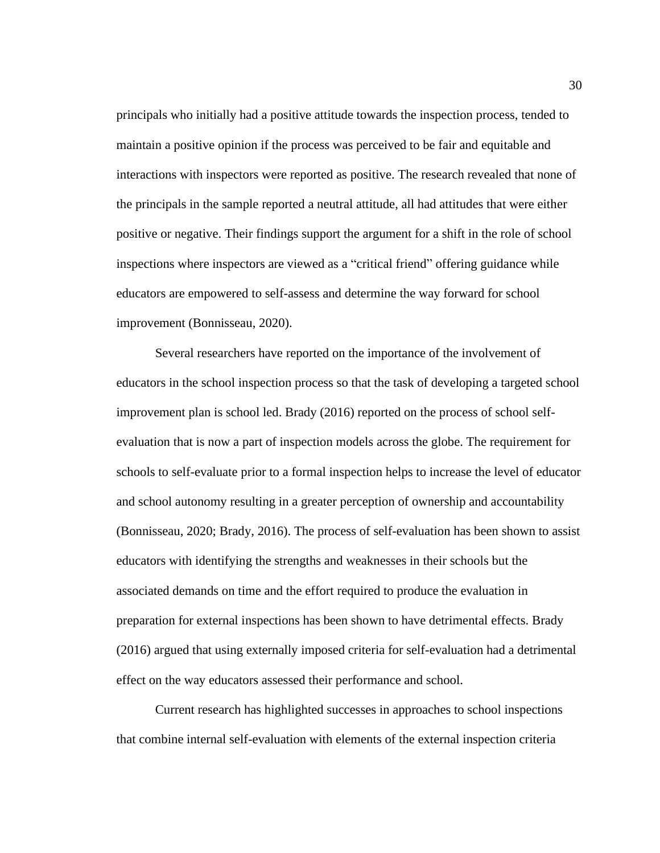principals who initially had a positive attitude towards the inspection process, tended to maintain a positive opinion if the process was perceived to be fair and equitable and interactions with inspectors were reported as positive. The research revealed that none of the principals in the sample reported a neutral attitude, all had attitudes that were either positive or negative. Their findings support the argument for a shift in the role of school inspections where inspectors are viewed as a "critical friend" offering guidance while educators are empowered to self-assess and determine the way forward for school improvement (Bonnisseau, 2020).

Several researchers have reported on the importance of the involvement of educators in the school inspection process so that the task of developing a targeted school improvement plan is school led. Brady (2016) reported on the process of school selfevaluation that is now a part of inspection models across the globe. The requirement for schools to self-evaluate prior to a formal inspection helps to increase the level of educator and school autonomy resulting in a greater perception of ownership and accountability (Bonnisseau, 2020; Brady, 2016). The process of self-evaluation has been shown to assist educators with identifying the strengths and weaknesses in their schools but the associated demands on time and the effort required to produce the evaluation in preparation for external inspections has been shown to have detrimental effects. Brady (2016) argued that using externally imposed criteria for self-evaluation had a detrimental effect on the way educators assessed their performance and school.

Current research has highlighted successes in approaches to school inspections that combine internal self-evaluation with elements of the external inspection criteria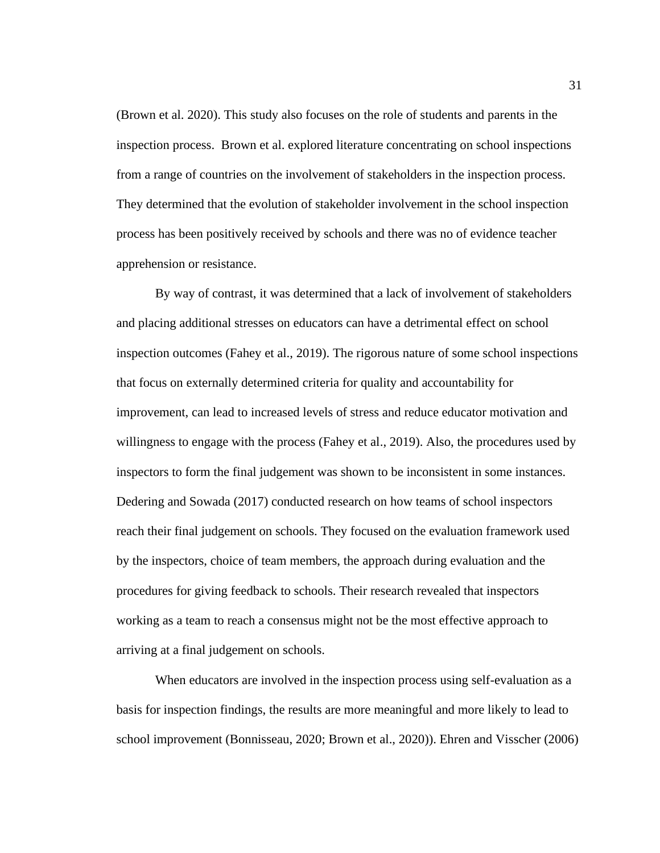(Brown et al. 2020). This study also focuses on the role of students and parents in the inspection process. Brown et al. explored literature concentrating on school inspections from a range of countries on the involvement of stakeholders in the inspection process. They determined that the evolution of stakeholder involvement in the school inspection process has been positively received by schools and there was no of evidence teacher apprehension or resistance.

By way of contrast, it was determined that a lack of involvement of stakeholders and placing additional stresses on educators can have a detrimental effect on school inspection outcomes (Fahey et al., 2019). The rigorous nature of some school inspections that focus on externally determined criteria for quality and accountability for improvement, can lead to increased levels of stress and reduce educator motivation and willingness to engage with the process (Fahey et al., 2019). Also, the procedures used by inspectors to form the final judgement was shown to be inconsistent in some instances. Dedering and Sowada (2017) conducted research on how teams of school inspectors reach their final judgement on schools. They focused on the evaluation framework used by the inspectors, choice of team members, the approach during evaluation and the procedures for giving feedback to schools. Their research revealed that inspectors working as a team to reach a consensus might not be the most effective approach to arriving at a final judgement on schools.

When educators are involved in the inspection process using self-evaluation as a basis for inspection findings, the results are more meaningful and more likely to lead to school improvement (Bonnisseau, 2020; Brown et al., 2020)). Ehren and Visscher (2006)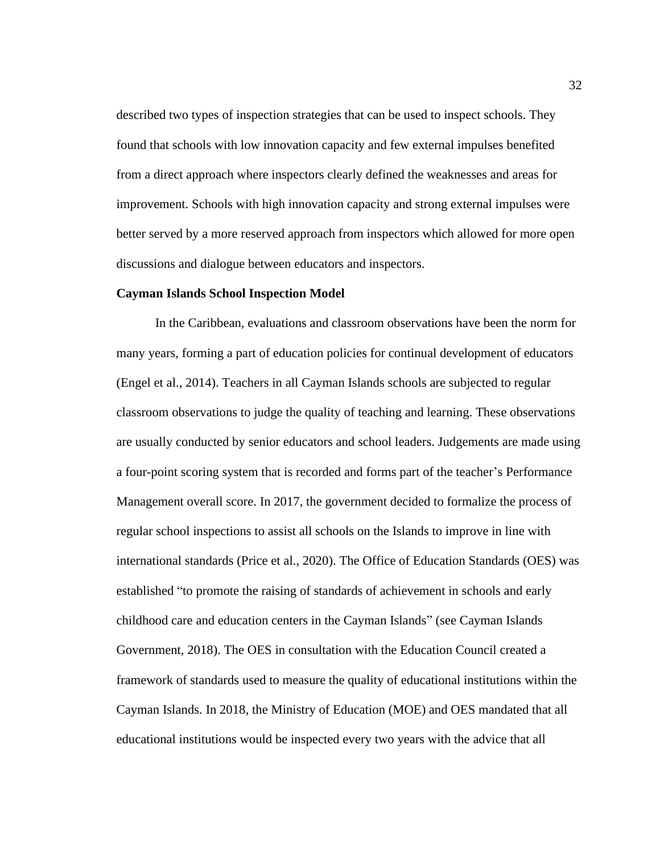described two types of inspection strategies that can be used to inspect schools. They found that schools with low innovation capacity and few external impulses benefited from a direct approach where inspectors clearly defined the weaknesses and areas for improvement. Schools with high innovation capacity and strong external impulses were better served by a more reserved approach from inspectors which allowed for more open discussions and dialogue between educators and inspectors.

### **Cayman Islands School Inspection Model**

In the Caribbean, evaluations and classroom observations have been the norm for many years, forming a part of education policies for continual development of educators (Engel et al., 2014). Teachers in all Cayman Islands schools are subjected to regular classroom observations to judge the quality of teaching and learning. These observations are usually conducted by senior educators and school leaders. Judgements are made using a four-point scoring system that is recorded and forms part of the teacher's Performance Management overall score. In 2017, the government decided to formalize the process of regular school inspections to assist all schools on the Islands to improve in line with international standards (Price et al., 2020). The Office of Education Standards (OES) was established "to promote the raising of standards of achievement in schools and early childhood care and education centers in the Cayman Islands" (see Cayman Islands Government, 2018). The OES in consultation with the Education Council created a framework of standards used to measure the quality of educational institutions within the Cayman Islands. In 2018, the Ministry of Education (MOE) and OES mandated that all educational institutions would be inspected every two years with the advice that all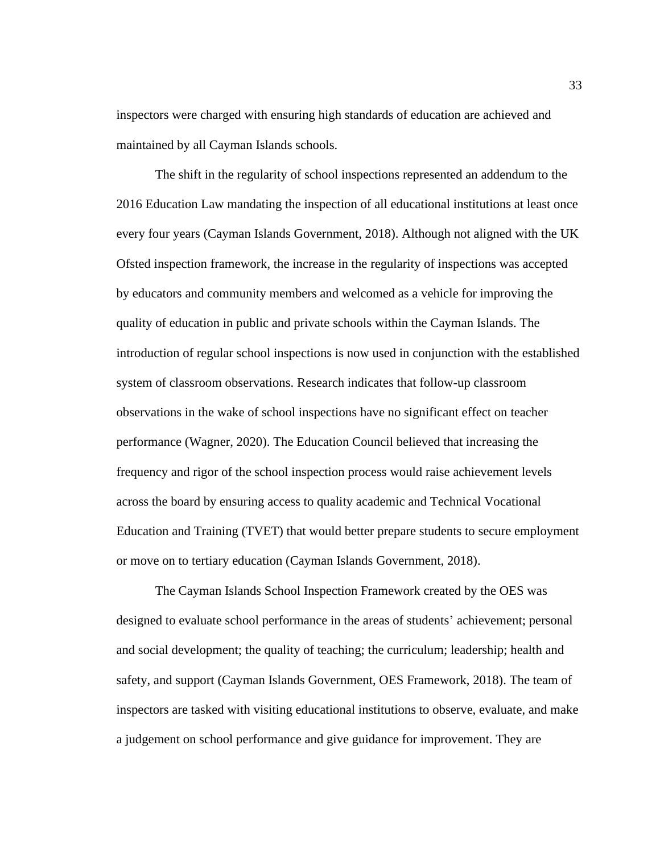inspectors were charged with ensuring high standards of education are achieved and maintained by all Cayman Islands schools.

The shift in the regularity of school inspections represented an addendum to the 2016 Education Law mandating the inspection of all educational institutions at least once every four years (Cayman Islands Government, 2018). Although not aligned with the UK Ofsted inspection framework, the increase in the regularity of inspections was accepted by educators and community members and welcomed as a vehicle for improving the quality of education in public and private schools within the Cayman Islands. The introduction of regular school inspections is now used in conjunction with the established system of classroom observations. Research indicates that follow-up classroom observations in the wake of school inspections have no significant effect on teacher performance (Wagner, 2020). The Education Council believed that increasing the frequency and rigor of the school inspection process would raise achievement levels across the board by ensuring access to quality academic and Technical Vocational Education and Training (TVET) that would better prepare students to secure employment or move on to tertiary education (Cayman Islands Government, 2018).

The Cayman Islands School Inspection Framework created by the OES was designed to evaluate school performance in the areas of students' achievement; personal and social development; the quality of teaching; the curriculum; leadership; health and safety, and support (Cayman Islands Government, OES Framework, 2018). The team of inspectors are tasked with visiting educational institutions to observe, evaluate, and make a judgement on school performance and give guidance for improvement. They are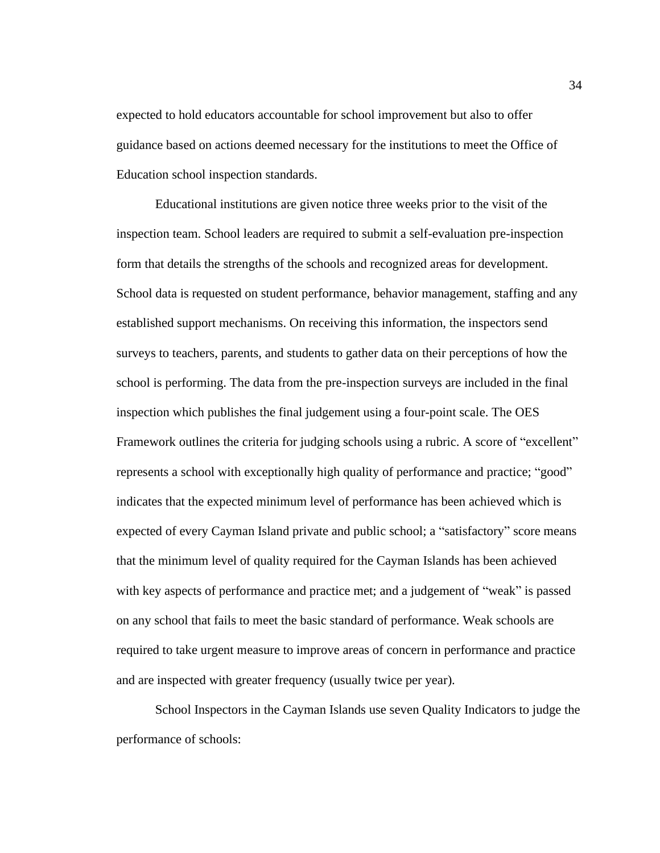expected to hold educators accountable for school improvement but also to offer guidance based on actions deemed necessary for the institutions to meet the Office of Education school inspection standards.

Educational institutions are given notice three weeks prior to the visit of the inspection team. School leaders are required to submit a self-evaluation pre-inspection form that details the strengths of the schools and recognized areas for development. School data is requested on student performance, behavior management, staffing and any established support mechanisms. On receiving this information, the inspectors send surveys to teachers, parents, and students to gather data on their perceptions of how the school is performing. The data from the pre-inspection surveys are included in the final inspection which publishes the final judgement using a four-point scale. The OES Framework outlines the criteria for judging schools using a rubric. A score of "excellent" represents a school with exceptionally high quality of performance and practice; "good" indicates that the expected minimum level of performance has been achieved which is expected of every Cayman Island private and public school; a "satisfactory" score means that the minimum level of quality required for the Cayman Islands has been achieved with key aspects of performance and practice met; and a judgement of "weak" is passed on any school that fails to meet the basic standard of performance. Weak schools are required to take urgent measure to improve areas of concern in performance and practice and are inspected with greater frequency (usually twice per year).

School Inspectors in the Cayman Islands use seven Quality Indicators to judge the performance of schools: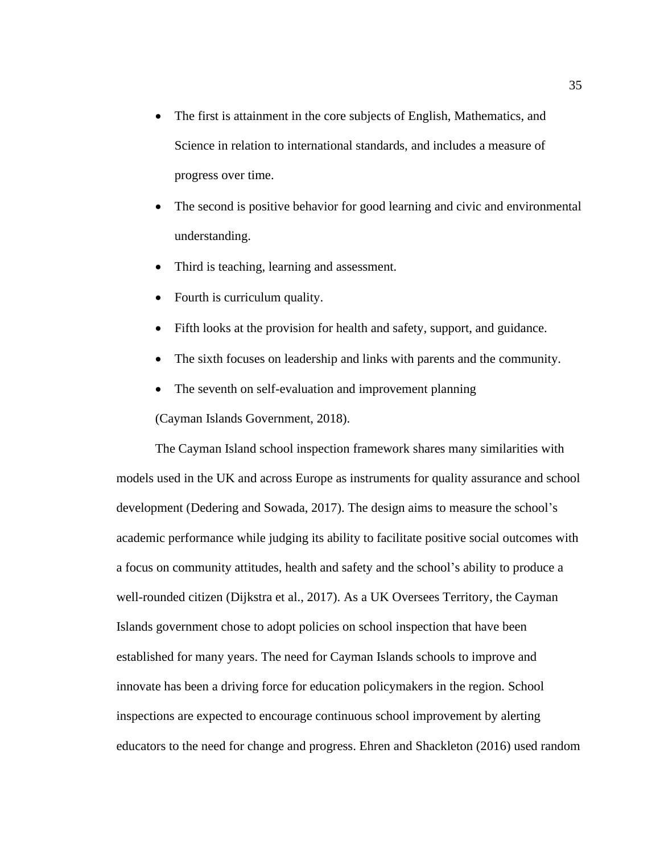- The first is attainment in the core subjects of English, Mathematics, and Science in relation to international standards, and includes a measure of progress over time.
- The second is positive behavior for good learning and civic and environmental understanding.
- Third is teaching, learning and assessment.
- Fourth is curriculum quality.
- Fifth looks at the provision for health and safety, support, and guidance.
- The sixth focuses on leadership and links with parents and the community.
- The seventh on self-evaluation and improvement planning

(Cayman Islands Government, 2018).

The Cayman Island school inspection framework shares many similarities with models used in the UK and across Europe as instruments for quality assurance and school development (Dedering and Sowada, 2017). The design aims to measure the school's academic performance while judging its ability to facilitate positive social outcomes with a focus on community attitudes, health and safety and the school's ability to produce a well-rounded citizen (Dijkstra et al., 2017). As a UK Oversees Territory, the Cayman Islands government chose to adopt policies on school inspection that have been established for many years. The need for Cayman Islands schools to improve and innovate has been a driving force for education policymakers in the region. School inspections are expected to encourage continuous school improvement by alerting educators to the need for change and progress. Ehren and Shackleton (2016) used random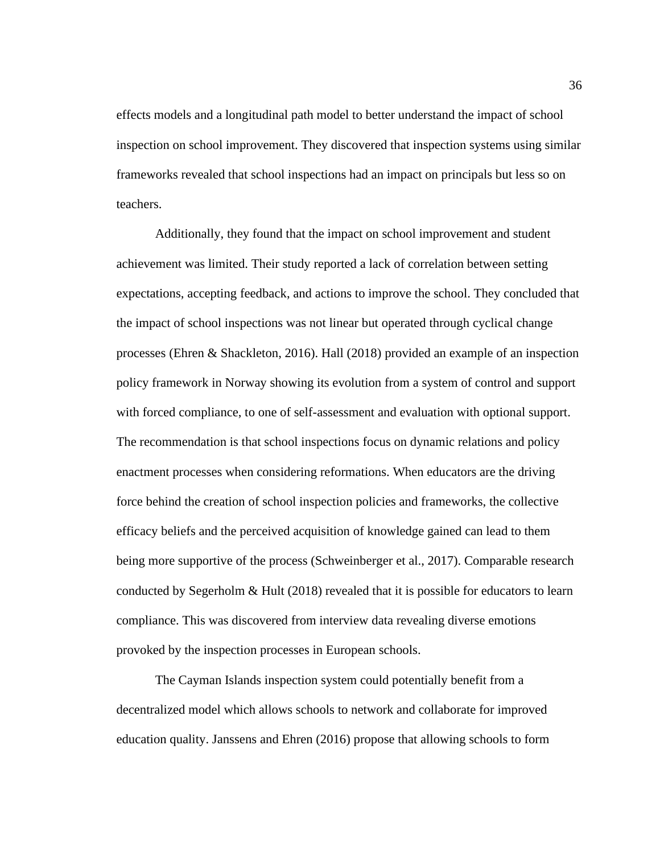effects models and a longitudinal path model to better understand the impact of school inspection on school improvement. They discovered that inspection systems using similar frameworks revealed that school inspections had an impact on principals but less so on teachers.

Additionally, they found that the impact on school improvement and student achievement was limited. Their study reported a lack of correlation between setting expectations, accepting feedback, and actions to improve the school. They concluded that the impact of school inspections was not linear but operated through cyclical change processes (Ehren & Shackleton, 2016). Hall (2018) provided an example of an inspection policy framework in Norway showing its evolution from a system of control and support with forced compliance, to one of self-assessment and evaluation with optional support. The recommendation is that school inspections focus on dynamic relations and policy enactment processes when considering reformations. When educators are the driving force behind the creation of school inspection policies and frameworks, the collective efficacy beliefs and the perceived acquisition of knowledge gained can lead to them being more supportive of the process (Schweinberger et al., 2017). Comparable research conducted by Segerholm  $\&$  Hult (2018) revealed that it is possible for educators to learn compliance. This was discovered from interview data revealing diverse emotions provoked by the inspection processes in European schools.

The Cayman Islands inspection system could potentially benefit from a decentralized model which allows schools to network and collaborate for improved education quality. Janssens and Ehren (2016) propose that allowing schools to form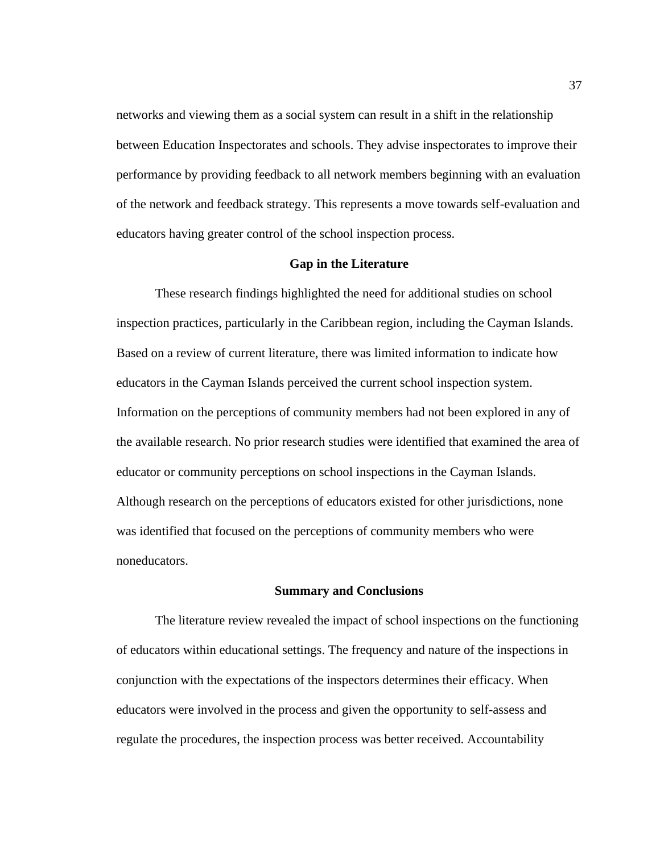networks and viewing them as a social system can result in a shift in the relationship between Education Inspectorates and schools. They advise inspectorates to improve their performance by providing feedback to all network members beginning with an evaluation of the network and feedback strategy. This represents a move towards self-evaluation and educators having greater control of the school inspection process.

### **Gap in the Literature**

These research findings highlighted the need for additional studies on school inspection practices, particularly in the Caribbean region, including the Cayman Islands. Based on a review of current literature, there was limited information to indicate how educators in the Cayman Islands perceived the current school inspection system. Information on the perceptions of community members had not been explored in any of the available research. No prior research studies were identified that examined the area of educator or community perceptions on school inspections in the Cayman Islands. Although research on the perceptions of educators existed for other jurisdictions, none was identified that focused on the perceptions of community members who were noneducators.

### **Summary and Conclusions**

The literature review revealed the impact of school inspections on the functioning of educators within educational settings. The frequency and nature of the inspections in conjunction with the expectations of the inspectors determines their efficacy. When educators were involved in the process and given the opportunity to self-assess and regulate the procedures, the inspection process was better received. Accountability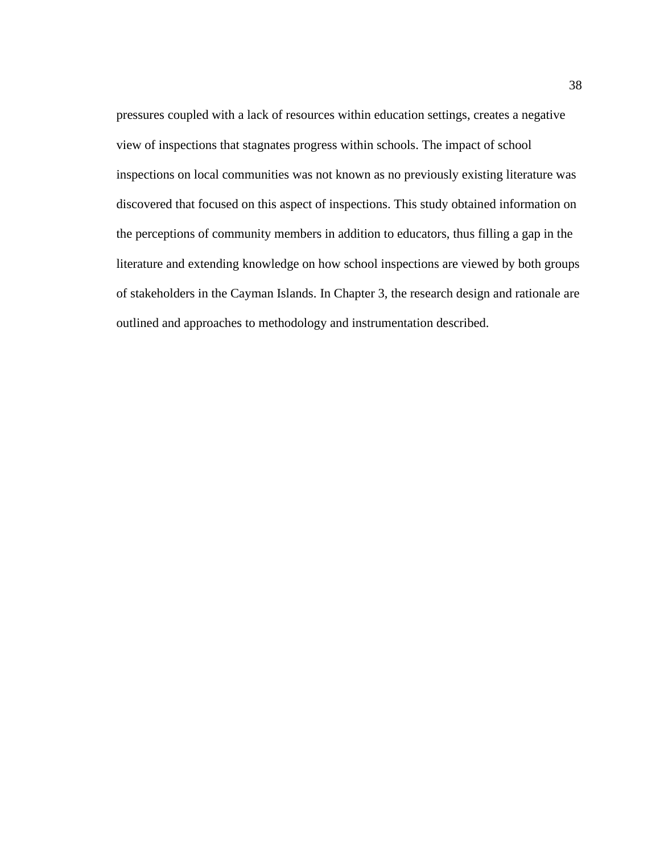pressures coupled with a lack of resources within education settings, creates a negative view of inspections that stagnates progress within schools. The impact of school inspections on local communities was not known as no previously existing literature was discovered that focused on this aspect of inspections. This study obtained information on the perceptions of community members in addition to educators, thus filling a gap in the literature and extending knowledge on how school inspections are viewed by both groups of stakeholders in the Cayman Islands. In Chapter 3, the research design and rationale are outlined and approaches to methodology and instrumentation described.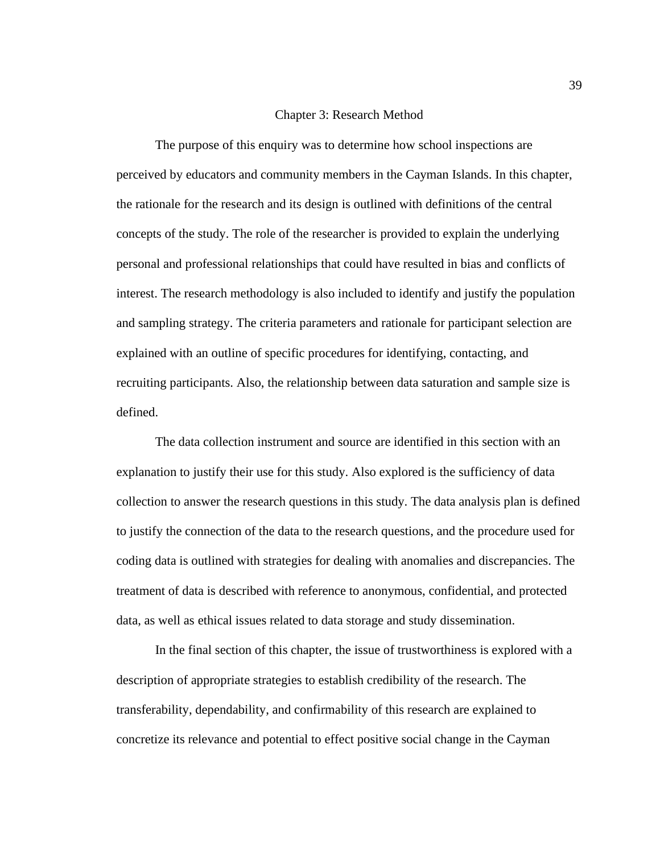## Chapter 3: Research Method

The purpose of this enquiry was to determine how school inspections are perceived by educators and community members in the Cayman Islands. In this chapter, the rationale for the research and its design is outlined with definitions of the central concepts of the study. The role of the researcher is provided to explain the underlying personal and professional relationships that could have resulted in bias and conflicts of interest. The research methodology is also included to identify and justify the population and sampling strategy. The criteria parameters and rationale for participant selection are explained with an outline of specific procedures for identifying, contacting, and recruiting participants. Also, the relationship between data saturation and sample size is defined.

The data collection instrument and source are identified in this section with an explanation to justify their use for this study. Also explored is the sufficiency of data collection to answer the research questions in this study. The data analysis plan is defined to justify the connection of the data to the research questions, and the procedure used for coding data is outlined with strategies for dealing with anomalies and discrepancies. The treatment of data is described with reference to anonymous, confidential, and protected data, as well as ethical issues related to data storage and study dissemination.

In the final section of this chapter, the issue of trustworthiness is explored with a description of appropriate strategies to establish credibility of the research. The transferability, dependability, and confirmability of this research are explained to concretize its relevance and potential to effect positive social change in the Cayman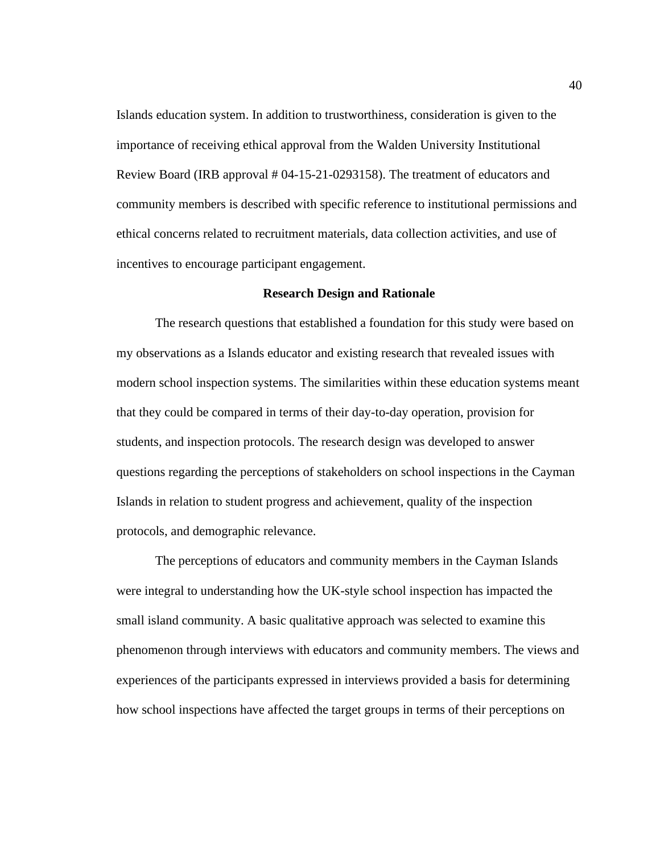Islands education system. In addition to trustworthiness, consideration is given to the importance of receiving ethical approval from the Walden University Institutional Review Board (IRB approval # 04-15-21-0293158). The treatment of educators and community members is described with specific reference to institutional permissions and ethical concerns related to recruitment materials, data collection activities, and use of incentives to encourage participant engagement.

### **Research Design and Rationale**

The research questions that established a foundation for this study were based on my observations as a Islands educator and existing research that revealed issues with modern school inspection systems. The similarities within these education systems meant that they could be compared in terms of their day-to-day operation, provision for students, and inspection protocols. The research design was developed to answer questions regarding the perceptions of stakeholders on school inspections in the Cayman Islands in relation to student progress and achievement, quality of the inspection protocols, and demographic relevance.

The perceptions of educators and community members in the Cayman Islands were integral to understanding how the UK-style school inspection has impacted the small island community. A basic qualitative approach was selected to examine this phenomenon through interviews with educators and community members. The views and experiences of the participants expressed in interviews provided a basis for determining how school inspections have affected the target groups in terms of their perceptions on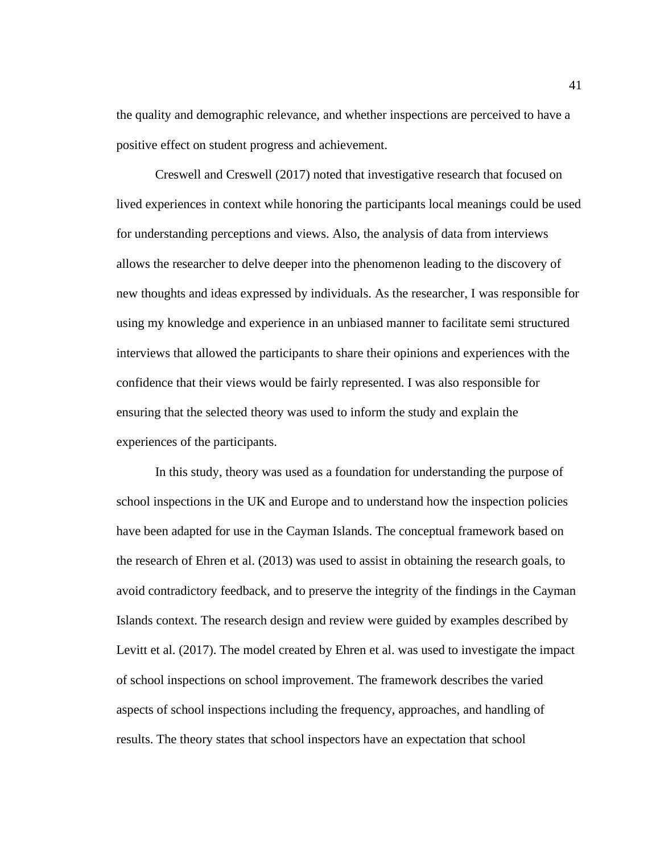the quality and demographic relevance, and whether inspections are perceived to have a positive effect on student progress and achievement.

Creswell and Creswell (2017) noted that investigative research that focused on lived experiences in context while honoring the participants local meanings could be used for understanding perceptions and views. Also, the analysis of data from interviews allows the researcher to delve deeper into the phenomenon leading to the discovery of new thoughts and ideas expressed by individuals. As the researcher, I was responsible for using my knowledge and experience in an unbiased manner to facilitate semi structured interviews that allowed the participants to share their opinions and experiences with the confidence that their views would be fairly represented. I was also responsible for ensuring that the selected theory was used to inform the study and explain the experiences of the participants.

In this study, theory was used as a foundation for understanding the purpose of school inspections in the UK and Europe and to understand how the inspection policies have been adapted for use in the Cayman Islands. The conceptual framework based on the research of Ehren et al. (2013) was used to assist in obtaining the research goals, to avoid contradictory feedback, and to preserve the integrity of the findings in the Cayman Islands context. The research design and review were guided by examples described by Levitt et al. (2017). The model created by Ehren et al. was used to investigate the impact of school inspections on school improvement. The framework describes the varied aspects of school inspections including the frequency, approaches, and handling of results. The theory states that school inspectors have an expectation that school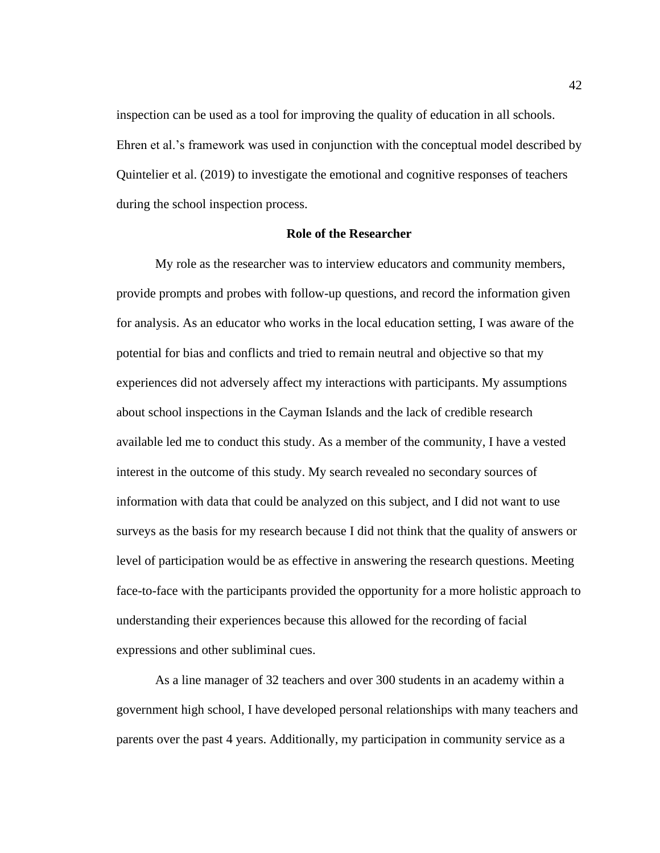inspection can be used as a tool for improving the quality of education in all schools. Ehren et al.'s framework was used in conjunction with the conceptual model described by Quintelier et al. (2019) to investigate the emotional and cognitive responses of teachers during the school inspection process.

### **Role of the Researcher**

My role as the researcher was to interview educators and community members, provide prompts and probes with follow-up questions, and record the information given for analysis. As an educator who works in the local education setting, I was aware of the potential for bias and conflicts and tried to remain neutral and objective so that my experiences did not adversely affect my interactions with participants. My assumptions about school inspections in the Cayman Islands and the lack of credible research available led me to conduct this study. As a member of the community, I have a vested interest in the outcome of this study. My search revealed no secondary sources of information with data that could be analyzed on this subject, and I did not want to use surveys as the basis for my research because I did not think that the quality of answers or level of participation would be as effective in answering the research questions. Meeting face-to-face with the participants provided the opportunity for a more holistic approach to understanding their experiences because this allowed for the recording of facial expressions and other subliminal cues.

As a line manager of 32 teachers and over 300 students in an academy within a government high school, I have developed personal relationships with many teachers and parents over the past 4 years. Additionally, my participation in community service as a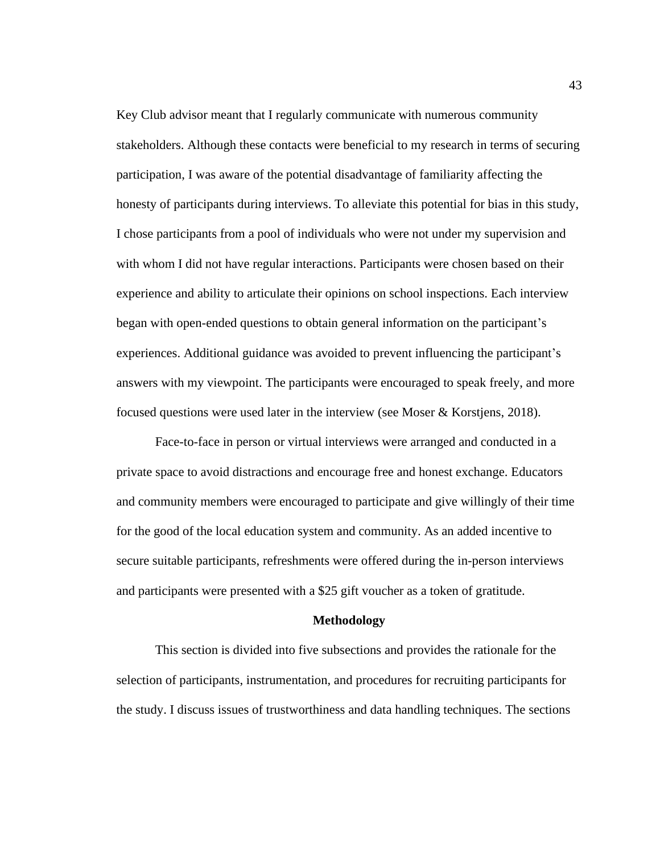Key Club advisor meant that I regularly communicate with numerous community stakeholders. Although these contacts were beneficial to my research in terms of securing participation, I was aware of the potential disadvantage of familiarity affecting the honesty of participants during interviews. To alleviate this potential for bias in this study, I chose participants from a pool of individuals who were not under my supervision and with whom I did not have regular interactions. Participants were chosen based on their experience and ability to articulate their opinions on school inspections. Each interview began with open-ended questions to obtain general information on the participant's experiences. Additional guidance was avoided to prevent influencing the participant's answers with my viewpoint. The participants were encouraged to speak freely, and more focused questions were used later in the interview (see Moser & Korstjens, 2018).

Face-to-face in person or virtual interviews were arranged and conducted in a private space to avoid distractions and encourage free and honest exchange. Educators and community members were encouraged to participate and give willingly of their time for the good of the local education system and community. As an added incentive to secure suitable participants, refreshments were offered during the in-person interviews and participants were presented with a \$25 gift voucher as a token of gratitude.

#### **Methodology**

This section is divided into five subsections and provides the rationale for the selection of participants, instrumentation, and procedures for recruiting participants for the study. I discuss issues of trustworthiness and data handling techniques. The sections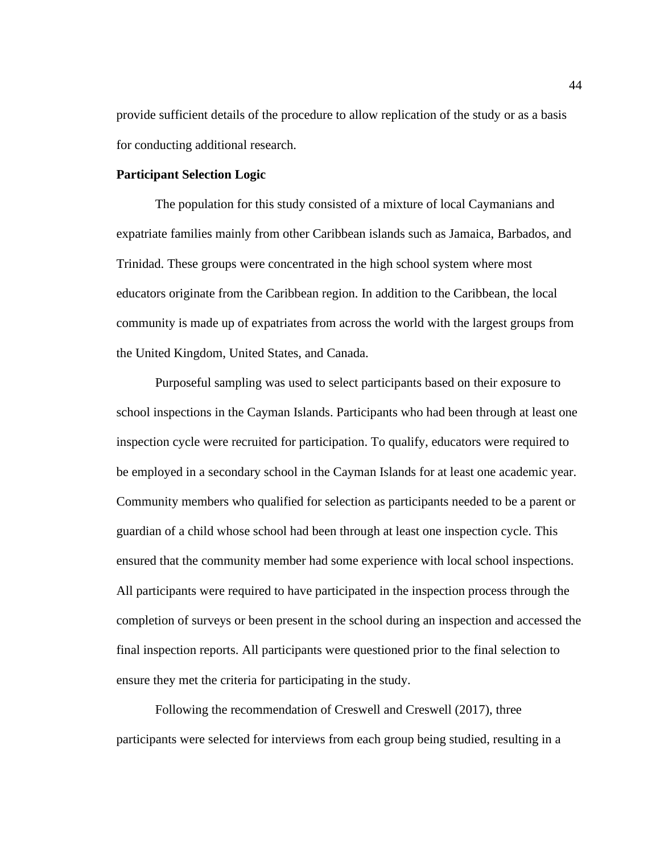provide sufficient details of the procedure to allow replication of the study or as a basis for conducting additional research.

## **Participant Selection Logic**

The population for this study consisted of a mixture of local Caymanians and expatriate families mainly from other Caribbean islands such as Jamaica, Barbados, and Trinidad. These groups were concentrated in the high school system where most educators originate from the Caribbean region. In addition to the Caribbean, the local community is made up of expatriates from across the world with the largest groups from the United Kingdom, United States, and Canada.

Purposeful sampling was used to select participants based on their exposure to school inspections in the Cayman Islands. Participants who had been through at least one inspection cycle were recruited for participation. To qualify, educators were required to be employed in a secondary school in the Cayman Islands for at least one academic year. Community members who qualified for selection as participants needed to be a parent or guardian of a child whose school had been through at least one inspection cycle. This ensured that the community member had some experience with local school inspections. All participants were required to have participated in the inspection process through the completion of surveys or been present in the school during an inspection and accessed the final inspection reports. All participants were questioned prior to the final selection to ensure they met the criteria for participating in the study.

Following the recommendation of Creswell and Creswell (2017), three participants were selected for interviews from each group being studied, resulting in a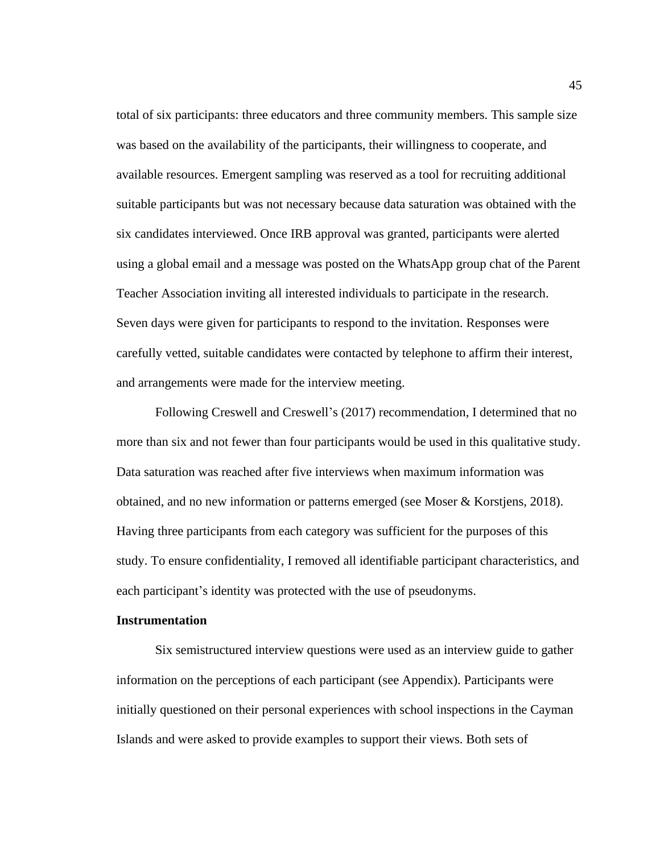total of six participants: three educators and three community members. This sample size was based on the availability of the participants, their willingness to cooperate, and available resources. Emergent sampling was reserved as a tool for recruiting additional suitable participants but was not necessary because data saturation was obtained with the six candidates interviewed. Once IRB approval was granted, participants were alerted using a global email and a message was posted on the WhatsApp group chat of the Parent Teacher Association inviting all interested individuals to participate in the research. Seven days were given for participants to respond to the invitation. Responses were carefully vetted, suitable candidates were contacted by telephone to affirm their interest, and arrangements were made for the interview meeting.

Following Creswell and Creswell's (2017) recommendation, I determined that no more than six and not fewer than four participants would be used in this qualitative study. Data saturation was reached after five interviews when maximum information was obtained, and no new information or patterns emerged (see Moser & Korstjens, 2018). Having three participants from each category was sufficient for the purposes of this study. To ensure confidentiality, I removed all identifiable participant characteristics, and each participant's identity was protected with the use of pseudonyms.

### **Instrumentation**

Six semistructured interview questions were used as an interview guide to gather information on the perceptions of each participant (see Appendix). Participants were initially questioned on their personal experiences with school inspections in the Cayman Islands and were asked to provide examples to support their views. Both sets of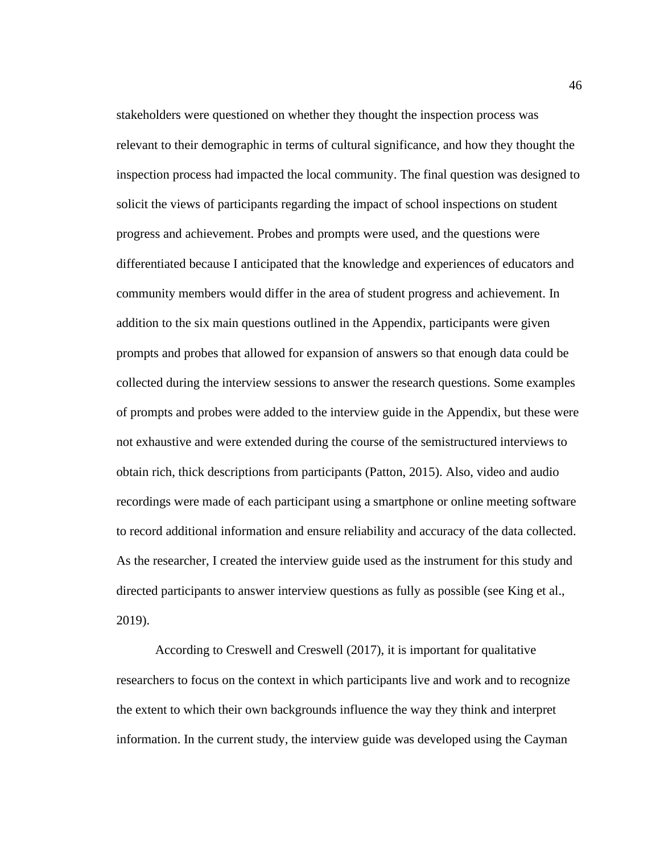stakeholders were questioned on whether they thought the inspection process was relevant to their demographic in terms of cultural significance, and how they thought the inspection process had impacted the local community. The final question was designed to solicit the views of participants regarding the impact of school inspections on student progress and achievement. Probes and prompts were used, and the questions were differentiated because I anticipated that the knowledge and experiences of educators and community members would differ in the area of student progress and achievement. In addition to the six main questions outlined in the Appendix, participants were given prompts and probes that allowed for expansion of answers so that enough data could be collected during the interview sessions to answer the research questions. Some examples of prompts and probes were added to the interview guide in the Appendix, but these were not exhaustive and were extended during the course of the semistructured interviews to obtain rich, thick descriptions from participants (Patton, 2015). Also, video and audio recordings were made of each participant using a smartphone or online meeting software to record additional information and ensure reliability and accuracy of the data collected. As the researcher, I created the interview guide used as the instrument for this study and directed participants to answer interview questions as fully as possible (see King et al., 2019).

According to Creswell and Creswell (2017), it is important for qualitative researchers to focus on the context in which participants live and work and to recognize the extent to which their own backgrounds influence the way they think and interpret information. In the current study, the interview guide was developed using the Cayman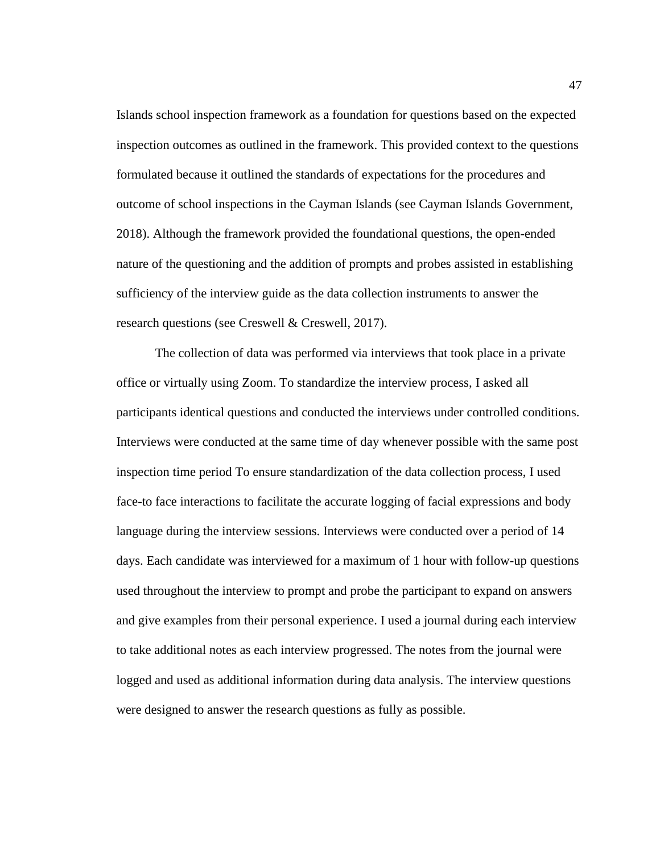Islands school inspection framework as a foundation for questions based on the expected inspection outcomes as outlined in the framework. This provided context to the questions formulated because it outlined the standards of expectations for the procedures and outcome of school inspections in the Cayman Islands (see Cayman Islands Government, 2018). Although the framework provided the foundational questions, the open-ended nature of the questioning and the addition of prompts and probes assisted in establishing sufficiency of the interview guide as the data collection instruments to answer the research questions (see Creswell & Creswell, 2017).

The collection of data was performed via interviews that took place in a private office or virtually using Zoom. To standardize the interview process, I asked all participants identical questions and conducted the interviews under controlled conditions. Interviews were conducted at the same time of day whenever possible with the same post inspection time period To ensure standardization of the data collection process, I used face-to face interactions to facilitate the accurate logging of facial expressions and body language during the interview sessions. Interviews were conducted over a period of 14 days. Each candidate was interviewed for a maximum of 1 hour with follow-up questions used throughout the interview to prompt and probe the participant to expand on answers and give examples from their personal experience. I used a journal during each interview to take additional notes as each interview progressed. The notes from the journal were logged and used as additional information during data analysis. The interview questions were designed to answer the research questions as fully as possible.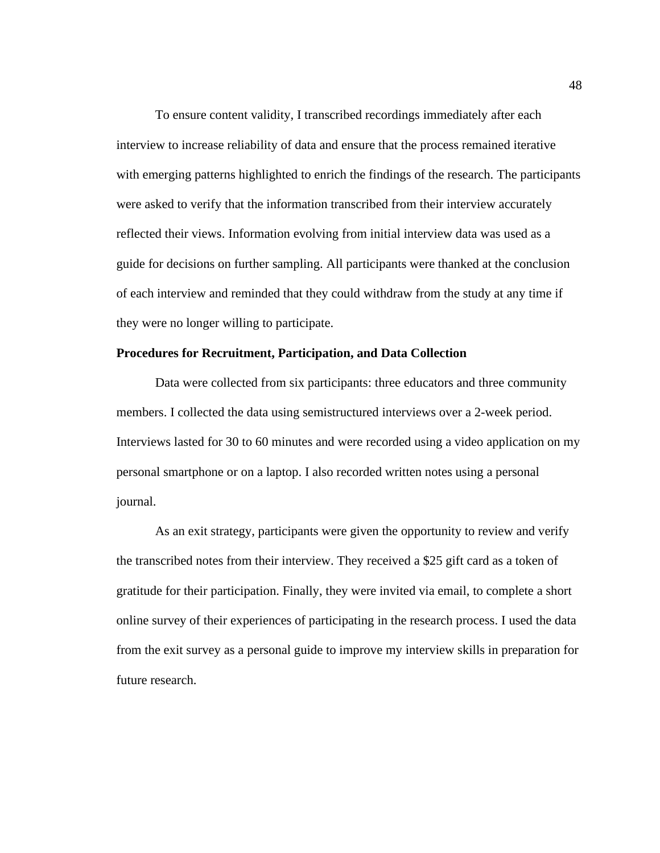To ensure content validity, I transcribed recordings immediately after each interview to increase reliability of data and ensure that the process remained iterative with emerging patterns highlighted to enrich the findings of the research. The participants were asked to verify that the information transcribed from their interview accurately reflected their views. Information evolving from initial interview data was used as a guide for decisions on further sampling. All participants were thanked at the conclusion of each interview and reminded that they could withdraw from the study at any time if they were no longer willing to participate.

# **Procedures for Recruitment, Participation, and Data Collection**

Data were collected from six participants: three educators and three community members. I collected the data using semistructured interviews over a 2-week period. Interviews lasted for 30 to 60 minutes and were recorded using a video application on my personal smartphone or on a laptop. I also recorded written notes using a personal journal.

As an exit strategy, participants were given the opportunity to review and verify the transcribed notes from their interview. They received a \$25 gift card as a token of gratitude for their participation. Finally, they were invited via email, to complete a short online survey of their experiences of participating in the research process. I used the data from the exit survey as a personal guide to improve my interview skills in preparation for future research.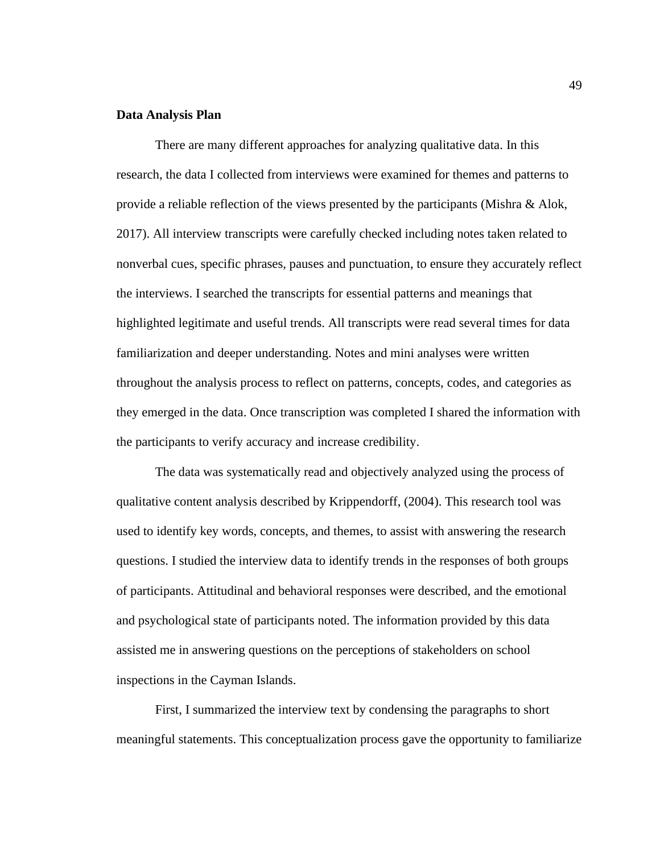## **Data Analysis Plan**

There are many different approaches for analyzing qualitative data. In this research, the data I collected from interviews were examined for themes and patterns to provide a reliable reflection of the views presented by the participants (Mishra & Alok, 2017). All interview transcripts were carefully checked including notes taken related to nonverbal cues, specific phrases, pauses and punctuation, to ensure they accurately reflect the interviews. I searched the transcripts for essential patterns and meanings that highlighted legitimate and useful trends. All transcripts were read several times for data familiarization and deeper understanding. Notes and mini analyses were written throughout the analysis process to reflect on patterns, concepts, codes, and categories as they emerged in the data. Once transcription was completed I shared the information with the participants to verify accuracy and increase credibility.

The data was systematically read and objectively analyzed using the process of qualitative content analysis described by Krippendorff, (2004). This research tool was used to identify key words, concepts, and themes, to assist with answering the research questions. I studied the interview data to identify trends in the responses of both groups of participants. Attitudinal and behavioral responses were described, and the emotional and psychological state of participants noted. The information provided by this data assisted me in answering questions on the perceptions of stakeholders on school inspections in the Cayman Islands.

First, I summarized the interview text by condensing the paragraphs to short meaningful statements. This conceptualization process gave the opportunity to familiarize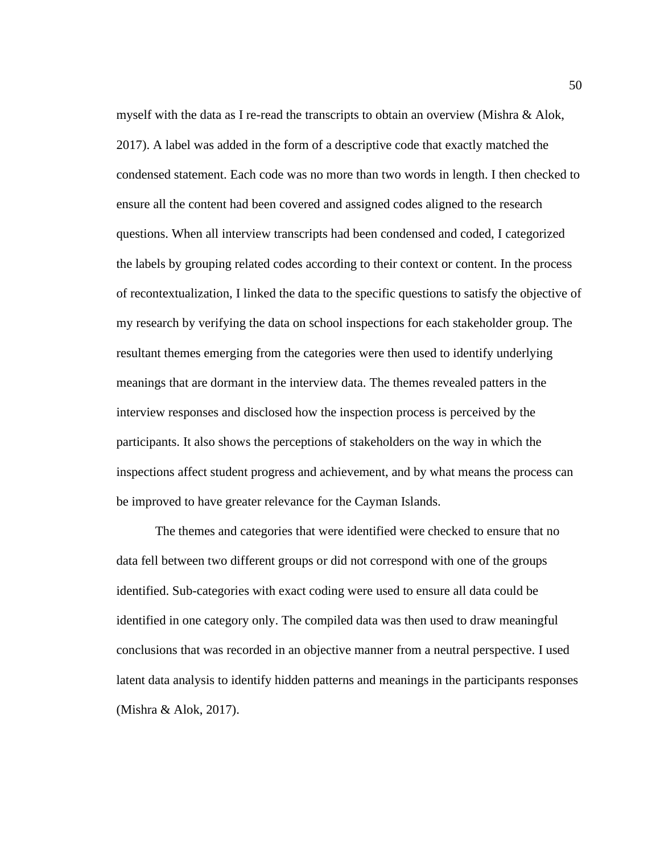myself with the data as I re-read the transcripts to obtain an overview (Mishra  $\&$  Alok, 2017). A label was added in the form of a descriptive code that exactly matched the condensed statement. Each code was no more than two words in length. I then checked to ensure all the content had been covered and assigned codes aligned to the research questions. When all interview transcripts had been condensed and coded, I categorized the labels by grouping related codes according to their context or content. In the process of recontextualization, I linked the data to the specific questions to satisfy the objective of my research by verifying the data on school inspections for each stakeholder group. The resultant themes emerging from the categories were then used to identify underlying meanings that are dormant in the interview data. The themes revealed patters in the interview responses and disclosed how the inspection process is perceived by the participants. It also shows the perceptions of stakeholders on the way in which the inspections affect student progress and achievement, and by what means the process can be improved to have greater relevance for the Cayman Islands.

The themes and categories that were identified were checked to ensure that no data fell between two different groups or did not correspond with one of the groups identified. Sub-categories with exact coding were used to ensure all data could be identified in one category only. The compiled data was then used to draw meaningful conclusions that was recorded in an objective manner from a neutral perspective. I used latent data analysis to identify hidden patterns and meanings in the participants responses (Mishra & Alok, 2017).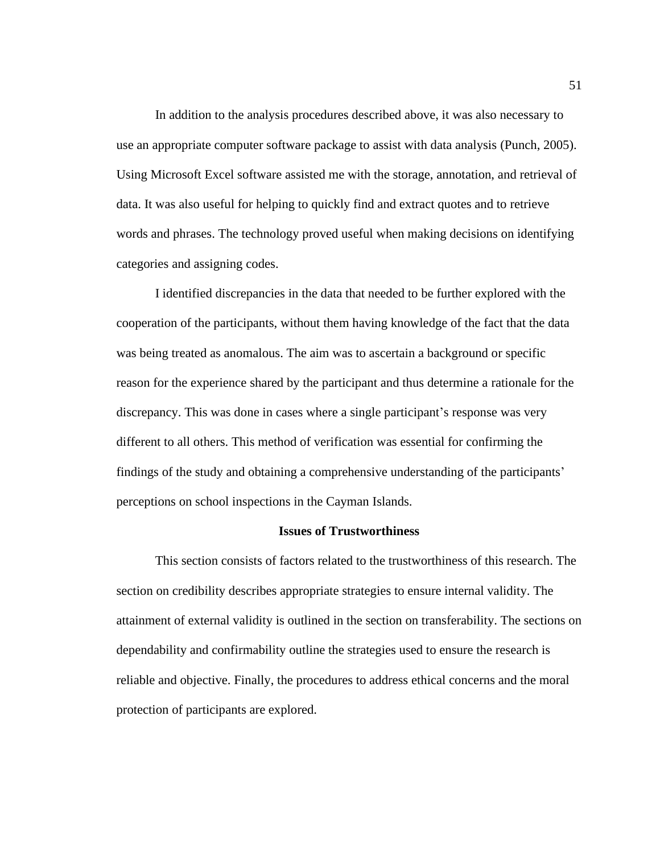In addition to the analysis procedures described above, it was also necessary to use an appropriate computer software package to assist with data analysis (Punch, 2005). Using Microsoft Excel software assisted me with the storage, annotation, and retrieval of data. It was also useful for helping to quickly find and extract quotes and to retrieve words and phrases. The technology proved useful when making decisions on identifying categories and assigning codes.

I identified discrepancies in the data that needed to be further explored with the cooperation of the participants, without them having knowledge of the fact that the data was being treated as anomalous. The aim was to ascertain a background or specific reason for the experience shared by the participant and thus determine a rationale for the discrepancy. This was done in cases where a single participant's response was very different to all others. This method of verification was essential for confirming the findings of the study and obtaining a comprehensive understanding of the participants' perceptions on school inspections in the Cayman Islands.

### **Issues of Trustworthiness**

This section consists of factors related to the trustworthiness of this research. The section on credibility describes appropriate strategies to ensure internal validity. The attainment of external validity is outlined in the section on transferability. The sections on dependability and confirmability outline the strategies used to ensure the research is reliable and objective. Finally, the procedures to address ethical concerns and the moral protection of participants are explored.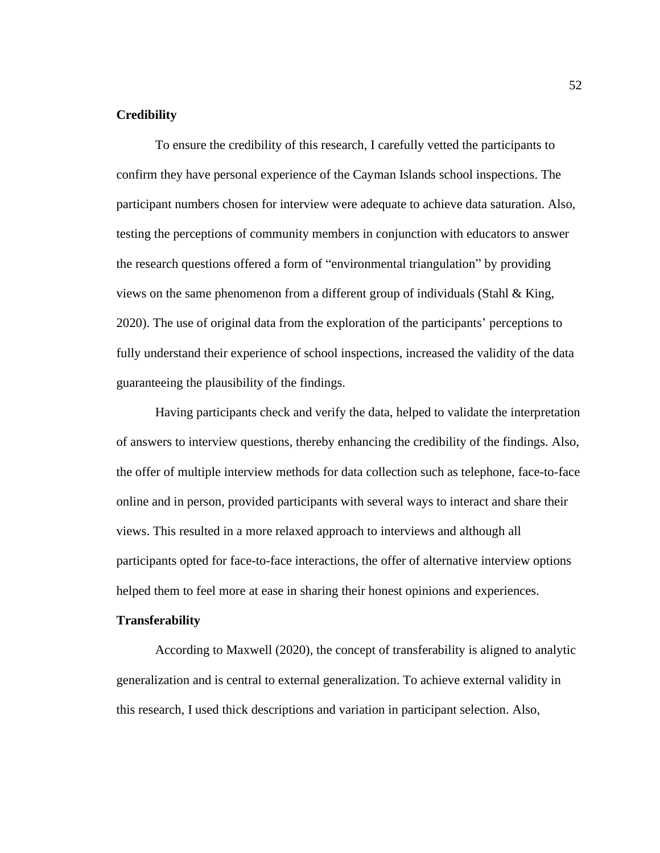# **Credibility**

To ensure the credibility of this research, I carefully vetted the participants to confirm they have personal experience of the Cayman Islands school inspections. The participant numbers chosen for interview were adequate to achieve data saturation. Also, testing the perceptions of community members in conjunction with educators to answer the research questions offered a form of "environmental triangulation" by providing views on the same phenomenon from a different group of individuals (Stahl  $\&$  King, 2020). The use of original data from the exploration of the participants' perceptions to fully understand their experience of school inspections, increased the validity of the data guaranteeing the plausibility of the findings.

Having participants check and verify the data, helped to validate the interpretation of answers to interview questions, thereby enhancing the credibility of the findings. Also, the offer of multiple interview methods for data collection such as telephone, face-to-face online and in person, provided participants with several ways to interact and share their views. This resulted in a more relaxed approach to interviews and although all participants opted for face-to-face interactions, the offer of alternative interview options helped them to feel more at ease in sharing their honest opinions and experiences.

### **Transferability**

According to Maxwell (2020), the concept of transferability is aligned to analytic generalization and is central to external generalization. To achieve external validity in this research, I used thick descriptions and variation in participant selection. Also,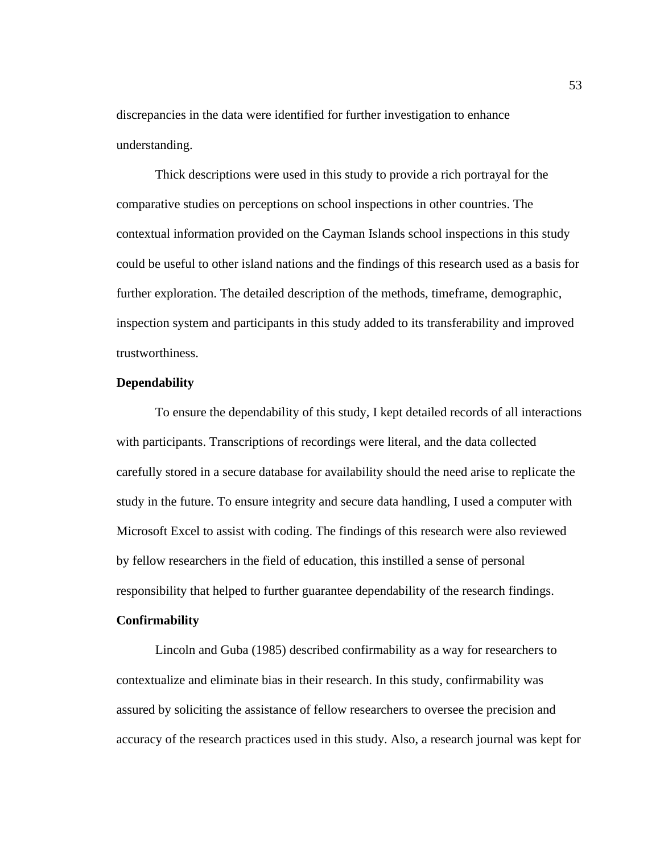discrepancies in the data were identified for further investigation to enhance understanding.

Thick descriptions were used in this study to provide a rich portrayal for the comparative studies on perceptions on school inspections in other countries. The contextual information provided on the Cayman Islands school inspections in this study could be useful to other island nations and the findings of this research used as a basis for further exploration. The detailed description of the methods, timeframe, demographic, inspection system and participants in this study added to its transferability and improved trustworthiness.

## **Dependability**

To ensure the dependability of this study, I kept detailed records of all interactions with participants. Transcriptions of recordings were literal, and the data collected carefully stored in a secure database for availability should the need arise to replicate the study in the future. To ensure integrity and secure data handling, I used a computer with Microsoft Excel to assist with coding. The findings of this research were also reviewed by fellow researchers in the field of education, this instilled a sense of personal responsibility that helped to further guarantee dependability of the research findings.

### **Confirmability**

Lincoln and Guba (1985) described confirmability as a way for researchers to contextualize and eliminate bias in their research. In this study, confirmability was assured by soliciting the assistance of fellow researchers to oversee the precision and accuracy of the research practices used in this study. Also, a research journal was kept for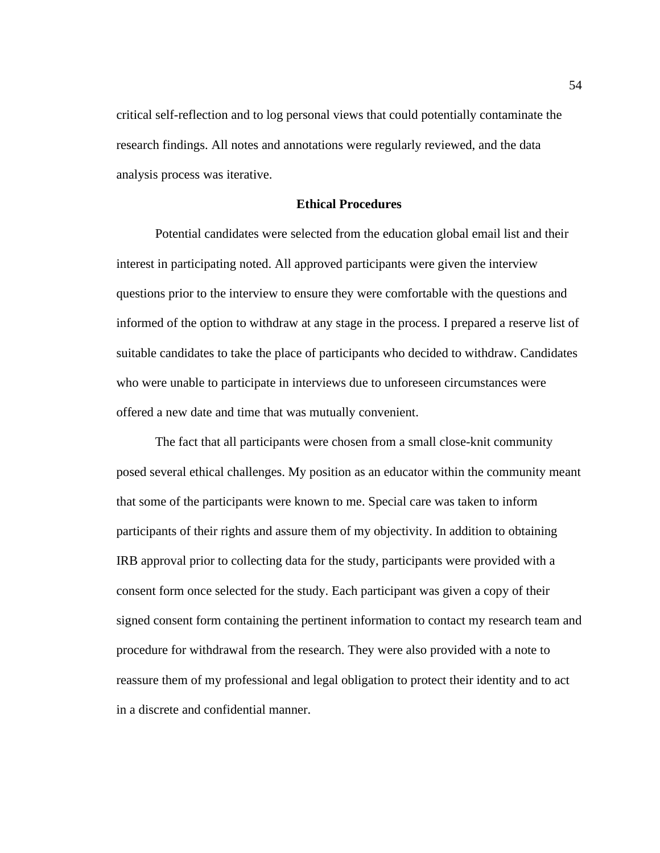critical self-reflection and to log personal views that could potentially contaminate the research findings. All notes and annotations were regularly reviewed, and the data analysis process was iterative.

# **Ethical Procedures**

Potential candidates were selected from the education global email list and their interest in participating noted. All approved participants were given the interview questions prior to the interview to ensure they were comfortable with the questions and informed of the option to withdraw at any stage in the process. I prepared a reserve list of suitable candidates to take the place of participants who decided to withdraw. Candidates who were unable to participate in interviews due to unforeseen circumstances were offered a new date and time that was mutually convenient.

The fact that all participants were chosen from a small close-knit community posed several ethical challenges. My position as an educator within the community meant that some of the participants were known to me. Special care was taken to inform participants of their rights and assure them of my objectivity. In addition to obtaining IRB approval prior to collecting data for the study, participants were provided with a consent form once selected for the study. Each participant was given a copy of their signed consent form containing the pertinent information to contact my research team and procedure for withdrawal from the research. They were also provided with a note to reassure them of my professional and legal obligation to protect their identity and to act in a discrete and confidential manner.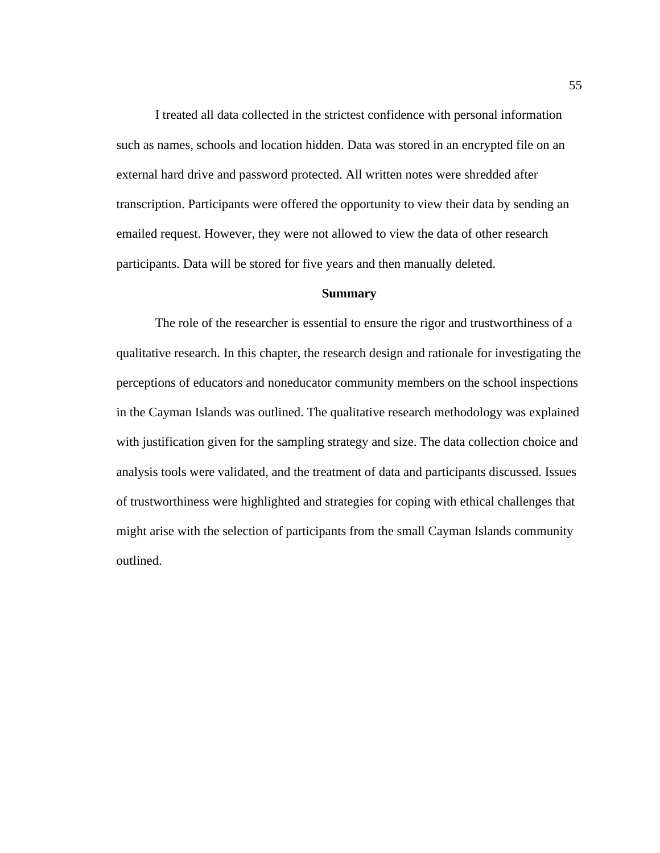I treated all data collected in the strictest confidence with personal information such as names, schools and location hidden. Data was stored in an encrypted file on an external hard drive and password protected. All written notes were shredded after transcription. Participants were offered the opportunity to view their data by sending an emailed request. However, they were not allowed to view the data of other research participants. Data will be stored for five years and then manually deleted.

## **Summary**

The role of the researcher is essential to ensure the rigor and trustworthiness of a qualitative research. In this chapter, the research design and rationale for investigating the perceptions of educators and noneducator community members on the school inspections in the Cayman Islands was outlined. The qualitative research methodology was explained with justification given for the sampling strategy and size. The data collection choice and analysis tools were validated, and the treatment of data and participants discussed. Issues of trustworthiness were highlighted and strategies for coping with ethical challenges that might arise with the selection of participants from the small Cayman Islands community outlined.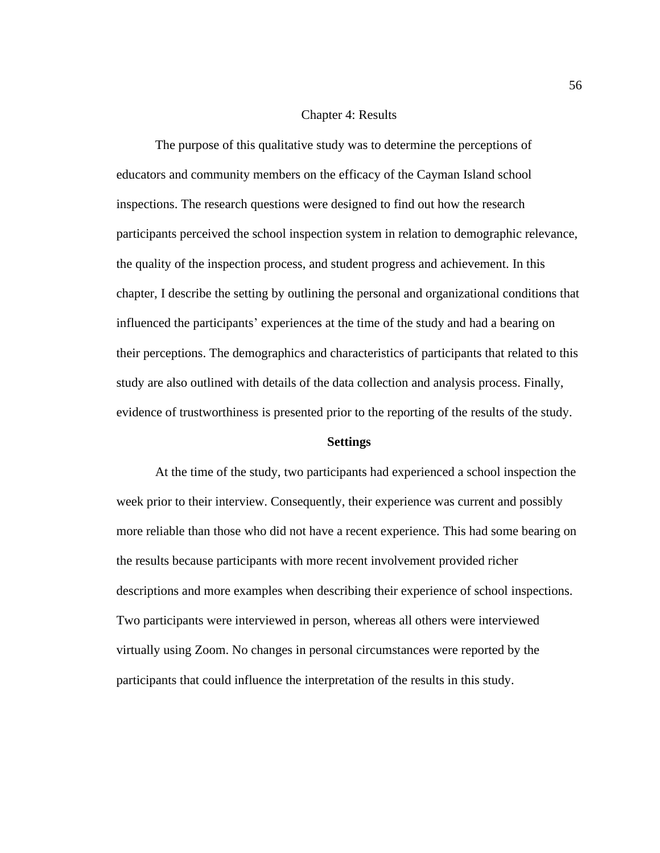## Chapter 4: Results

The purpose of this qualitative study was to determine the perceptions of educators and community members on the efficacy of the Cayman Island school inspections. The research questions were designed to find out how the research participants perceived the school inspection system in relation to demographic relevance, the quality of the inspection process, and student progress and achievement. In this chapter, I describe the setting by outlining the personal and organizational conditions that influenced the participants' experiences at the time of the study and had a bearing on their perceptions. The demographics and characteristics of participants that related to this study are also outlined with details of the data collection and analysis process. Finally, evidence of trustworthiness is presented prior to the reporting of the results of the study.

#### **Settings**

At the time of the study, two participants had experienced a school inspection the week prior to their interview. Consequently, their experience was current and possibly more reliable than those who did not have a recent experience. This had some bearing on the results because participants with more recent involvement provided richer descriptions and more examples when describing their experience of school inspections. Two participants were interviewed in person, whereas all others were interviewed virtually using Zoom. No changes in personal circumstances were reported by the participants that could influence the interpretation of the results in this study.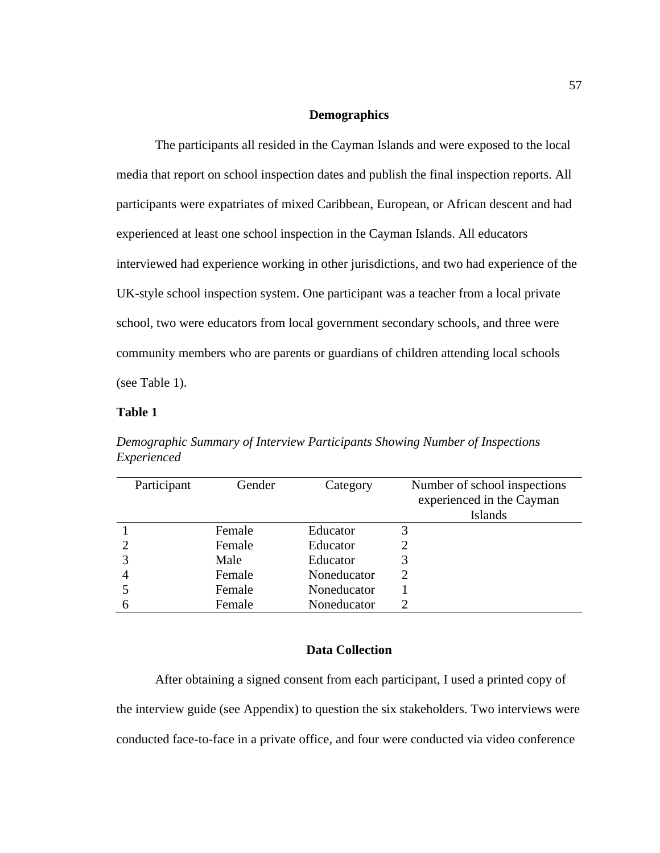## **Demographics**

The participants all resided in the Cayman Islands and were exposed to the local media that report on school inspection dates and publish the final inspection reports. All participants were expatriates of mixed Caribbean, European, or African descent and had experienced at least one school inspection in the Cayman Islands. All educators interviewed had experience working in other jurisdictions, and two had experience of the UK-style school inspection system. One participant was a teacher from a local private school, two were educators from local government secondary schools, and three were community members who are parents or guardians of children attending local schools (see Table 1).

# **Table 1**

| Participant | Gender | Category    | Number of school inspections<br>experienced in the Cayman<br><b>Islands</b> |
|-------------|--------|-------------|-----------------------------------------------------------------------------|
|             | Female | Educator    | 3                                                                           |
|             | Female | Educator    |                                                                             |
|             | Male   | Educator    | 3                                                                           |
|             | Female | Noneducator | 2                                                                           |
|             | Female | Noneducator |                                                                             |
|             | Female | Noneducator |                                                                             |

*Demographic Summary of Interview Participants Showing Number of Inspections Experienced*

# **Data Collection**

After obtaining a signed consent from each participant, I used a printed copy of the interview guide (see Appendix) to question the six stakeholders. Two interviews were conducted face-to-face in a private office, and four were conducted via video conference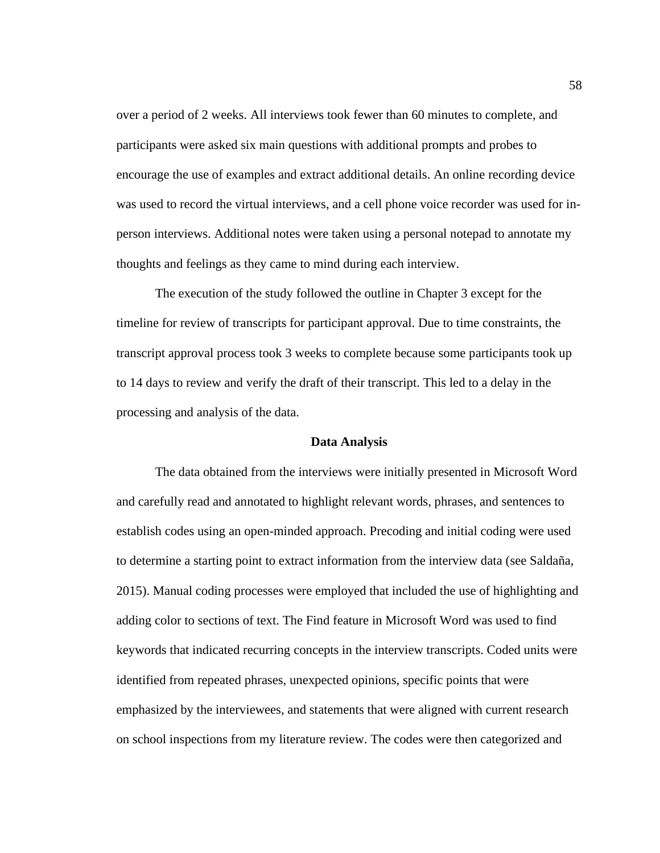over a period of 2 weeks. All interviews took fewer than 60 minutes to complete, and participants were asked six main questions with additional prompts and probes to encourage the use of examples and extract additional details. An online recording device was used to record the virtual interviews, and a cell phone voice recorder was used for inperson interviews. Additional notes were taken using a personal notepad to annotate my thoughts and feelings as they came to mind during each interview.

The execution of the study followed the outline in Chapter 3 except for the timeline for review of transcripts for participant approval. Due to time constraints, the transcript approval process took 3 weeks to complete because some participants took up to 14 days to review and verify the draft of their transcript. This led to a delay in the processing and analysis of the data.

### **Data Analysis**

The data obtained from the interviews were initially presented in Microsoft Word and carefully read and annotated to highlight relevant words, phrases, and sentences to establish codes using an open-minded approach. Precoding and initial coding were used to determine a starting point to extract information from the interview data (see Saldaña, 2015). Manual coding processes were employed that included the use of highlighting and adding color to sections of text. The Find feature in Microsoft Word was used to find keywords that indicated recurring concepts in the interview transcripts. Coded units were identified from repeated phrases, unexpected opinions, specific points that were emphasized by the interviewees, and statements that were aligned with current research on school inspections from my literature review. The codes were then categorized and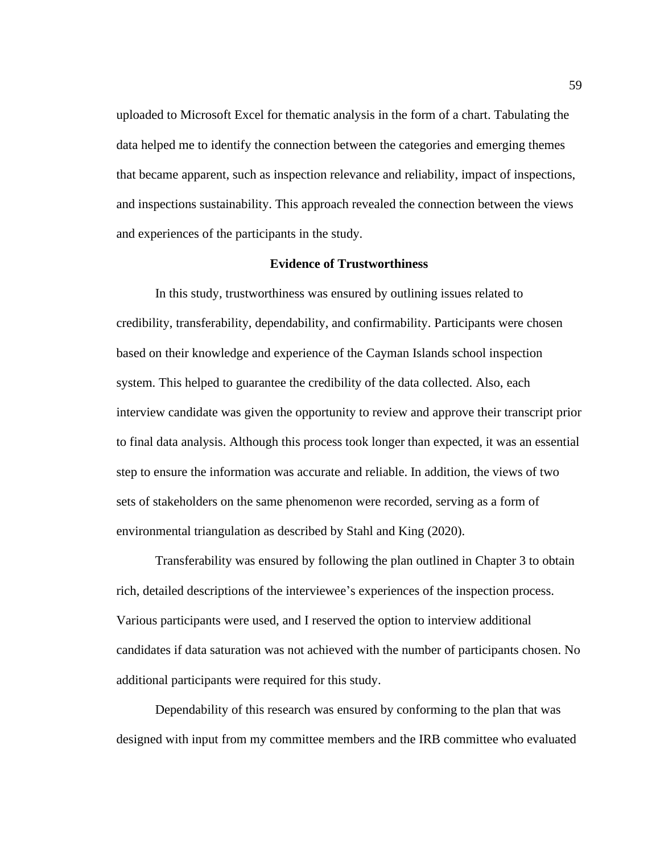uploaded to Microsoft Excel for thematic analysis in the form of a chart. Tabulating the data helped me to identify the connection between the categories and emerging themes that became apparent, such as inspection relevance and reliability, impact of inspections, and inspections sustainability. This approach revealed the connection between the views and experiences of the participants in the study.

### **Evidence of Trustworthiness**

In this study, trustworthiness was ensured by outlining issues related to credibility, transferability, dependability, and confirmability. Participants were chosen based on their knowledge and experience of the Cayman Islands school inspection system. This helped to guarantee the credibility of the data collected. Also, each interview candidate was given the opportunity to review and approve their transcript prior to final data analysis. Although this process took longer than expected, it was an essential step to ensure the information was accurate and reliable. In addition, the views of two sets of stakeholders on the same phenomenon were recorded, serving as a form of environmental triangulation as described by Stahl and King (2020).

Transferability was ensured by following the plan outlined in Chapter 3 to obtain rich, detailed descriptions of the interviewee's experiences of the inspection process. Various participants were used, and I reserved the option to interview additional candidates if data saturation was not achieved with the number of participants chosen. No additional participants were required for this study.

Dependability of this research was ensured by conforming to the plan that was designed with input from my committee members and the IRB committee who evaluated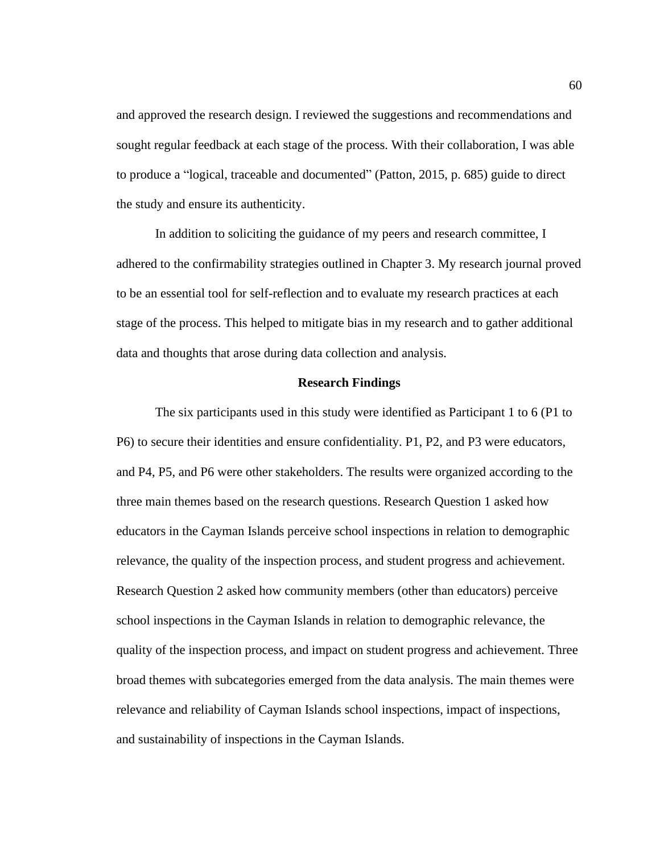and approved the research design. I reviewed the suggestions and recommendations and sought regular feedback at each stage of the process. With their collaboration, I was able to produce a "logical, traceable and documented" (Patton, 2015, p. 685) guide to direct the study and ensure its authenticity.

In addition to soliciting the guidance of my peers and research committee, I adhered to the confirmability strategies outlined in Chapter 3. My research journal proved to be an essential tool for self-reflection and to evaluate my research practices at each stage of the process. This helped to mitigate bias in my research and to gather additional data and thoughts that arose during data collection and analysis.

#### **Research Findings**

The six participants used in this study were identified as Participant 1 to 6 (P1 to P6) to secure their identities and ensure confidentiality. P1, P2, and P3 were educators, and P4, P5, and P6 were other stakeholders. The results were organized according to the three main themes based on the research questions. Research Question 1 asked how educators in the Cayman Islands perceive school inspections in relation to demographic relevance, the quality of the inspection process, and student progress and achievement. Research Question 2 asked how community members (other than educators) perceive school inspections in the Cayman Islands in relation to demographic relevance, the quality of the inspection process, and impact on student progress and achievement. Three broad themes with subcategories emerged from the data analysis. The main themes were relevance and reliability of Cayman Islands school inspections, impact of inspections, and sustainability of inspections in the Cayman Islands.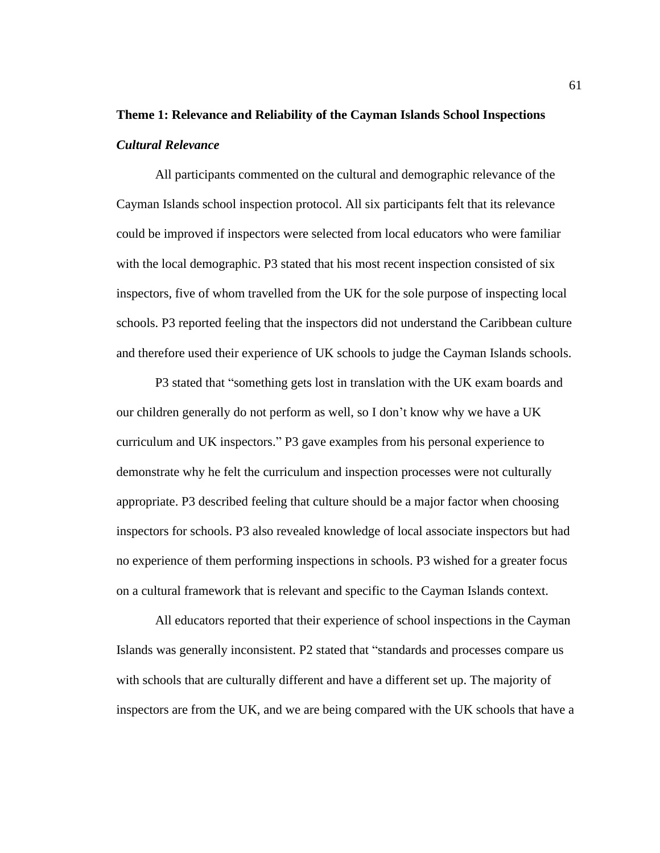# **Theme 1: Relevance and Reliability of the Cayman Islands School Inspections** *Cultural Relevance*

All participants commented on the cultural and demographic relevance of the Cayman Islands school inspection protocol. All six participants felt that its relevance could be improved if inspectors were selected from local educators who were familiar with the local demographic. P3 stated that his most recent inspection consisted of six inspectors, five of whom travelled from the UK for the sole purpose of inspecting local schools. P3 reported feeling that the inspectors did not understand the Caribbean culture and therefore used their experience of UK schools to judge the Cayman Islands schools.

P3 stated that "something gets lost in translation with the UK exam boards and our children generally do not perform as well, so I don't know why we have a UK curriculum and UK inspectors." P3 gave examples from his personal experience to demonstrate why he felt the curriculum and inspection processes were not culturally appropriate. P3 described feeling that culture should be a major factor when choosing inspectors for schools. P3 also revealed knowledge of local associate inspectors but had no experience of them performing inspections in schools. P3 wished for a greater focus on a cultural framework that is relevant and specific to the Cayman Islands context.

All educators reported that their experience of school inspections in the Cayman Islands was generally inconsistent. P2 stated that "standards and processes compare us with schools that are culturally different and have a different set up. The majority of inspectors are from the UK, and we are being compared with the UK schools that have a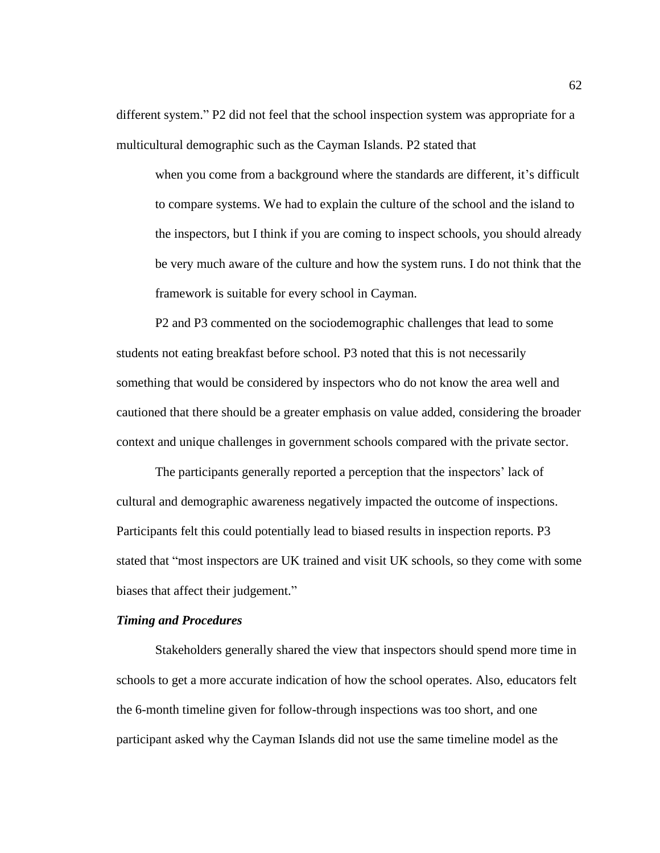different system." P2 did not feel that the school inspection system was appropriate for a multicultural demographic such as the Cayman Islands. P2 stated that

when you come from a background where the standards are different, it's difficult to compare systems. We had to explain the culture of the school and the island to the inspectors, but I think if you are coming to inspect schools, you should already be very much aware of the culture and how the system runs. I do not think that the framework is suitable for every school in Cayman.

P2 and P3 commented on the sociodemographic challenges that lead to some students not eating breakfast before school. P3 noted that this is not necessarily something that would be considered by inspectors who do not know the area well and cautioned that there should be a greater emphasis on value added, considering the broader context and unique challenges in government schools compared with the private sector.

The participants generally reported a perception that the inspectors' lack of cultural and demographic awareness negatively impacted the outcome of inspections. Participants felt this could potentially lead to biased results in inspection reports. P3 stated that "most inspectors are UK trained and visit UK schools, so they come with some biases that affect their judgement."

#### *Timing and Procedures*

Stakeholders generally shared the view that inspectors should spend more time in schools to get a more accurate indication of how the school operates. Also, educators felt the 6-month timeline given for follow-through inspections was too short, and one participant asked why the Cayman Islands did not use the same timeline model as the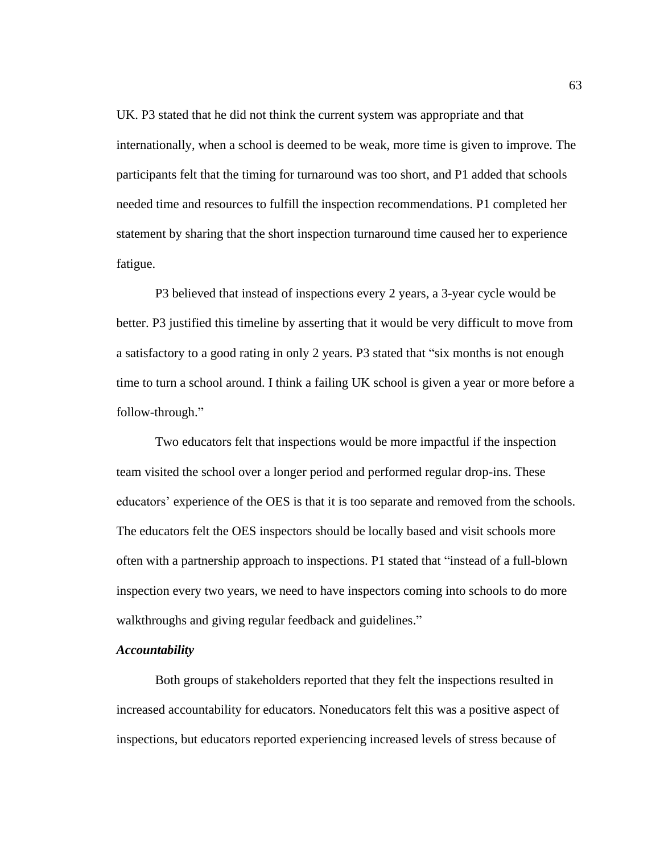UK. P3 stated that he did not think the current system was appropriate and that internationally, when a school is deemed to be weak, more time is given to improve. The participants felt that the timing for turnaround was too short, and P1 added that schools needed time and resources to fulfill the inspection recommendations. P1 completed her statement by sharing that the short inspection turnaround time caused her to experience fatigue.

P3 believed that instead of inspections every 2 years, a 3-year cycle would be better. P3 justified this timeline by asserting that it would be very difficult to move from a satisfactory to a good rating in only 2 years. P3 stated that "six months is not enough time to turn a school around. I think a failing UK school is given a year or more before a follow-through."

Two educators felt that inspections would be more impactful if the inspection team visited the school over a longer period and performed regular drop-ins. These educators' experience of the OES is that it is too separate and removed from the schools. The educators felt the OES inspectors should be locally based and visit schools more often with a partnership approach to inspections. P1 stated that "instead of a full-blown inspection every two years, we need to have inspectors coming into schools to do more walkthroughs and giving regular feedback and guidelines."

#### *Accountability*

Both groups of stakeholders reported that they felt the inspections resulted in increased accountability for educators. Noneducators felt this was a positive aspect of inspections, but educators reported experiencing increased levels of stress because of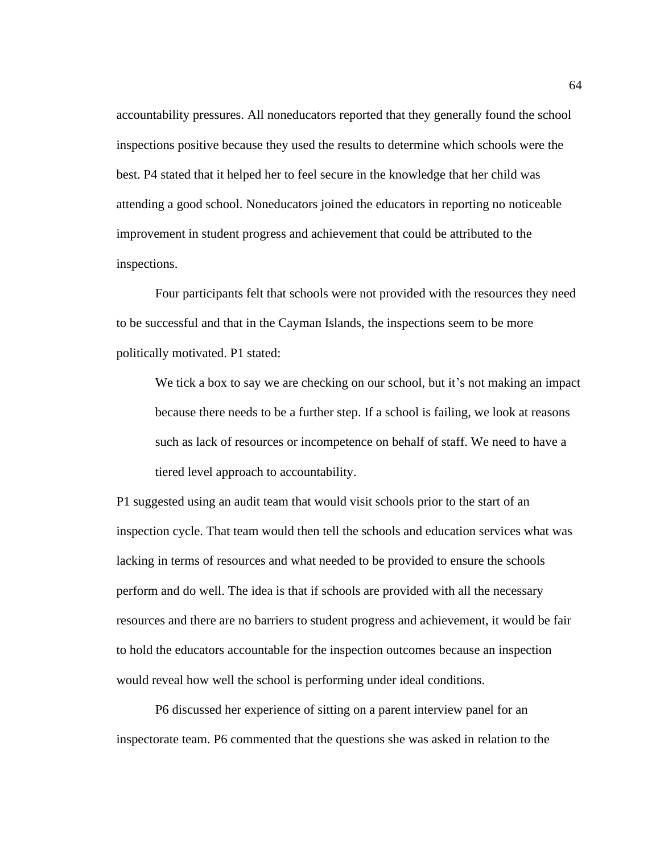accountability pressures. All noneducators reported that they generally found the school inspections positive because they used the results to determine which schools were the best. P4 stated that it helped her to feel secure in the knowledge that her child was attending a good school. Noneducators joined the educators in reporting no noticeable improvement in student progress and achievement that could be attributed to the inspections.

Four participants felt that schools were not provided with the resources they need to be successful and that in the Cayman Islands, the inspections seem to be more politically motivated. P1 stated:

We tick a box to say we are checking on our school, but it's not making an impact because there needs to be a further step. If a school is failing, we look at reasons such as lack of resources or incompetence on behalf of staff. We need to have a tiered level approach to accountability.

P1 suggested using an audit team that would visit schools prior to the start of an inspection cycle. That team would then tell the schools and education services what was lacking in terms of resources and what needed to be provided to ensure the schools perform and do well. The idea is that if schools are provided with all the necessary resources and there are no barriers to student progress and achievement, it would be fair to hold the educators accountable for the inspection outcomes because an inspection would reveal how well the school is performing under ideal conditions.

P6 discussed her experience of sitting on a parent interview panel for an inspectorate team. P6 commented that the questions she was asked in relation to the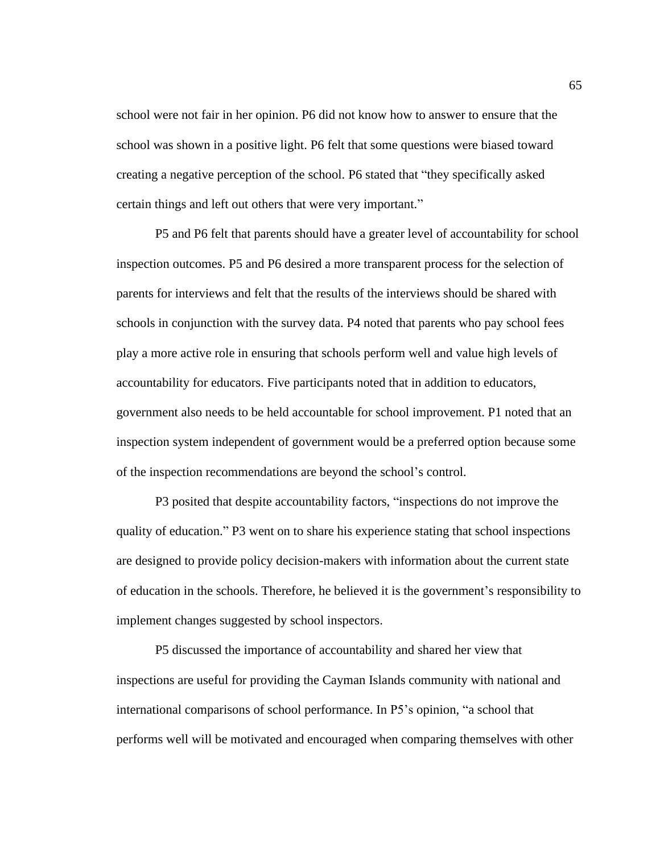school were not fair in her opinion. P6 did not know how to answer to ensure that the school was shown in a positive light. P6 felt that some questions were biased toward creating a negative perception of the school. P6 stated that "they specifically asked certain things and left out others that were very important."

P5 and P6 felt that parents should have a greater level of accountability for school inspection outcomes. P5 and P6 desired a more transparent process for the selection of parents for interviews and felt that the results of the interviews should be shared with schools in conjunction with the survey data. P4 noted that parents who pay school fees play a more active role in ensuring that schools perform well and value high levels of accountability for educators. Five participants noted that in addition to educators, government also needs to be held accountable for school improvement. P1 noted that an inspection system independent of government would be a preferred option because some of the inspection recommendations are beyond the school's control.

P3 posited that despite accountability factors, "inspections do not improve the quality of education." P3 went on to share his experience stating that school inspections are designed to provide policy decision-makers with information about the current state of education in the schools. Therefore, he believed it is the government's responsibility to implement changes suggested by school inspectors.

P5 discussed the importance of accountability and shared her view that inspections are useful for providing the Cayman Islands community with national and international comparisons of school performance. In P5's opinion, "a school that performs well will be motivated and encouraged when comparing themselves with other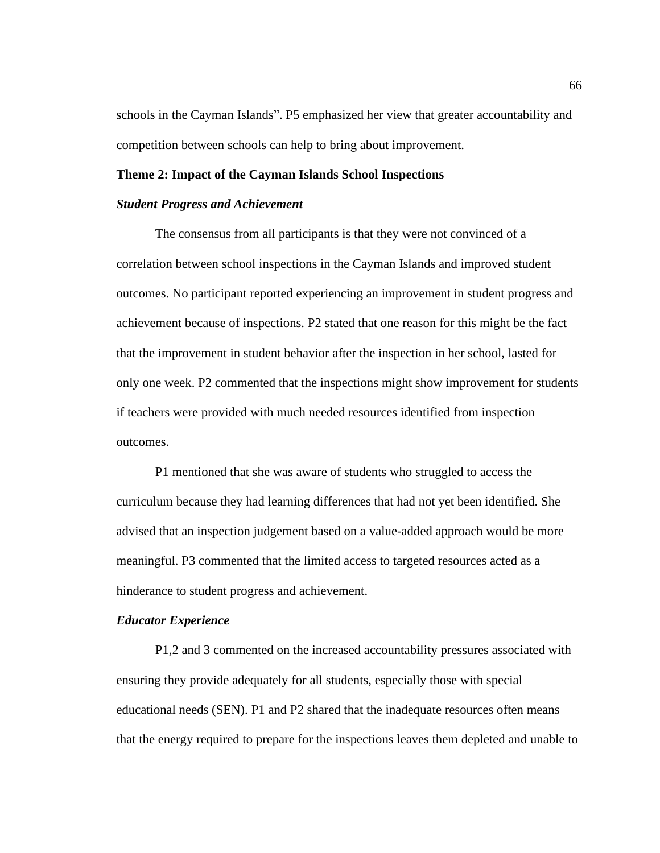schools in the Cayman Islands". P5 emphasized her view that greater accountability and competition between schools can help to bring about improvement.

#### **Theme 2: Impact of the Cayman Islands School Inspections**

#### *Student Progress and Achievement*

The consensus from all participants is that they were not convinced of a correlation between school inspections in the Cayman Islands and improved student outcomes. No participant reported experiencing an improvement in student progress and achievement because of inspections. P2 stated that one reason for this might be the fact that the improvement in student behavior after the inspection in her school, lasted for only one week. P2 commented that the inspections might show improvement for students if teachers were provided with much needed resources identified from inspection outcomes.

P1 mentioned that she was aware of students who struggled to access the curriculum because they had learning differences that had not yet been identified. She advised that an inspection judgement based on a value-added approach would be more meaningful. P3 commented that the limited access to targeted resources acted as a hinderance to student progress and achievement.

#### *Educator Experience*

P1,2 and 3 commented on the increased accountability pressures associated with ensuring they provide adequately for all students, especially those with special educational needs (SEN). P1 and P2 shared that the inadequate resources often means that the energy required to prepare for the inspections leaves them depleted and unable to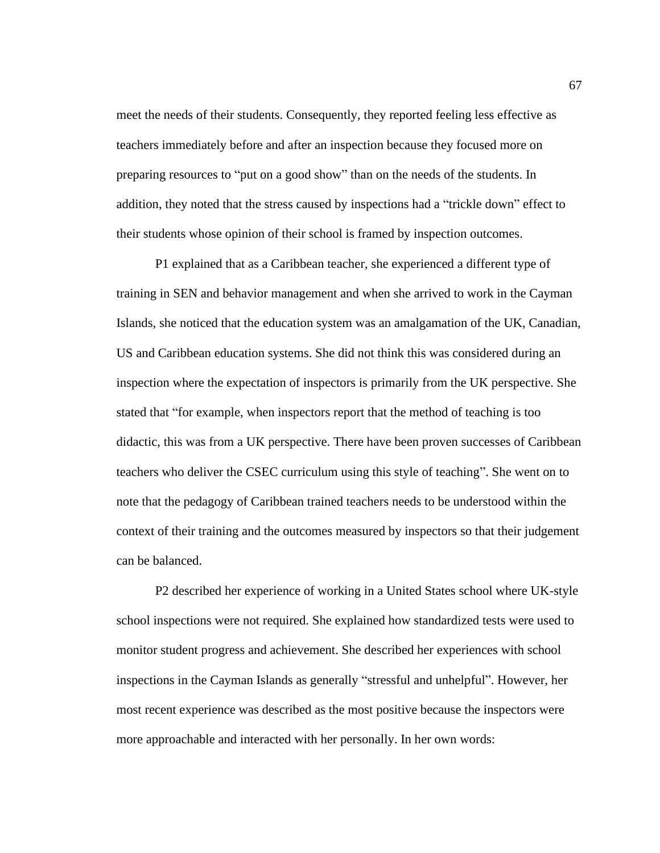meet the needs of their students. Consequently, they reported feeling less effective as teachers immediately before and after an inspection because they focused more on preparing resources to "put on a good show" than on the needs of the students. In addition, they noted that the stress caused by inspections had a "trickle down" effect to their students whose opinion of their school is framed by inspection outcomes.

P1 explained that as a Caribbean teacher, she experienced a different type of training in SEN and behavior management and when she arrived to work in the Cayman Islands, she noticed that the education system was an amalgamation of the UK, Canadian, US and Caribbean education systems. She did not think this was considered during an inspection where the expectation of inspectors is primarily from the UK perspective. She stated that "for example, when inspectors report that the method of teaching is too didactic, this was from a UK perspective. There have been proven successes of Caribbean teachers who deliver the CSEC curriculum using this style of teaching". She went on to note that the pedagogy of Caribbean trained teachers needs to be understood within the context of their training and the outcomes measured by inspectors so that their judgement can be balanced.

P2 described her experience of working in a United States school where UK-style school inspections were not required. She explained how standardized tests were used to monitor student progress and achievement. She described her experiences with school inspections in the Cayman Islands as generally "stressful and unhelpful". However, her most recent experience was described as the most positive because the inspectors were more approachable and interacted with her personally. In her own words: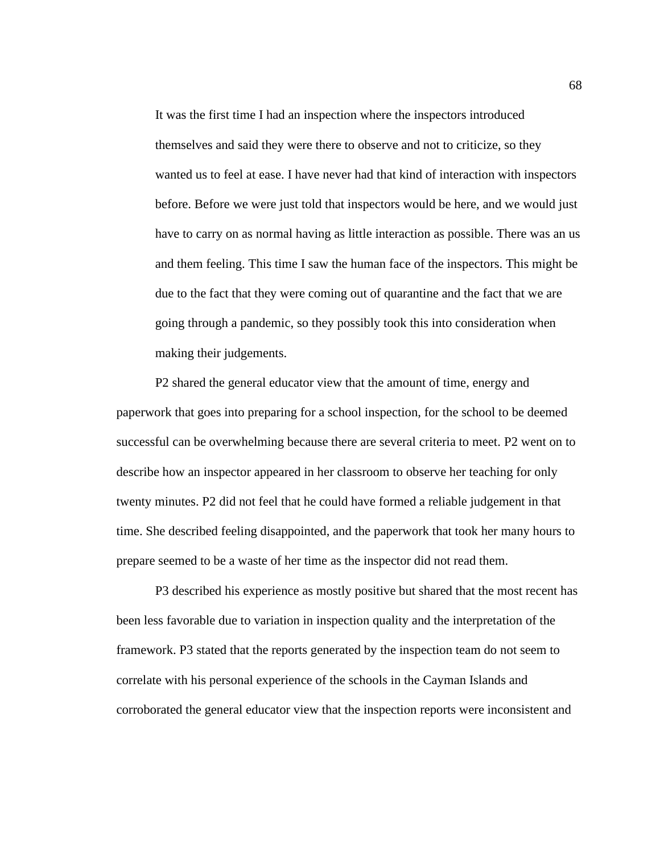It was the first time I had an inspection where the inspectors introduced themselves and said they were there to observe and not to criticize, so they wanted us to feel at ease. I have never had that kind of interaction with inspectors before. Before we were just told that inspectors would be here, and we would just have to carry on as normal having as little interaction as possible. There was an us and them feeling. This time I saw the human face of the inspectors. This might be due to the fact that they were coming out of quarantine and the fact that we are going through a pandemic, so they possibly took this into consideration when making their judgements.

P2 shared the general educator view that the amount of time, energy and paperwork that goes into preparing for a school inspection, for the school to be deemed successful can be overwhelming because there are several criteria to meet. P2 went on to describe how an inspector appeared in her classroom to observe her teaching for only twenty minutes. P2 did not feel that he could have formed a reliable judgement in that time. She described feeling disappointed, and the paperwork that took her many hours to prepare seemed to be a waste of her time as the inspector did not read them.

P3 described his experience as mostly positive but shared that the most recent has been less favorable due to variation in inspection quality and the interpretation of the framework. P3 stated that the reports generated by the inspection team do not seem to correlate with his personal experience of the schools in the Cayman Islands and corroborated the general educator view that the inspection reports were inconsistent and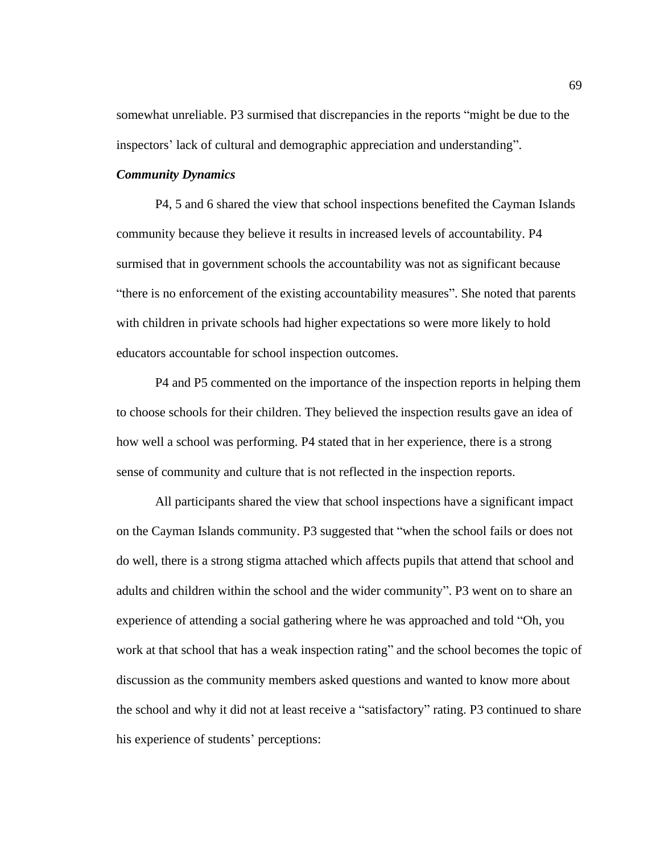somewhat unreliable. P3 surmised that discrepancies in the reports "might be due to the inspectors' lack of cultural and demographic appreciation and understanding".

## *Community Dynamics*

P4, 5 and 6 shared the view that school inspections benefited the Cayman Islands community because they believe it results in increased levels of accountability. P4 surmised that in government schools the accountability was not as significant because "there is no enforcement of the existing accountability measures". She noted that parents with children in private schools had higher expectations so were more likely to hold educators accountable for school inspection outcomes.

P4 and P5 commented on the importance of the inspection reports in helping them to choose schools for their children. They believed the inspection results gave an idea of how well a school was performing. P4 stated that in her experience, there is a strong sense of community and culture that is not reflected in the inspection reports.

All participants shared the view that school inspections have a significant impact on the Cayman Islands community. P3 suggested that "when the school fails or does not do well, there is a strong stigma attached which affects pupils that attend that school and adults and children within the school and the wider community". P3 went on to share an experience of attending a social gathering where he was approached and told "Oh, you work at that school that has a weak inspection rating" and the school becomes the topic of discussion as the community members asked questions and wanted to know more about the school and why it did not at least receive a "satisfactory" rating. P3 continued to share his experience of students' perceptions: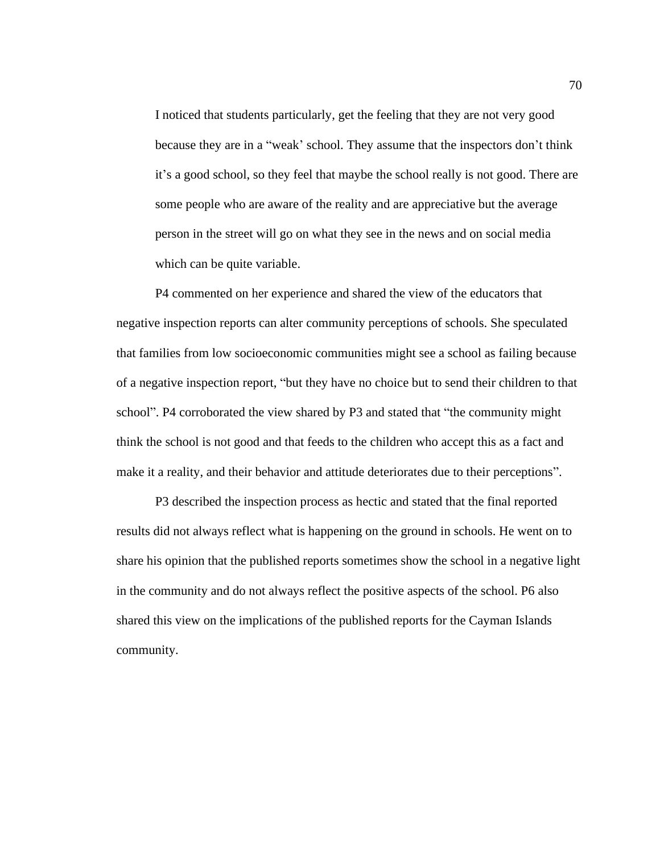I noticed that students particularly, get the feeling that they are not very good because they are in a "weak' school. They assume that the inspectors don't think it's a good school, so they feel that maybe the school really is not good. There are some people who are aware of the reality and are appreciative but the average person in the street will go on what they see in the news and on social media which can be quite variable.

P4 commented on her experience and shared the view of the educators that negative inspection reports can alter community perceptions of schools. She speculated that families from low socioeconomic communities might see a school as failing because of a negative inspection report, "but they have no choice but to send their children to that school". P4 corroborated the view shared by P3 and stated that "the community might think the school is not good and that feeds to the children who accept this as a fact and make it a reality, and their behavior and attitude deteriorates due to their perceptions".

P3 described the inspection process as hectic and stated that the final reported results did not always reflect what is happening on the ground in schools. He went on to share his opinion that the published reports sometimes show the school in a negative light in the community and do not always reflect the positive aspects of the school. P6 also shared this view on the implications of the published reports for the Cayman Islands community.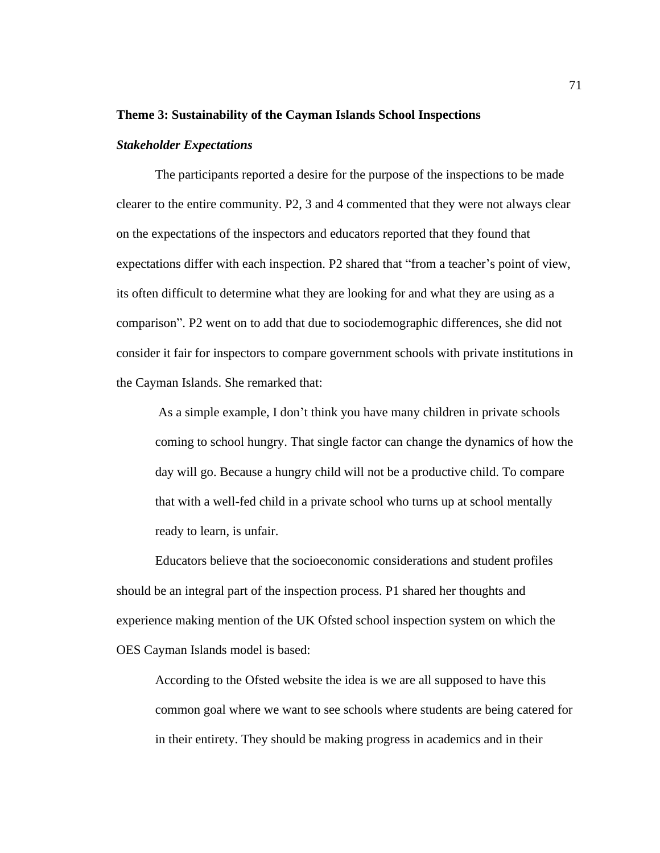#### **Theme 3: Sustainability of the Cayman Islands School Inspections**

### *Stakeholder Expectations*

The participants reported a desire for the purpose of the inspections to be made clearer to the entire community. P2, 3 and 4 commented that they were not always clear on the expectations of the inspectors and educators reported that they found that expectations differ with each inspection. P2 shared that "from a teacher's point of view, its often difficult to determine what they are looking for and what they are using as a comparison". P2 went on to add that due to sociodemographic differences, she did not consider it fair for inspectors to compare government schools with private institutions in the Cayman Islands. She remarked that:

As a simple example, I don't think you have many children in private schools coming to school hungry. That single factor can change the dynamics of how the day will go. Because a hungry child will not be a productive child. To compare that with a well-fed child in a private school who turns up at school mentally ready to learn, is unfair.

Educators believe that the socioeconomic considerations and student profiles should be an integral part of the inspection process. P1 shared her thoughts and experience making mention of the UK Ofsted school inspection system on which the OES Cayman Islands model is based:

According to the Ofsted website the idea is we are all supposed to have this common goal where we want to see schools where students are being catered for in their entirety. They should be making progress in academics and in their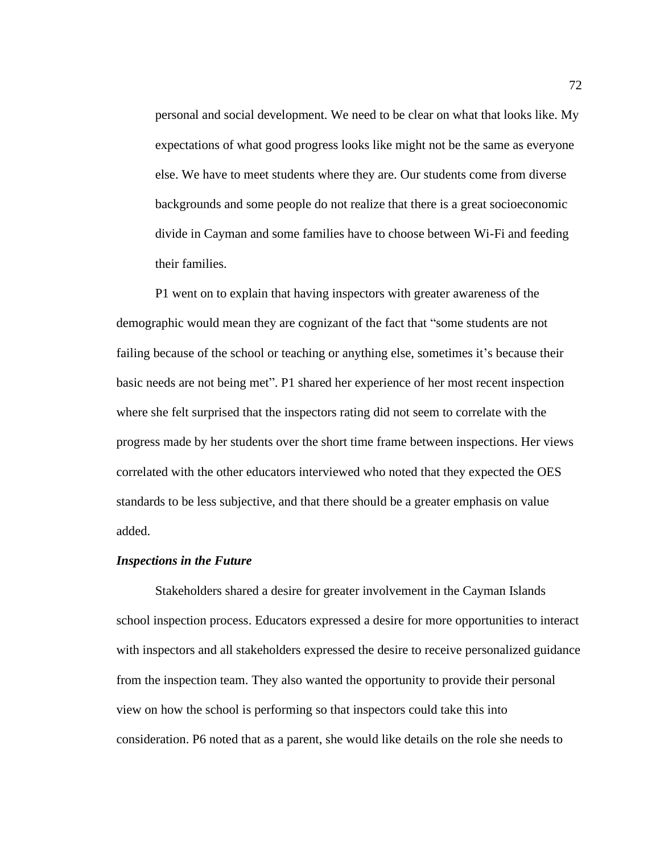personal and social development. We need to be clear on what that looks like. My expectations of what good progress looks like might not be the same as everyone else. We have to meet students where they are. Our students come from diverse backgrounds and some people do not realize that there is a great socioeconomic divide in Cayman and some families have to choose between Wi-Fi and feeding their families.

P1 went on to explain that having inspectors with greater awareness of the demographic would mean they are cognizant of the fact that "some students are not failing because of the school or teaching or anything else, sometimes it's because their basic needs are not being met". P1 shared her experience of her most recent inspection where she felt surprised that the inspectors rating did not seem to correlate with the progress made by her students over the short time frame between inspections. Her views correlated with the other educators interviewed who noted that they expected the OES standards to be less subjective, and that there should be a greater emphasis on value added.

#### *Inspections in the Future*

Stakeholders shared a desire for greater involvement in the Cayman Islands school inspection process. Educators expressed a desire for more opportunities to interact with inspectors and all stakeholders expressed the desire to receive personalized guidance from the inspection team. They also wanted the opportunity to provide their personal view on how the school is performing so that inspectors could take this into consideration. P6 noted that as a parent, she would like details on the role she needs to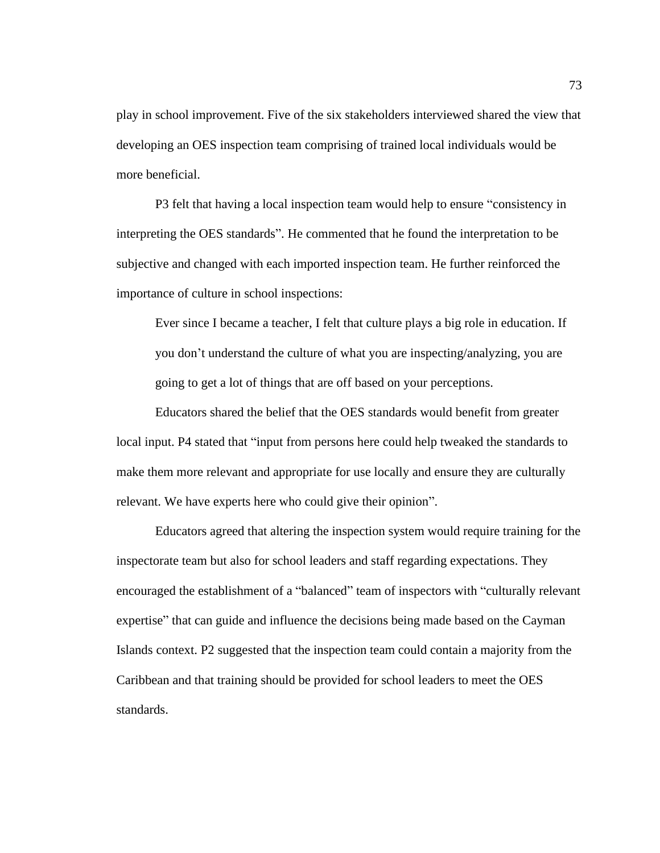play in school improvement. Five of the six stakeholders interviewed shared the view that developing an OES inspection team comprising of trained local individuals would be more beneficial.

P3 felt that having a local inspection team would help to ensure "consistency in interpreting the OES standards". He commented that he found the interpretation to be subjective and changed with each imported inspection team. He further reinforced the importance of culture in school inspections:

Ever since I became a teacher, I felt that culture plays a big role in education. If you don't understand the culture of what you are inspecting/analyzing, you are going to get a lot of things that are off based on your perceptions.

Educators shared the belief that the OES standards would benefit from greater local input. P4 stated that "input from persons here could help tweaked the standards to make them more relevant and appropriate for use locally and ensure they are culturally relevant. We have experts here who could give their opinion".

Educators agreed that altering the inspection system would require training for the inspectorate team but also for school leaders and staff regarding expectations. They encouraged the establishment of a "balanced" team of inspectors with "culturally relevant expertise" that can guide and influence the decisions being made based on the Cayman Islands context. P2 suggested that the inspection team could contain a majority from the Caribbean and that training should be provided for school leaders to meet the OES standards.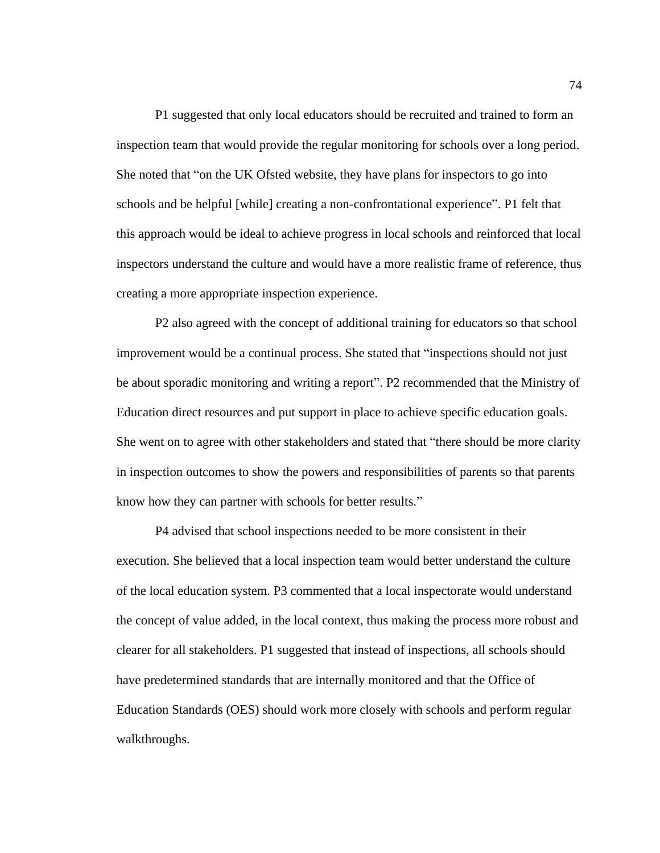P1 suggested that only local educators should be recruited and trained to form an inspection team that would provide the regular monitoring for schools over a long period. She noted that "on the UK Ofsted website, they have plans for inspectors to go into schools and be helpful [while] creating a non-confrontational experience". P1 felt that this approach would be ideal to achieve progress in local schools and reinforced that local inspectors understand the culture and would have a more realistic frame of reference, thus creating a more appropriate inspection experience.

P2 also agreed with the concept of additional training for educators so that school improvement would be a continual process. She stated that "inspections should not just be about sporadic monitoring and writing a report". P2 recommended that the Ministry of Education direct resources and put support in place to achieve specific education goals. She went on to agree with other stakeholders and stated that "there should be more clarity in inspection outcomes to show the powers and responsibilities of parents so that parents know how they can partner with schools for better results."

P4 advised that school inspections needed to be more consistent in their execution. She believed that a local inspection team would better understand the culture of the local education system. P3 commented that a local inspectorate would understand the concept of value added, in the local context, thus making the process more robust and clearer for all stakeholders. P1 suggested that instead of inspections, all schools should have predetermined standards that are internally monitored and that the Office of Education Standards (OES) should work more closely with schools and perform regular walkthroughs.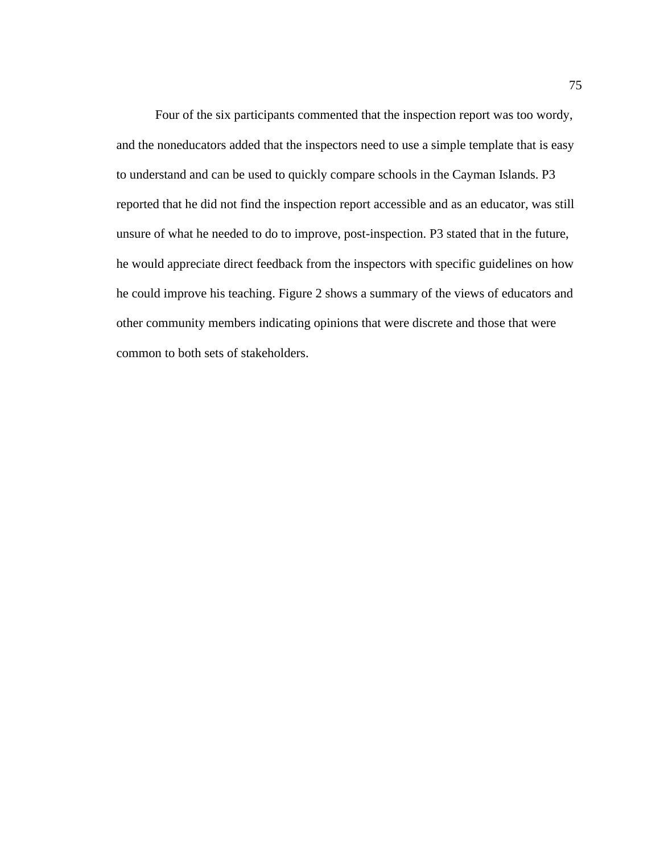Four of the six participants commented that the inspection report was too wordy, and the noneducators added that the inspectors need to use a simple template that is easy to understand and can be used to quickly compare schools in the Cayman Islands. P3 reported that he did not find the inspection report accessible and as an educator, was still unsure of what he needed to do to improve, post-inspection. P3 stated that in the future, he would appreciate direct feedback from the inspectors with specific guidelines on how he could improve his teaching. Figure 2 shows a summary of the views of educators and other community members indicating opinions that were discrete and those that were common to both sets of stakeholders.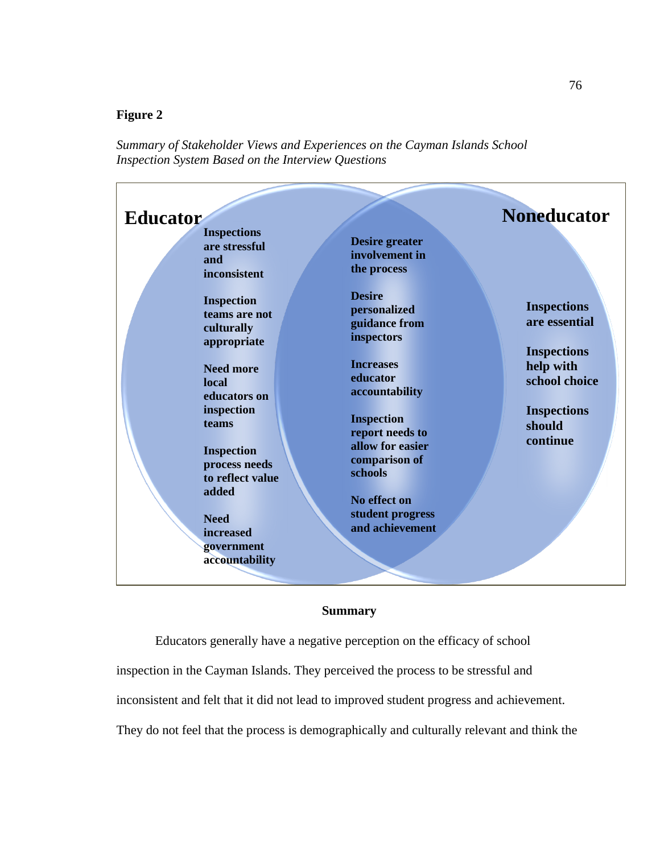## **Figure 2**

*Summary of Stakeholder Views and Experiences on the Cayman Islands School Inspection System Based on the Interview Questions*



## **Summary**

Educators generally have a negative perception on the efficacy of school inspection in the Cayman Islands. They perceived the process to be stressful and inconsistent and felt that it did not lead to improved student progress and achievement. They do not feel that the process is demographically and culturally relevant and think the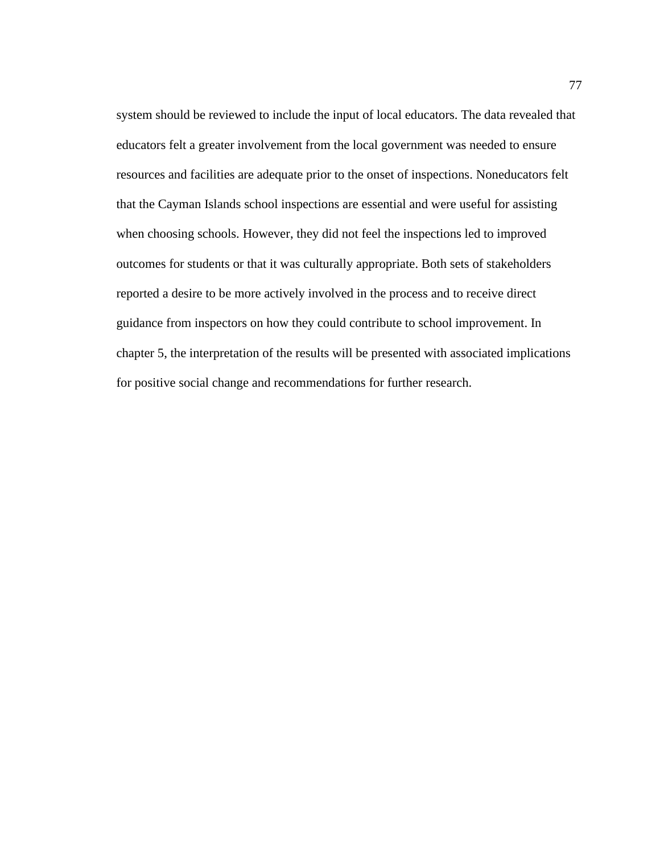system should be reviewed to include the input of local educators. The data revealed that educators felt a greater involvement from the local government was needed to ensure resources and facilities are adequate prior to the onset of inspections. Noneducators felt that the Cayman Islands school inspections are essential and were useful for assisting when choosing schools. However, they did not feel the inspections led to improved outcomes for students or that it was culturally appropriate. Both sets of stakeholders reported a desire to be more actively involved in the process and to receive direct guidance from inspectors on how they could contribute to school improvement. In chapter 5, the interpretation of the results will be presented with associated implications for positive social change and recommendations for further research.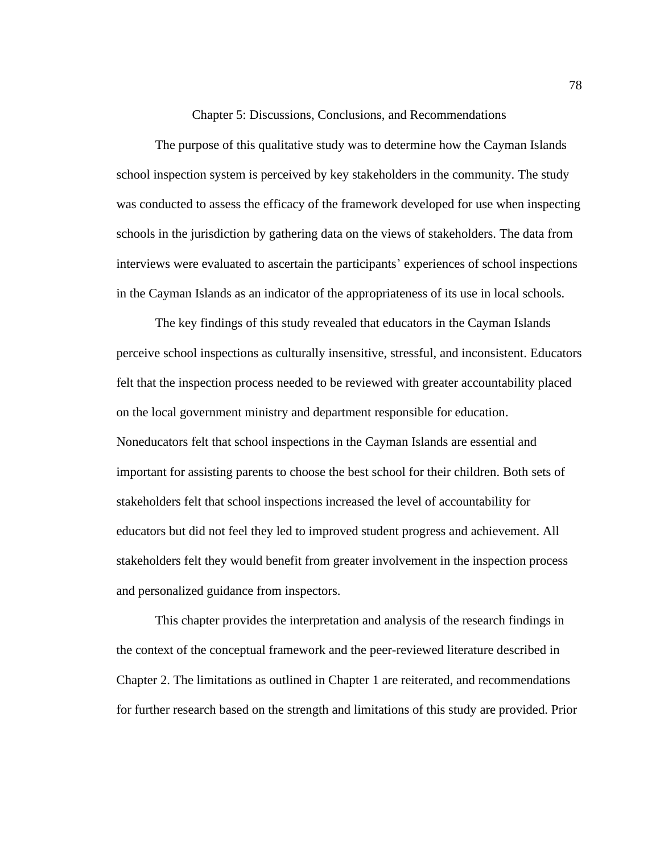Chapter 5: Discussions, Conclusions, and Recommendations

The purpose of this qualitative study was to determine how the Cayman Islands school inspection system is perceived by key stakeholders in the community. The study was conducted to assess the efficacy of the framework developed for use when inspecting schools in the jurisdiction by gathering data on the views of stakeholders. The data from interviews were evaluated to ascertain the participants' experiences of school inspections in the Cayman Islands as an indicator of the appropriateness of its use in local schools.

The key findings of this study revealed that educators in the Cayman Islands perceive school inspections as culturally insensitive, stressful, and inconsistent. Educators felt that the inspection process needed to be reviewed with greater accountability placed on the local government ministry and department responsible for education. Noneducators felt that school inspections in the Cayman Islands are essential and important for assisting parents to choose the best school for their children. Both sets of stakeholders felt that school inspections increased the level of accountability for educators but did not feel they led to improved student progress and achievement. All stakeholders felt they would benefit from greater involvement in the inspection process and personalized guidance from inspectors.

This chapter provides the interpretation and analysis of the research findings in the context of the conceptual framework and the peer-reviewed literature described in Chapter 2. The limitations as outlined in Chapter 1 are reiterated, and recommendations for further research based on the strength and limitations of this study are provided. Prior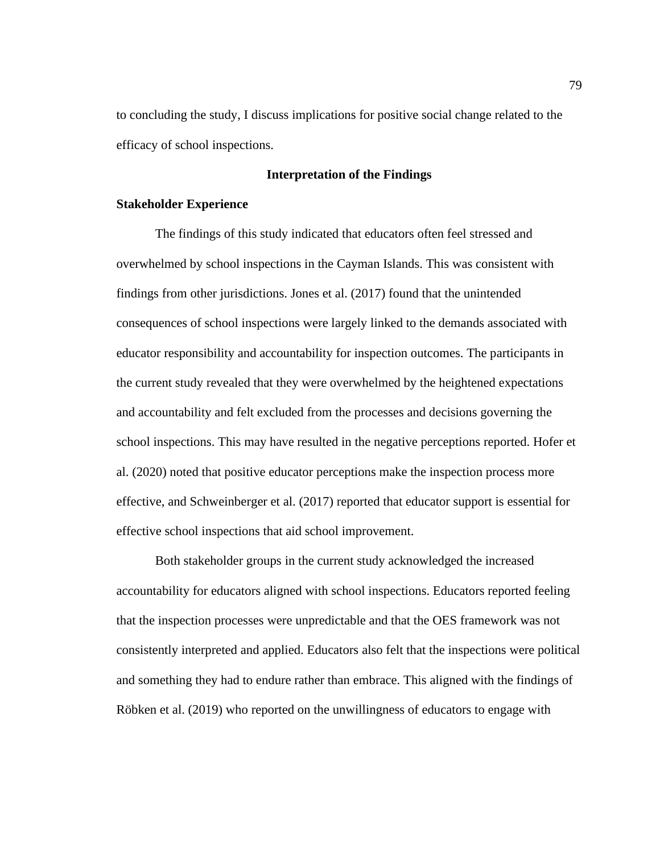to concluding the study, I discuss implications for positive social change related to the efficacy of school inspections.

## **Interpretation of the Findings**

#### **Stakeholder Experience**

The findings of this study indicated that educators often feel stressed and overwhelmed by school inspections in the Cayman Islands. This was consistent with findings from other jurisdictions. Jones et al. (2017) found that the unintended consequences of school inspections were largely linked to the demands associated with educator responsibility and accountability for inspection outcomes. The participants in the current study revealed that they were overwhelmed by the heightened expectations and accountability and felt excluded from the processes and decisions governing the school inspections. This may have resulted in the negative perceptions reported. Hofer et al. (2020) noted that positive educator perceptions make the inspection process more effective, and Schweinberger et al. (2017) reported that educator support is essential for effective school inspections that aid school improvement.

Both stakeholder groups in the current study acknowledged the increased accountability for educators aligned with school inspections. Educators reported feeling that the inspection processes were unpredictable and that the OES framework was not consistently interpreted and applied. Educators also felt that the inspections were political and something they had to endure rather than embrace. This aligned with the findings of Röbken et al. (2019) who reported on the unwillingness of educators to engage with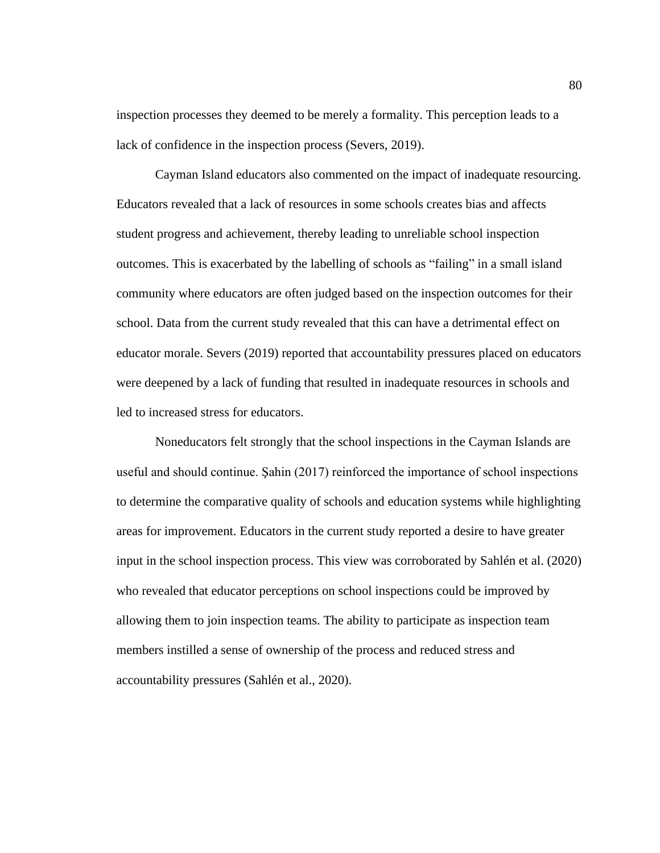inspection processes they deemed to be merely a formality. This perception leads to a lack of confidence in the inspection process (Severs, 2019).

Cayman Island educators also commented on the impact of inadequate resourcing. Educators revealed that a lack of resources in some schools creates bias and affects student progress and achievement, thereby leading to unreliable school inspection outcomes. This is exacerbated by the labelling of schools as "failing" in a small island community where educators are often judged based on the inspection outcomes for their school. Data from the current study revealed that this can have a detrimental effect on educator morale. Severs (2019) reported that accountability pressures placed on educators were deepened by a lack of funding that resulted in inadequate resources in schools and led to increased stress for educators.

Noneducators felt strongly that the school inspections in the Cayman Islands are useful and should continue. Şahin (2017) reinforced the importance of school inspections to determine the comparative quality of schools and education systems while highlighting areas for improvement. Educators in the current study reported a desire to have greater input in the school inspection process. This view was corroborated by Sahlén et al. (2020) who revealed that educator perceptions on school inspections could be improved by allowing them to join inspection teams. The ability to participate as inspection team members instilled a sense of ownership of the process and reduced stress and accountability pressures (Sahlén et al., 2020).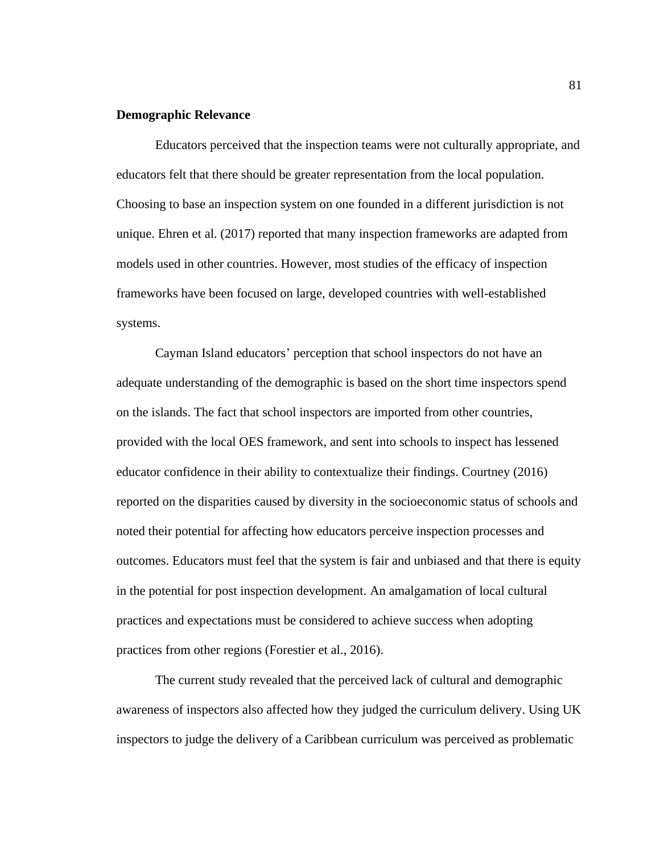## **Demographic Relevance**

Educators perceived that the inspection teams were not culturally appropriate, and educators felt that there should be greater representation from the local population. Choosing to base an inspection system on one founded in a different jurisdiction is not unique. Ehren et al. (2017) reported that many inspection frameworks are adapted from models used in other countries. However, most studies of the efficacy of inspection frameworks have been focused on large, developed countries with well-established systems.

Cayman Island educators' perception that school inspectors do not have an adequate understanding of the demographic is based on the short time inspectors spend on the islands. The fact that school inspectors are imported from other countries, provided with the local OES framework, and sent into schools to inspect has lessened educator confidence in their ability to contextualize their findings. Courtney (2016) reported on the disparities caused by diversity in the socioeconomic status of schools and noted their potential for affecting how educators perceive inspection processes and outcomes. Educators must feel that the system is fair and unbiased and that there is equity in the potential for post inspection development. An amalgamation of local cultural practices and expectations must be considered to achieve success when adopting practices from other regions (Forestier et al., 2016).

The current study revealed that the perceived lack of cultural and demographic awareness of inspectors also affected how they judged the curriculum delivery. Using UK inspectors to judge the delivery of a Caribbean curriculum was perceived as problematic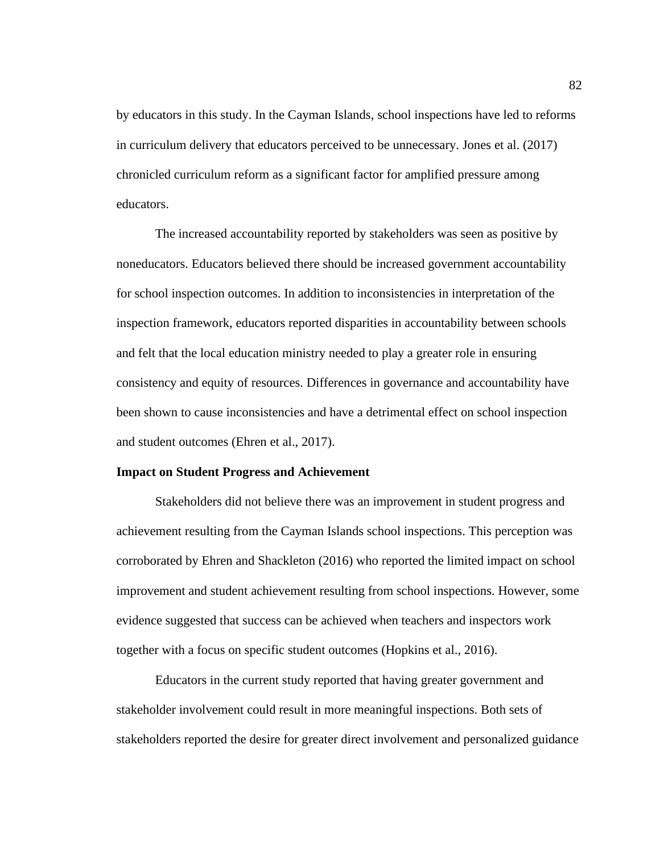by educators in this study. In the Cayman Islands, school inspections have led to reforms in curriculum delivery that educators perceived to be unnecessary. Jones et al. (2017) chronicled curriculum reform as a significant factor for amplified pressure among educators.

The increased accountability reported by stakeholders was seen as positive by noneducators. Educators believed there should be increased government accountability for school inspection outcomes. In addition to inconsistencies in interpretation of the inspection framework, educators reported disparities in accountability between schools and felt that the local education ministry needed to play a greater role in ensuring consistency and equity of resources. Differences in governance and accountability have been shown to cause inconsistencies and have a detrimental effect on school inspection and student outcomes (Ehren et al., 2017).

#### **Impact on Student Progress and Achievement**

Stakeholders did not believe there was an improvement in student progress and achievement resulting from the Cayman Islands school inspections. This perception was corroborated by Ehren and Shackleton (2016) who reported the limited impact on school improvement and student achievement resulting from school inspections. However, some evidence suggested that success can be achieved when teachers and inspectors work together with a focus on specific student outcomes (Hopkins et al., 2016).

Educators in the current study reported that having greater government and stakeholder involvement could result in more meaningful inspections. Both sets of stakeholders reported the desire for greater direct involvement and personalized guidance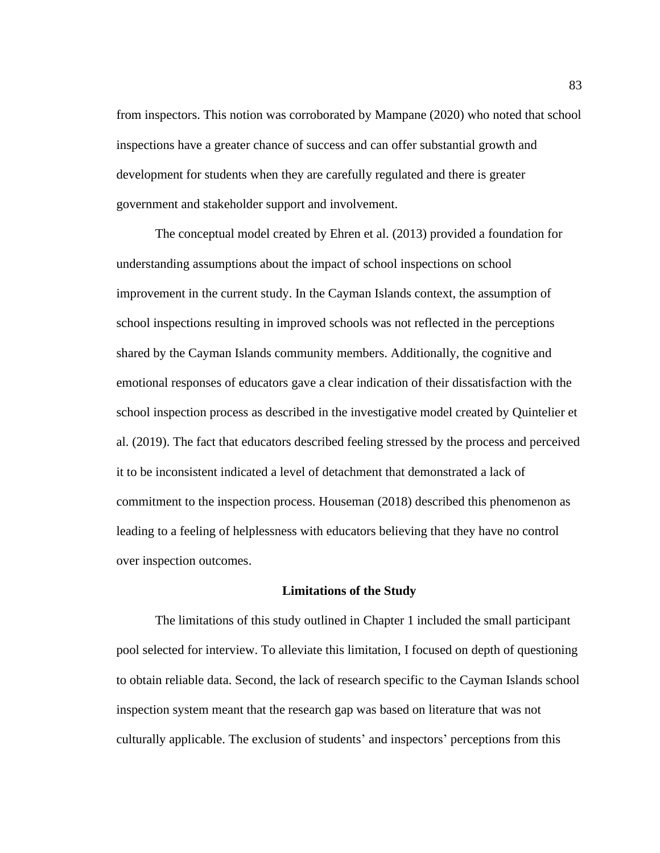from inspectors. This notion was corroborated by Mampane (2020) who noted that school inspections have a greater chance of success and can offer substantial growth and development for students when they are carefully regulated and there is greater government and stakeholder support and involvement.

The conceptual model created by Ehren et al. (2013) provided a foundation for understanding assumptions about the impact of school inspections on school improvement in the current study. In the Cayman Islands context, the assumption of school inspections resulting in improved schools was not reflected in the perceptions shared by the Cayman Islands community members. Additionally, the cognitive and emotional responses of educators gave a clear indication of their dissatisfaction with the school inspection process as described in the investigative model created by Quintelier et al. (2019). The fact that educators described feeling stressed by the process and perceived it to be inconsistent indicated a level of detachment that demonstrated a lack of commitment to the inspection process. Houseman (2018) described this phenomenon as leading to a feeling of helplessness with educators believing that they have no control over inspection outcomes.

#### **Limitations of the Study**

The limitations of this study outlined in Chapter 1 included the small participant pool selected for interview. To alleviate this limitation, I focused on depth of questioning to obtain reliable data. Second, the lack of research specific to the Cayman Islands school inspection system meant that the research gap was based on literature that was not culturally applicable. The exclusion of students' and inspectors' perceptions from this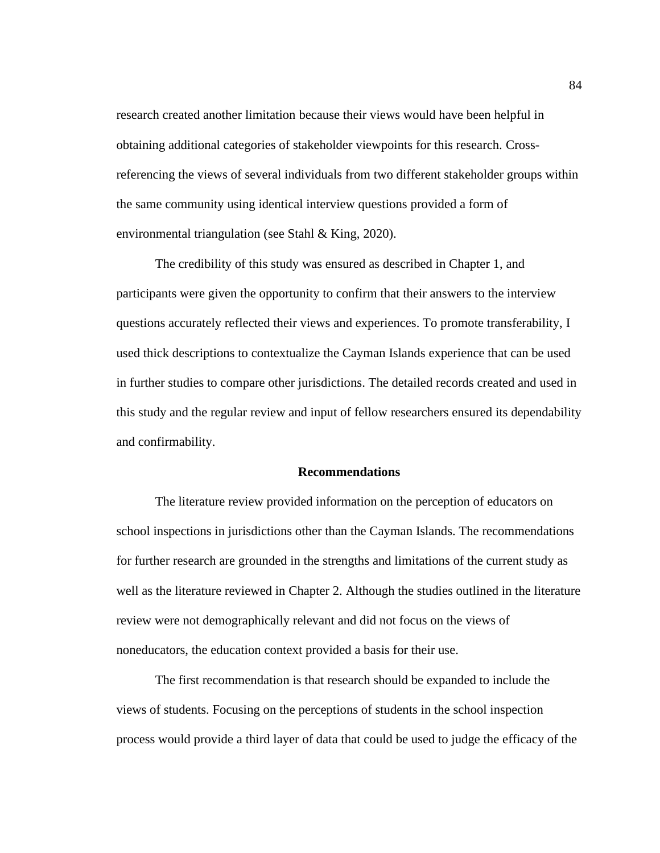research created another limitation because their views would have been helpful in obtaining additional categories of stakeholder viewpoints for this research. Crossreferencing the views of several individuals from two different stakeholder groups within the same community using identical interview questions provided a form of environmental triangulation (see Stahl & King, 2020).

The credibility of this study was ensured as described in Chapter 1, and participants were given the opportunity to confirm that their answers to the interview questions accurately reflected their views and experiences. To promote transferability, I used thick descriptions to contextualize the Cayman Islands experience that can be used in further studies to compare other jurisdictions. The detailed records created and used in this study and the regular review and input of fellow researchers ensured its dependability and confirmability.

### **Recommendations**

The literature review provided information on the perception of educators on school inspections in jurisdictions other than the Cayman Islands. The recommendations for further research are grounded in the strengths and limitations of the current study as well as the literature reviewed in Chapter 2. Although the studies outlined in the literature review were not demographically relevant and did not focus on the views of noneducators, the education context provided a basis for their use.

The first recommendation is that research should be expanded to include the views of students. Focusing on the perceptions of students in the school inspection process would provide a third layer of data that could be used to judge the efficacy of the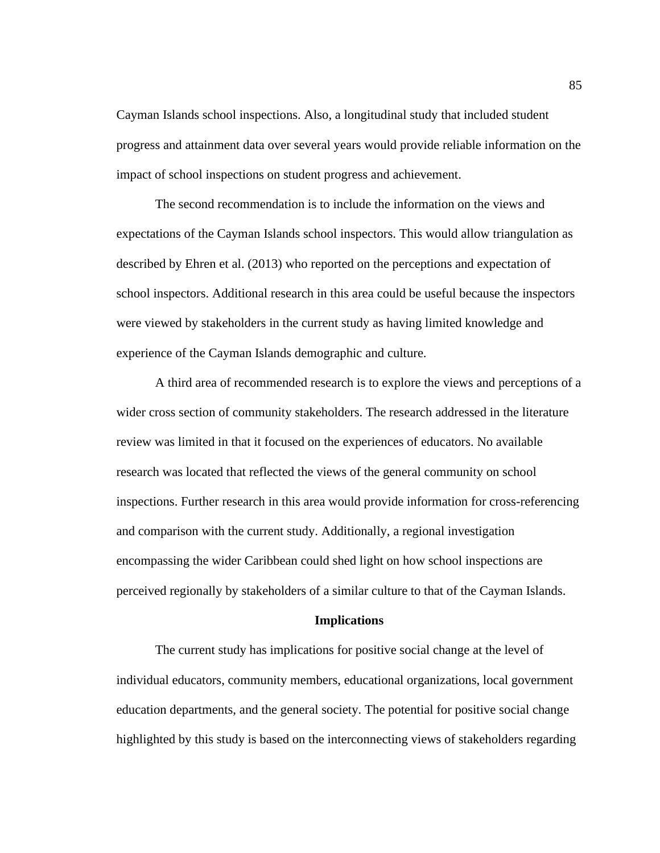Cayman Islands school inspections. Also, a longitudinal study that included student progress and attainment data over several years would provide reliable information on the impact of school inspections on student progress and achievement.

The second recommendation is to include the information on the views and expectations of the Cayman Islands school inspectors. This would allow triangulation as described by Ehren et al. (2013) who reported on the perceptions and expectation of school inspectors. Additional research in this area could be useful because the inspectors were viewed by stakeholders in the current study as having limited knowledge and experience of the Cayman Islands demographic and culture.

A third area of recommended research is to explore the views and perceptions of a wider cross section of community stakeholders. The research addressed in the literature review was limited in that it focused on the experiences of educators. No available research was located that reflected the views of the general community on school inspections. Further research in this area would provide information for cross-referencing and comparison with the current study. Additionally, a regional investigation encompassing the wider Caribbean could shed light on how school inspections are perceived regionally by stakeholders of a similar culture to that of the Cayman Islands.

#### **Implications**

The current study has implications for positive social change at the level of individual educators, community members, educational organizations, local government education departments, and the general society. The potential for positive social change highlighted by this study is based on the interconnecting views of stakeholders regarding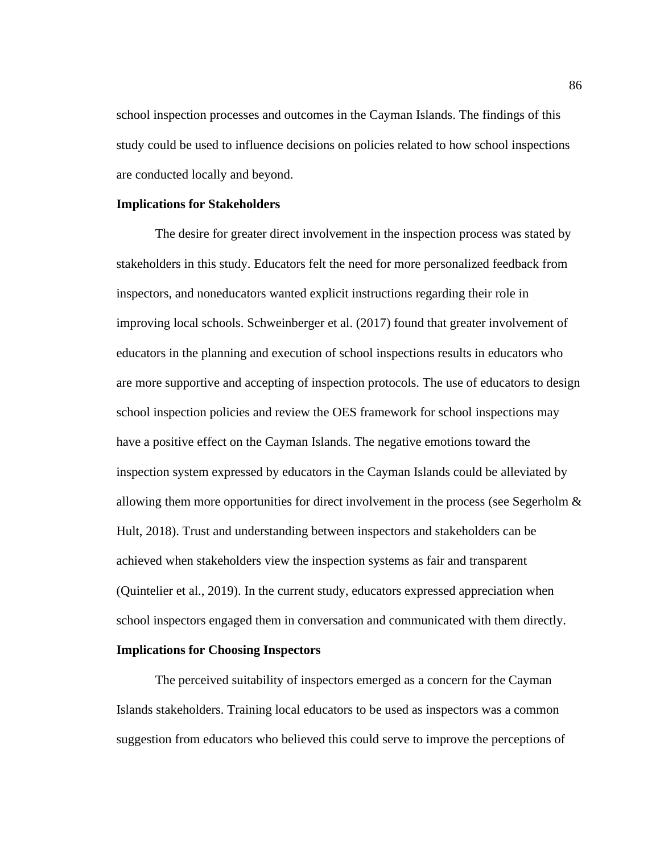school inspection processes and outcomes in the Cayman Islands. The findings of this study could be used to influence decisions on policies related to how school inspections are conducted locally and beyond.

#### **Implications for Stakeholders**

The desire for greater direct involvement in the inspection process was stated by stakeholders in this study. Educators felt the need for more personalized feedback from inspectors, and noneducators wanted explicit instructions regarding their role in improving local schools. Schweinberger et al. (2017) found that greater involvement of educators in the planning and execution of school inspections results in educators who are more supportive and accepting of inspection protocols. The use of educators to design school inspection policies and review the OES framework for school inspections may have a positive effect on the Cayman Islands. The negative emotions toward the inspection system expressed by educators in the Cayman Islands could be alleviated by allowing them more opportunities for direct involvement in the process (see Segerholm & Hult, 2018). Trust and understanding between inspectors and stakeholders can be achieved when stakeholders view the inspection systems as fair and transparent (Quintelier et al., 2019). In the current study, educators expressed appreciation when school inspectors engaged them in conversation and communicated with them directly.

#### **Implications for Choosing Inspectors**

The perceived suitability of inspectors emerged as a concern for the Cayman Islands stakeholders. Training local educators to be used as inspectors was a common suggestion from educators who believed this could serve to improve the perceptions of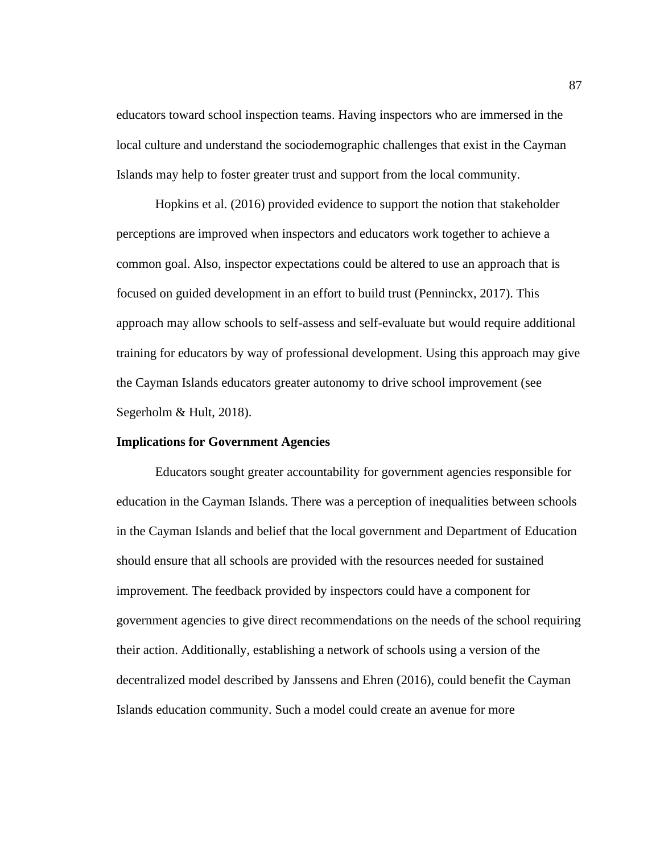educators toward school inspection teams. Having inspectors who are immersed in the local culture and understand the sociodemographic challenges that exist in the Cayman Islands may help to foster greater trust and support from the local community.

Hopkins et al. (2016) provided evidence to support the notion that stakeholder perceptions are improved when inspectors and educators work together to achieve a common goal. Also, inspector expectations could be altered to use an approach that is focused on guided development in an effort to build trust (Penninckx, 2017). This approach may allow schools to self-assess and self-evaluate but would require additional training for educators by way of professional development. Using this approach may give the Cayman Islands educators greater autonomy to drive school improvement (see Segerholm & Hult, 2018).

#### **Implications for Government Agencies**

Educators sought greater accountability for government agencies responsible for education in the Cayman Islands. There was a perception of inequalities between schools in the Cayman Islands and belief that the local government and Department of Education should ensure that all schools are provided with the resources needed for sustained improvement. The feedback provided by inspectors could have a component for government agencies to give direct recommendations on the needs of the school requiring their action. Additionally, establishing a network of schools using a version of the decentralized model described by Janssens and Ehren (2016), could benefit the Cayman Islands education community. Such a model could create an avenue for more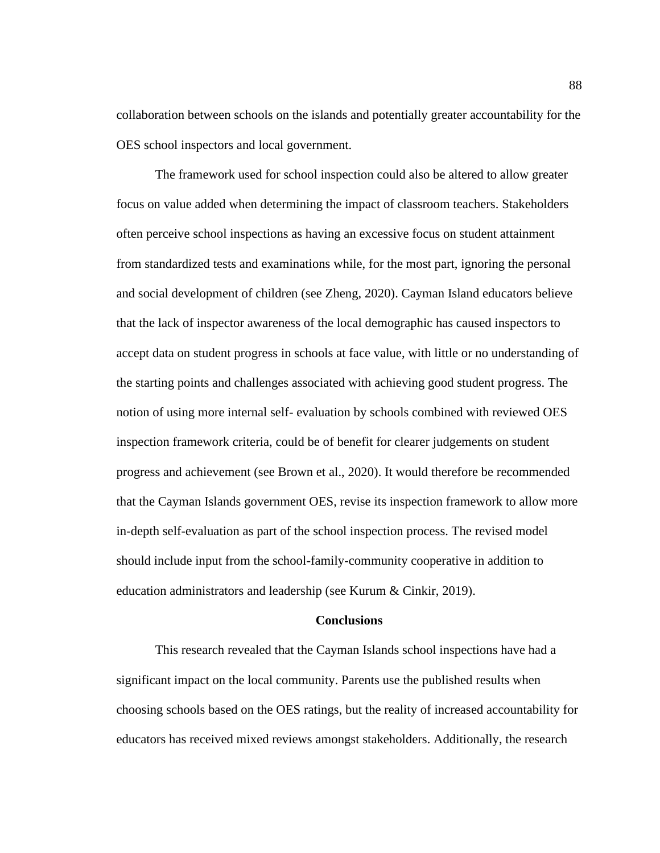collaboration between schools on the islands and potentially greater accountability for the OES school inspectors and local government.

The framework used for school inspection could also be altered to allow greater focus on value added when determining the impact of classroom teachers. Stakeholders often perceive school inspections as having an excessive focus on student attainment from standardized tests and examinations while, for the most part, ignoring the personal and social development of children (see Zheng, 2020). Cayman Island educators believe that the lack of inspector awareness of the local demographic has caused inspectors to accept data on student progress in schools at face value, with little or no understanding of the starting points and challenges associated with achieving good student progress. The notion of using more internal self- evaluation by schools combined with reviewed OES inspection framework criteria, could be of benefit for clearer judgements on student progress and achievement (see Brown et al., 2020). It would therefore be recommended that the Cayman Islands government OES, revise its inspection framework to allow more in-depth self-evaluation as part of the school inspection process. The revised model should include input from the school-family-community cooperative in addition to education administrators and leadership (see Kurum & Cinkir, 2019).

#### **Conclusions**

This research revealed that the Cayman Islands school inspections have had a significant impact on the local community. Parents use the published results when choosing schools based on the OES ratings, but the reality of increased accountability for educators has received mixed reviews amongst stakeholders. Additionally, the research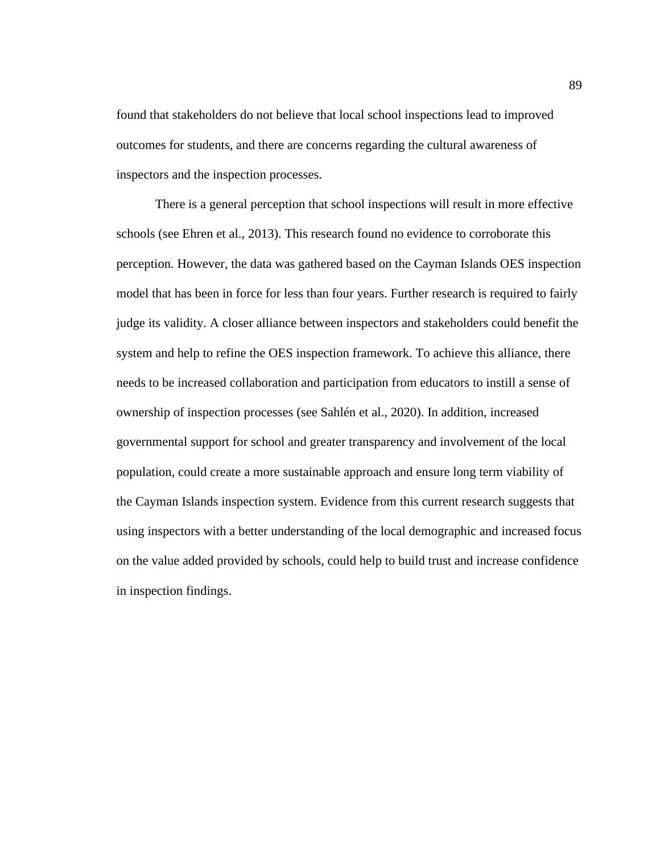found that stakeholders do not believe that local school inspections lead to improved outcomes for students, and there are concerns regarding the cultural awareness of inspectors and the inspection processes.

There is a general perception that school inspections will result in more effective schools (see Ehren et al., 2013). This research found no evidence to corroborate this perception. However, the data was gathered based on the Cayman Islands OES inspection model that has been in force for less than four years. Further research is required to fairly judge its validity. A closer alliance between inspectors and stakeholders could benefit the system and help to refine the OES inspection framework. To achieve this alliance, there needs to be increased collaboration and participation from educators to instill a sense of ownership of inspection processes (see Sahlén et al., 2020). In addition, increased governmental support for school and greater transparency and involvement of the local population, could create a more sustainable approach and ensure long term viability of the Cayman Islands inspection system. Evidence from this current research suggests that using inspectors with a better understanding of the local demographic and increased focus on the value added provided by schools, could help to build trust and increase confidence in inspection findings.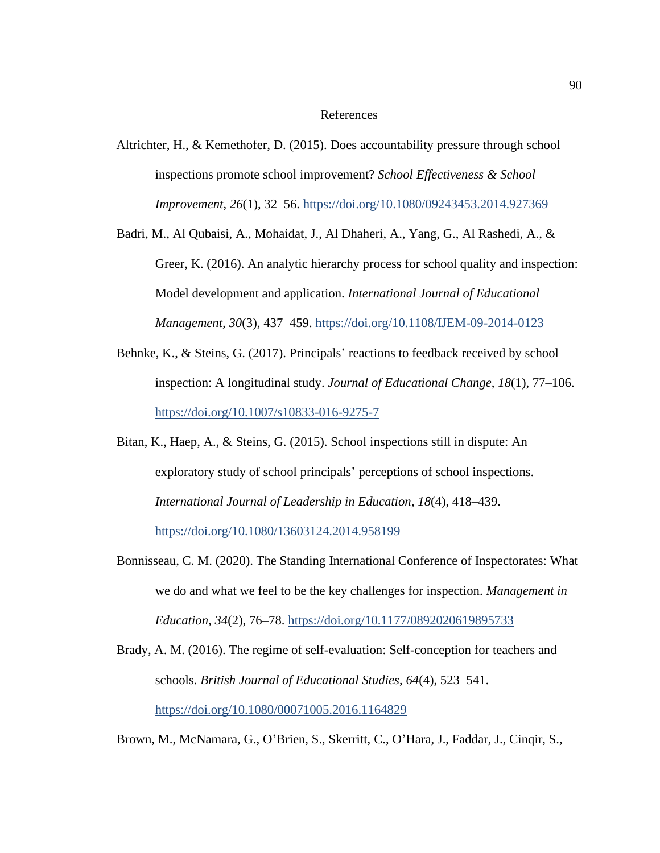#### References

- Altrichter, H., & Kemethofer, D. (2015). Does accountability pressure through school inspections promote school improvement? *School Effectiveness & School Improvement*, *26*(1), 32–56.<https://doi.org/10.1080/09243453.2014.927369>
- Badri, M., Al Qubaisi, A., Mohaidat, J., Al Dhaheri, A., Yang, G., Al Rashedi, A., & Greer, K. (2016). An analytic hierarchy process for school quality and inspection: Model development and application. *International Journal of Educational Management, 30*(3), 437–459.<https://doi.org/10.1108/IJEM-09-2014-0123>
- Behnke, K., & Steins, G. (2017). Principals' reactions to feedback received by school inspection: A longitudinal study. *Journal of Educational Change*, *18*(1), 77–106. <https://doi.org/10.1007/s10833-016-9275-7>
- Bitan, K., Haep, A., & Steins, G. (2015). School inspections still in dispute: An exploratory study of school principals' perceptions of school inspections. *International Journal of Leadership in Education*, *18*(4), 418–439. <https://doi.org/10.1080/13603124.2014.958199>
- Bonnisseau, C. M. (2020). The Standing International Conference of Inspectorates: What we do and what we feel to be the key challenges for inspection. *Management in Education*, *34*(2), 76–78.<https://doi.org/10.1177/0892020619895733>
- Brady, A. M. (2016). The regime of self-evaluation: Self-conception for teachers and schools. *British Journal of Educational Studies*, *64*(4), 523–541. <https://doi.org/10.1080/00071005.2016.1164829>

Brown, M., McNamara, G., O'Brien, S., Skerritt, C., O'Hara, J., Faddar, J., Cinqir, S.,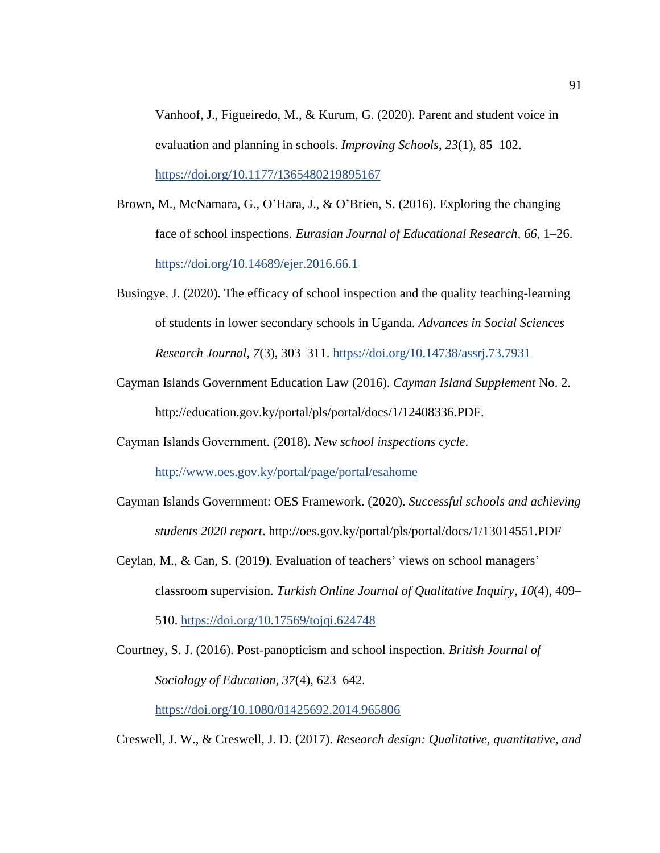Vanhoof, J., Figueiredo, M., & Kurum, G. (2020). Parent and student voice in evaluation and planning in schools. *Improving Schools*, *23*(1), 85–102. <https://doi.org/10.1177/1365480219895167>

- Brown, M., McNamara, G., O'Hara, J., & O'Brien, S. (2016). Exploring the changing face of school inspections. *Eurasian Journal of Educational Research, 66*, 1–26. <https://doi.org/10.14689/ejer.2016.66.1>
- Busingye, J. (2020). The efficacy of school inspection and the quality teaching-learning of students in lower secondary schools in Uganda. *Advances in Social Sciences Research Journal, 7*(3), 303–311.<https://doi.org/10.14738/assrj.73.7931>
- Cayman Islands Government Education Law (2016). *Cayman Island Supplement* No. 2. http://education.gov.ky/portal/pls/portal/docs/1/12408336.PDF.
- Cayman Islands Government. (2018). *New school inspections cycle*.

<http://www.oes.gov.ky/portal/page/portal/esahome>

- Cayman Islands Government: OES Framework. (2020). *Successful schools and achieving students 2020 report*. http://oes.gov.ky/portal/pls/portal/docs/1/13014551.PDF
- Ceylan, M., & Can, S. (2019). Evaluation of teachers' views on school managers' classroom supervision. *Turkish Online Journal of Qualitative Inquiry*, *10*(4), 409– 510.<https://doi.org/10.17569/tojqi.624748>

Courtney, S. J. (2016). Post-panopticism and school inspection. *British Journal of Sociology of Education*, *37*(4), 623–642. <https://doi.org/10.1080/01425692.2014.965806>

Creswell, J. W., & Creswell, J. D. (2017). *Research design: Qualitative, quantitative, and*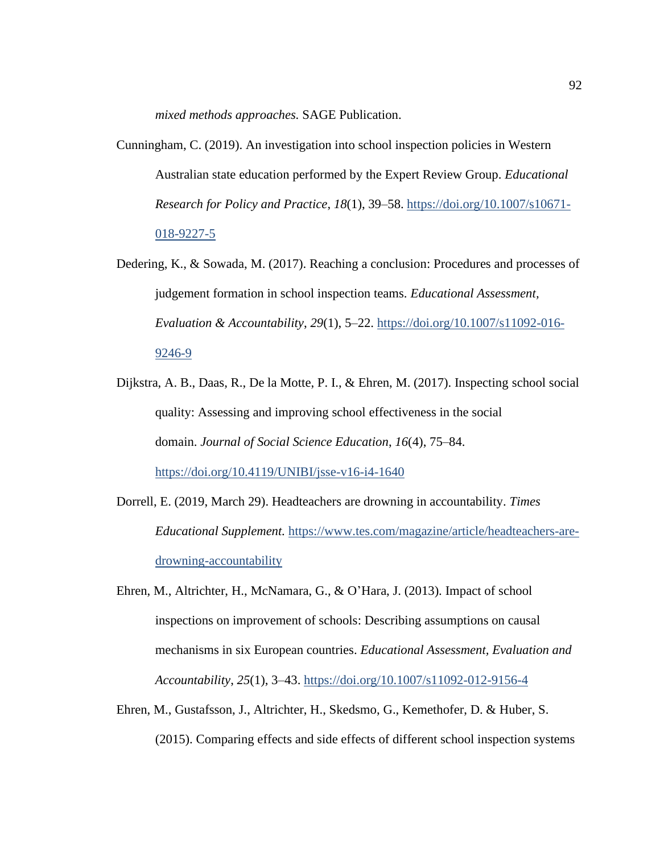*mixed methods approaches.* SAGE Publication.

- Cunningham, C. (2019). An investigation into school inspection policies in Western Australian state education performed by the Expert Review Group. *Educational Research for Policy and Practice*, *18*(1), 39–58. [https://doi.org/10.1007/s10671-](https://doi.org/10.1007/s10671-018-9227-5) [018-9227-5](https://doi.org/10.1007/s10671-018-9227-5)
- Dedering, K., & Sowada, M. (2017). Reaching a conclusion: Procedures and processes of judgement formation in school inspection teams. *Educational Assessment, Evaluation & Accountability*, *29*(1), 5–22. [https://doi.org/10.1007/s11092-016-](https://doi.org/10.1007/s11092-016-9246-9) [9246-9](https://doi.org/10.1007/s11092-016-9246-9)
- Dijkstra, A. B., Daas, R., De la Motte, P. I., & Ehren, M. (2017). Inspecting school social quality: Assessing and improving school effectiveness in the social domain. *Journal of Social Science Education*, *16*(4), 75–84. <https://doi.org/10.4119/UNIBI/jsse-v16-i4-1640>
- Dorrell, E. (2019, March 29). Headteachers are drowning in accountability. *Times Educational Supplement.* [https://www.tes.com/magazine/article/headteachers-are](https://www.tes.com/magazine/article/headteachers-are-drowning-accountability)[drowning-accountability](https://www.tes.com/magazine/article/headteachers-are-drowning-accountability)
- Ehren, M., Altrichter, H., McNamara, G., & O'Hara, J. (2013). Impact of school inspections on improvement of schools: Describing assumptions on causal mechanisms in six European countries. *Educational Assessment, Evaluation and Accountability*, *25*(1), 3–43.<https://doi.org/10.1007/s11092-012-9156-4>
- Ehren, M., Gustafsson, J., Altrichter, H., Skedsmo, G., Kemethofer, D. & Huber, S. (2015). Comparing effects and side effects of different school inspection systems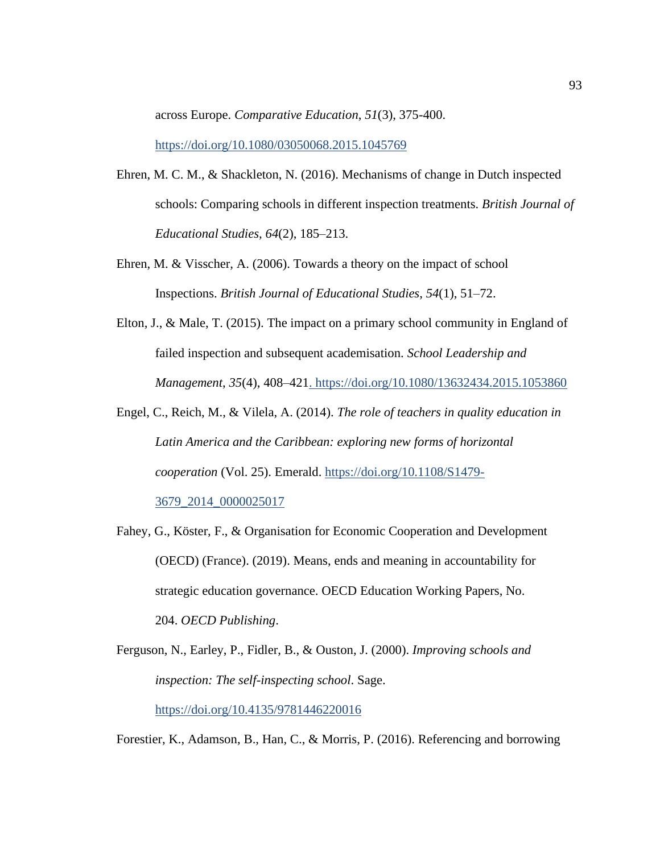across Europe. *Comparative Education*, *51*(3), 375-400. <https://doi.org/10.1080/03050068.2015.1045769>

- Ehren, M. C. M., & Shackleton, N. (2016). Mechanisms of change in Dutch inspected schools: Comparing schools in different inspection treatments. *British Journal of Educational Studies, 64*(2), 185–213.
- Ehren, M. & Visscher, A. (2006). Towards a theory on the impact of school Inspections. *British Journal of Educational Studies*, *54*(1), 51–72.
- Elton, J., & Male, T. (2015). The impact on a primary school community in England of failed inspection and subsequent academisation. *School Leadership and Management*, *35*(4), 408–42[1. https://doi.org/10.1080/13632434.2015.1053860](file:///C:/Users/clevelandhayes/Downloads/.%20https:/doi.org/10.1080/13632434.2015.1053860)
- Engel, C., Reich, M., & Vilela, A. (2014). *The role of teachers in quality education in Latin America and the Caribbean: exploring new forms of horizontal cooperation* (Vol. 25). Emerald. [https://doi.org/10.1108/S1479-](https://doi.org/10.1108/S1479-3679_2014_0000025017) [3679\\_2014\\_0000025017](https://doi.org/10.1108/S1479-3679_2014_0000025017)
- Fahey, G., Köster, F., & Organisation for Economic Cooperation and Development (OECD) (France). (2019). Means, ends and meaning in accountability for strategic education governance. OECD Education Working Papers, No. 204. *OECD Publishing*.

Ferguson, N., Earley, P., Fidler, B., & Ouston, J. (2000). *Improving schools and inspection: The self-inspecting school*. Sage. <https://doi.org/10.4135/9781446220016>

Forestier, K., Adamson, B., Han, C., & Morris, P. (2016). Referencing and borrowing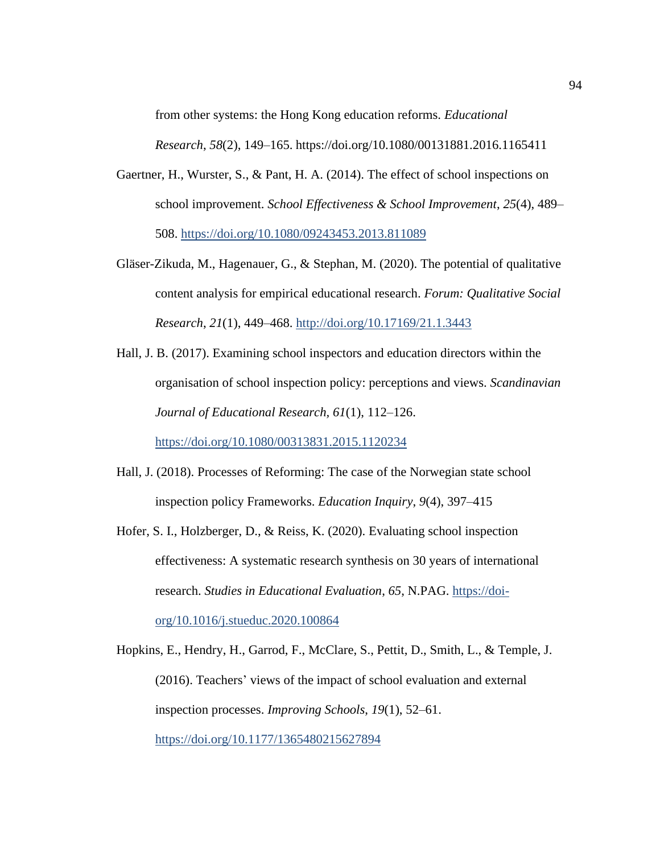from other systems: the Hong Kong education reforms. *Educational Research*, *58*(2), 149–165. https://doi.org/10.1080/00131881.2016.1165411

- Gaertner, H., Wurster, S., & Pant, H. A. (2014). The effect of school inspections on school improvement. *School Effectiveness & School Improvement*, *25*(4), 489– 508.<https://doi.org/10.1080/09243453.2013.811089>
- Gläser-Zikuda, M., Hagenauer, G., & Stephan, M. (2020). The potential of qualitative content analysis for empirical educational research. *Forum: Qualitative Social Research*, *21*(1), 449–468. <http://doi.org/10.17169/21.1.3443>
- Hall, J. B. (2017). Examining school inspectors and education directors within the organisation of school inspection policy: perceptions and views. *Scandinavian Journal of Educational Research, 61*(1), 112–126.

<https://doi.org/10.1080/00313831.2015.1120234>

- Hall, J. (2018). Processes of Reforming: The case of the Norwegian state school inspection policy Frameworks. *Education Inquiry*, *9*(4), 397–415
- Hofer, S. I., Holzberger, D., & Reiss, K. (2020). Evaluating school inspection effectiveness: A systematic research synthesis on 30 years of international research. *Studies in Educational Evaluation*, *65*, N.PAG. [https://doi](https://doi-org/10.1016/j.stueduc.2020.100864)[org/10.1016/j.stueduc.2020.100864](https://doi-org/10.1016/j.stueduc.2020.100864)

Hopkins, E., Hendry, H., Garrod, F., McClare, S., Pettit, D., Smith, L., & Temple, J. (2016). Teachers' views of the impact of school evaluation and external inspection processes. *Improving Schools*, *19*(1), 52–61. <https://doi.org/10.1177/1365480215627894>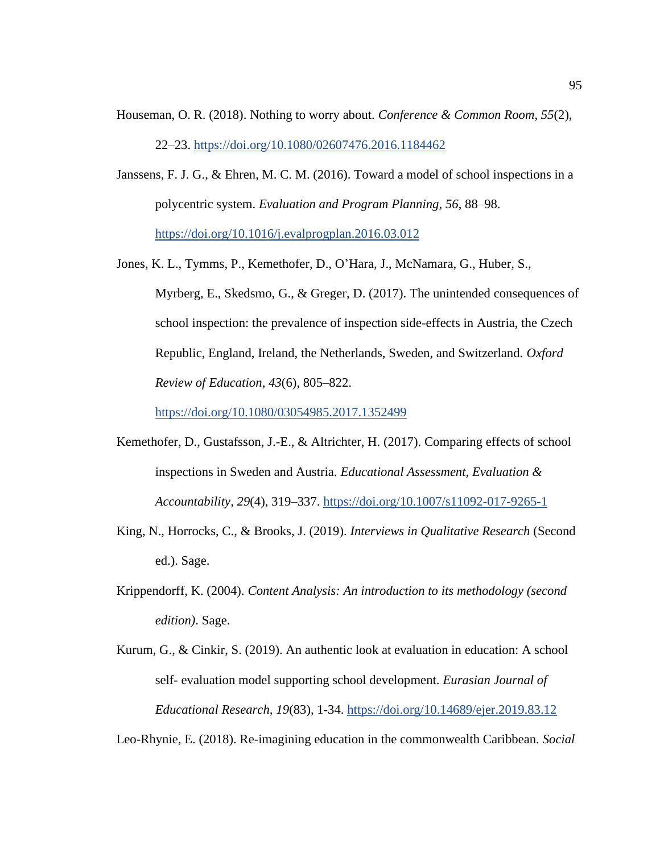- Houseman, O. R. (2018). Nothing to worry about. *Conference & Common Room*, *55*(2), 22–23. <https://doi.org/10.1080/02607476.2016.1184462>
- Janssens, F. J. G., & Ehren, M. C. M. (2016). Toward a model of school inspections in a polycentric system. *Evaluation and Program Planning*, *56*, 88–98. <https://doi.org/10.1016/j.evalprogplan.2016.03.012>
- Jones, K. L., Tymms, P., Kemethofer, D., O'Hara, J., McNamara, G., Huber, S., Myrberg, E., Skedsmo, G., & Greger, D. (2017). The unintended consequences of school inspection: the prevalence of inspection side-effects in Austria, the Czech Republic, England, Ireland, the Netherlands, Sweden, and Switzerland. *Oxford Review of Education*, *43*(6), 805–822.

<https://doi.org/10.1080/03054985.2017.1352499>

- Kemethofer, D., Gustafsson, J.-E., & Altrichter, H. (2017). Comparing effects of school inspections in Sweden and Austria. *Educational Assessment, Evaluation & Accountability, 29*(4), 319–337. <https://doi.org/10.1007/s11092-017-9265-1>
- King, N., Horrocks, C., & Brooks, J. (2019). *Interviews in Qualitative Research* (Second ed.). Sage.
- Krippendorff, K. (2004). *Content Analysis: An introduction to its methodology (second edition)*. Sage.
- Kurum, G., & Cinkir, S. (2019). An authentic look at evaluation in education: A school self- evaluation model supporting school development. *Eurasian Journal of Educational Research, 19*(83), 1-34.<https://doi.org/10.14689/ejer.2019.83.12>

Leo-Rhynie, E. (2018). Re-imagining education in the commonwealth Caribbean. *Social*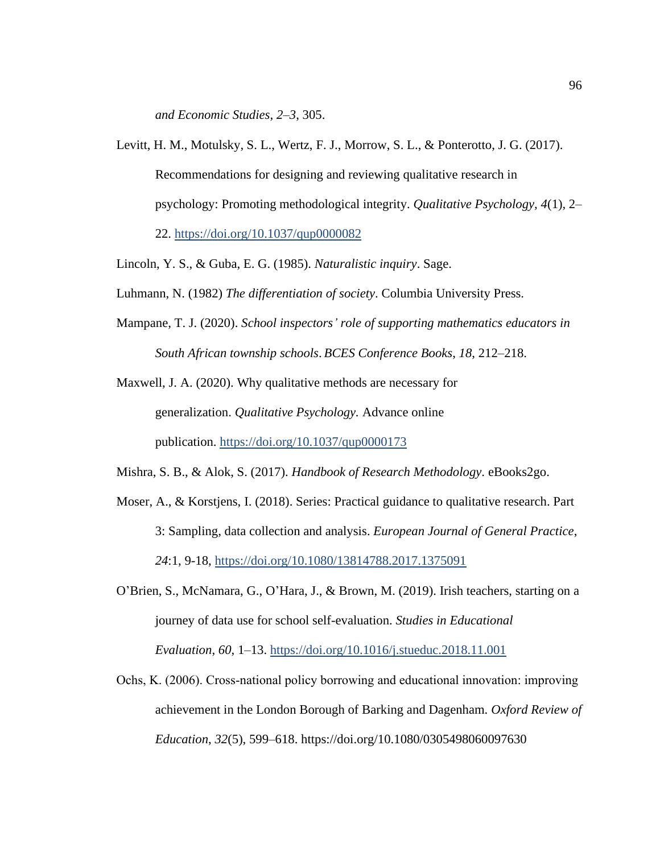*and Economic Studies*, *2*–*3*, 305.

- Levitt, H. M., Motulsky, S. L., Wertz, F. J., Morrow, S. L., & Ponterotto, J. G. (2017). Recommendations for designing and reviewing qualitative research in psychology: Promoting methodological integrity. *Qualitative Psychology, 4*(1), 2– 22. <https://doi.org/10.1037/qup0000082>
- Lincoln, Y. S., & Guba, E. G. (1985). *Naturalistic inquiry*. Sage.
- Luhmann, N. (1982) *The differentiation of society*. Columbia University Press.
- Mampane, T. J. (2020). *School inspectors' role of supporting mathematics educators in South African township schools*. *BCES Conference Books*, *18*, 212–218.

Maxwell, J. A. (2020). Why qualitative methods are necessary for generalization. *Qualitative Psychology.* Advance online publication. <https://doi.org/10.1037/qup0000173>

Mishra, S. B., & Alok, S. (2017). *Handbook of Research Methodology*. eBooks2go.

- Moser, A., & Korstjens, I. (2018). Series: Practical guidance to qualitative research. Part 3: Sampling, data collection and analysis. *European Journal of General Practice*, *24*:1, 9-18,<https://doi.org/10.1080/13814788.2017.1375091>
- O'Brien, S., McNamara, G., O'Hara, J., & Brown, M. (2019). Irish teachers, starting on a journey of data use for school self-evaluation. *Studies in Educational Evaluation*, *60*, 1–13.<https://doi.org/10.1016/j.stueduc.2018.11.001>
- Ochs, K. (2006). Cross‐national policy borrowing and educational innovation: improving achievement in the London Borough of Barking and Dagenham. *Oxford Review of Education*, *32*(5), 599–618. https://doi.org/10.1080/0305498060097630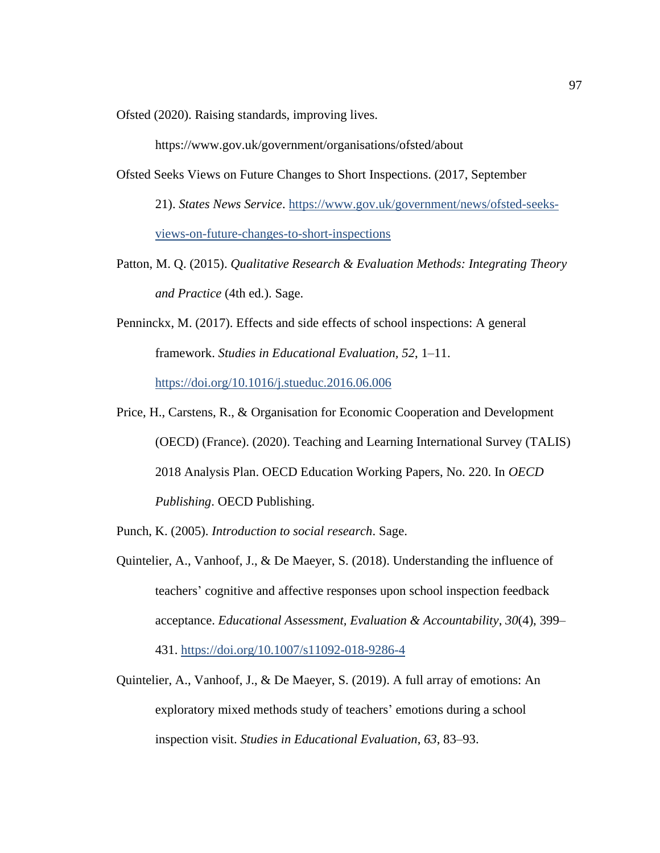Ofsted (2020). Raising standards, improving lives.

https://www.gov.uk/government/organisations/ofsted/about

Ofsted Seeks Views on Future Changes to Short Inspections. (2017, September

21). *States News Service*. [https://www.gov.uk/government/news/ofsted-seeks](https://www.gov.uk/government/news/ofsted-seeks-views-on-future-changes-to-short-inspections)[views-on-future-changes-to-short-inspections](https://www.gov.uk/government/news/ofsted-seeks-views-on-future-changes-to-short-inspections)

- Patton, M. Q. (2015). *Qualitative Research & Evaluation Methods: Integrating Theory and Practice* (4th ed.). Sage.
- Penninckx, M. (2017). Effects and side effects of school inspections: A general framework. *Studies in Educational Evaluation, 52*, 1–11. <https://doi.org/10.1016/j.stueduc.2016.06.006>
- Price, H., Carstens, R., & Organisation for Economic Cooperation and Development (OECD) (France). (2020). Teaching and Learning International Survey (TALIS) 2018 Analysis Plan. OECD Education Working Papers, No. 220. In *OECD Publishing*. OECD Publishing.
- Punch, K. (2005). *Introduction to social research*. Sage.
- Quintelier, A., Vanhoof, J., & De Maeyer, S. (2018). Understanding the influence of teachers' cognitive and affective responses upon school inspection feedback acceptance. *Educational Assessment, Evaluation & Accountability*, *30*(4), 399– 431.<https://doi.org/10.1007/s11092-018-9286-4>
- Quintelier, A., Vanhoof, J., & De Maeyer, S. (2019). A full array of emotions: An exploratory mixed methods study of teachers' emotions during a school inspection visit. *Studies in Educational Evaluation*, *63*, 83–93.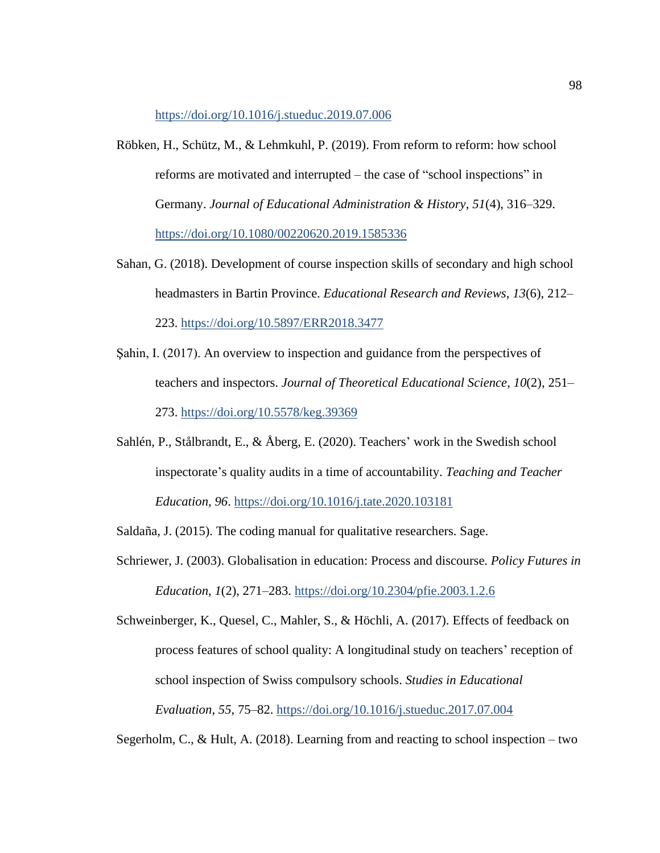<https://doi.org/10.1016/j.stueduc.2019.07.006>

- Röbken, H., Schütz, M., & Lehmkuhl, P. (2019). From reform to reform: how school reforms are motivated and interrupted – the case of "school inspections" in Germany. *Journal of Educational Administration & History*, *51*(4), 316–329. <https://doi.org/10.1080/00220620.2019.1585336>
- Sahan, G. (2018). Development of course inspection skills of secondary and high school headmasters in Bartin Province. *Educational Research and Reviews*, *13*(6), 212– 223. <https://doi.org/10.5897/ERR2018.3477>
- Şahin, I. (2017). An overview to inspection and guidance from the perspectives of teachers and inspectors. *Journal of Theoretical Educational Science*, *10*(2), 251– 273.<https://doi.org/10.5578/keg.39369>
- Sahlén, P., Stålbrandt, E., & Åberg, E. (2020). Teachers' work in the Swedish school inspectorate's quality audits in a time of accountability. *Teaching and Teacher Education, 96*.<https://doi.org/10.1016/j.tate.2020.103181>

Saldaña, J. (2015). The coding manual for qualitative researchers. Sage.

Schriewer, J. (2003). Globalisation in education: Process and discourse. *Policy Futures in Education*, *1*(2), 271–283.<https://doi.org/10.2304/pfie.2003.1.2.6>

Schweinberger, K., Quesel, C., Mahler, S., & Höchli, A. (2017). Effects of feedback on process features of school quality: A longitudinal study on teachers' reception of school inspection of Swiss compulsory schools. *Studies in Educational Evaluation*, *55*, 75–82.<https://doi.org/10.1016/j.stueduc.2017.07.004>

Segerholm, C., & Hult, A. (2018). Learning from and reacting to school inspection – two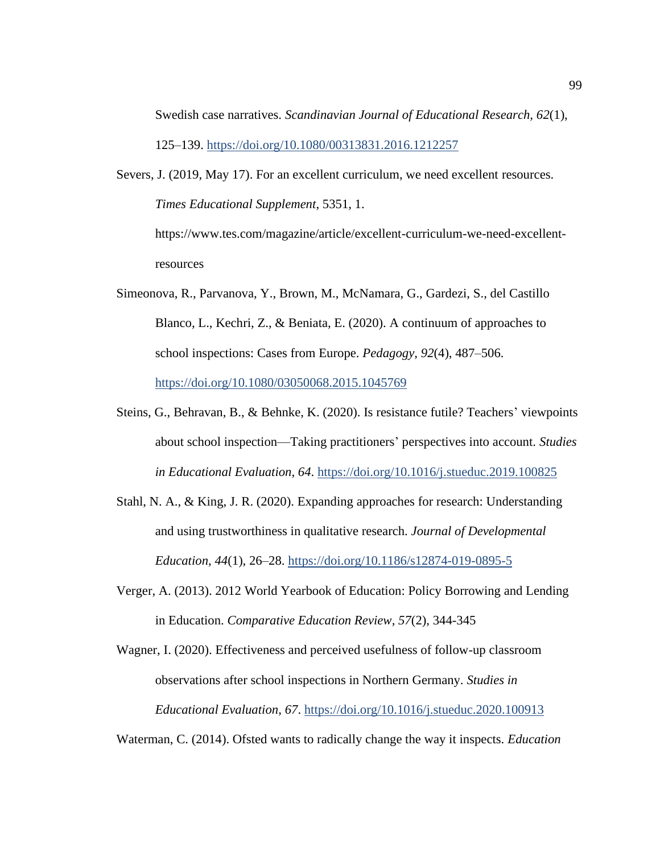Swedish case narratives. *Scandinavian Journal of Educational Research, 62*(1), 125–139.<https://doi.org/10.1080/00313831.2016.1212257>

Severs, J. (2019, May 17). For an excellent curriculum, we need excellent resources. *Times Educational Supplement*, 5351, 1.

https://www.tes.com/magazine/article/excellent-curriculum-we-need-excellentresources

- Simeonova, R., Parvanova, Y., Brown, M., McNamara, G., Gardezi, S., del Castillo Blanco, L., Kechri, Z., & Beniata, E. (2020). A continuum of approaches to school inspections: Cases from Europe. *Pedagogy*, *92*(4), 487–506. <https://doi.org/10.1080/03050068.2015.1045769>
- Steins, G., Behravan, B., & Behnke, K. (2020). Is resistance futile? Teachers' viewpoints about school inspection—Taking practitioners' perspectives into account. *Studies in Educational Evaluation*, *64*.<https://doi.org/10.1016/j.stueduc.2019.100825>
- Stahl, N. A., & King, J. R. (2020). Expanding approaches for research: Understanding and using trustworthiness in qualitative research. *Journal of Developmental Education*, *44*(1), 26–28. <https://doi.org/10.1186/s12874-019-0895-5>
- Verger, A. (2013). 2012 World Yearbook of Education: Policy Borrowing and Lending in Education. *Comparative Education Review*, *57*(2), 344-345

Wagner, I. (2020). Effectiveness and perceived usefulness of follow-up classroom observations after school inspections in Northern Germany. *Studies in Educational Evaluation*, *67*.<https://doi.org/10.1016/j.stueduc.2020.100913>

Waterman, C. (2014). Ofsted wants to radically change the way it inspects. *Education*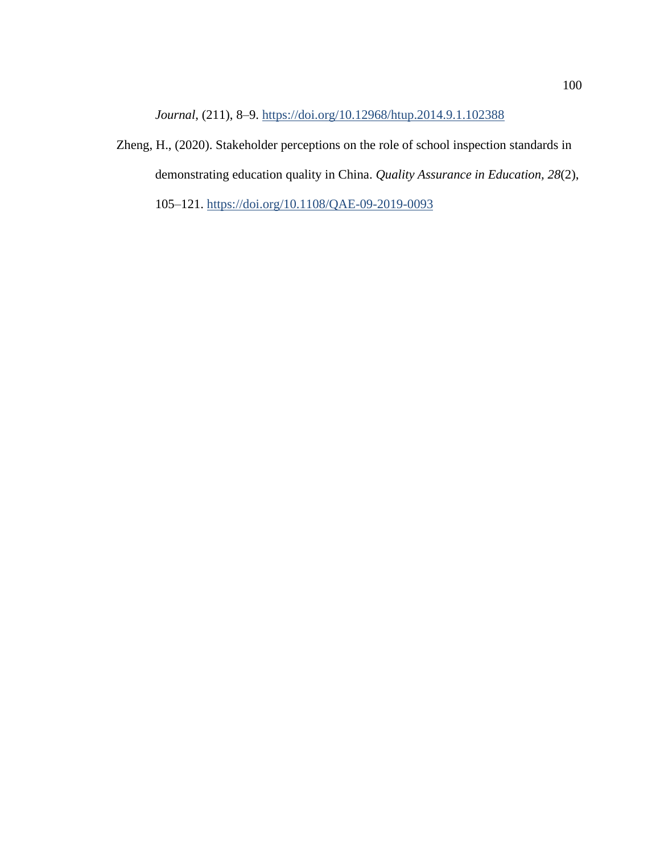*Journal*, (211), 8–9.<https://doi.org/10.12968/htup.2014.9.1.102388>

Zheng, H., (2020). Stakeholder perceptions on the role of school inspection standards in demonstrating education quality in China. *Quality Assurance in Education, 28*(2), 105–121.<https://doi.org/10.1108/QAE-09-2019-0093>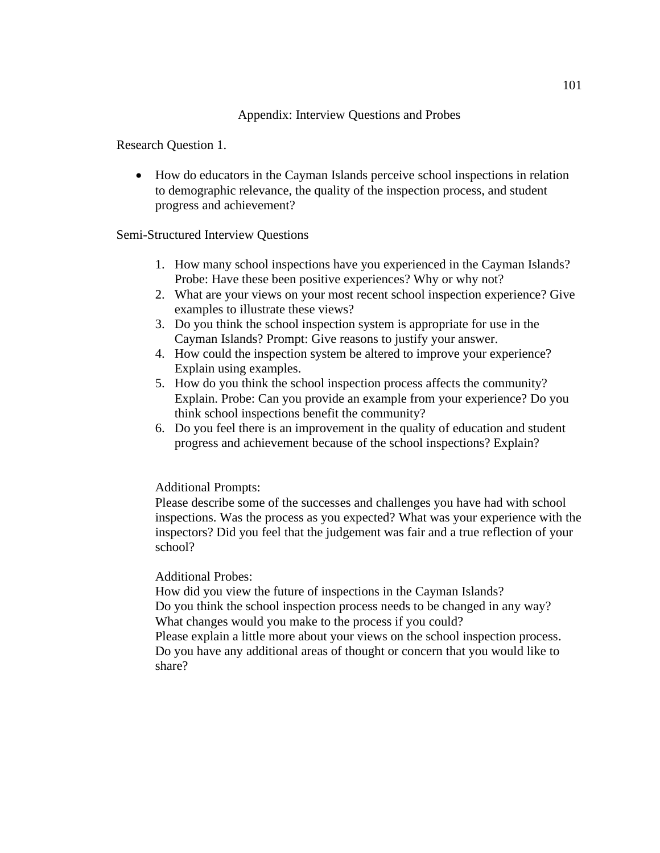## Appendix: Interview Questions and Probes

Research Question 1.

• How do educators in the Cayman Islands perceive school inspections in relation to demographic relevance, the quality of the inspection process, and student progress and achievement?

Semi-Structured Interview Questions

- 1. How many school inspections have you experienced in the Cayman Islands? Probe: Have these been positive experiences? Why or why not?
- 2. What are your views on your most recent school inspection experience? Give examples to illustrate these views?
- 3. Do you think the school inspection system is appropriate for use in the Cayman Islands? Prompt: Give reasons to justify your answer.
- 4. How could the inspection system be altered to improve your experience? Explain using examples.
- 5. How do you think the school inspection process affects the community? Explain. Probe: Can you provide an example from your experience? Do you think school inspections benefit the community?
- 6. Do you feel there is an improvement in the quality of education and student progress and achievement because of the school inspections? Explain?

## Additional Prompts:

Please describe some of the successes and challenges you have had with school inspections. Was the process as you expected? What was your experience with the inspectors? Did you feel that the judgement was fair and a true reflection of your school?

## Additional Probes:

How did you view the future of inspections in the Cayman Islands? Do you think the school inspection process needs to be changed in any way? What changes would you make to the process if you could?

Please explain a little more about your views on the school inspection process. Do you have any additional areas of thought or concern that you would like to share?